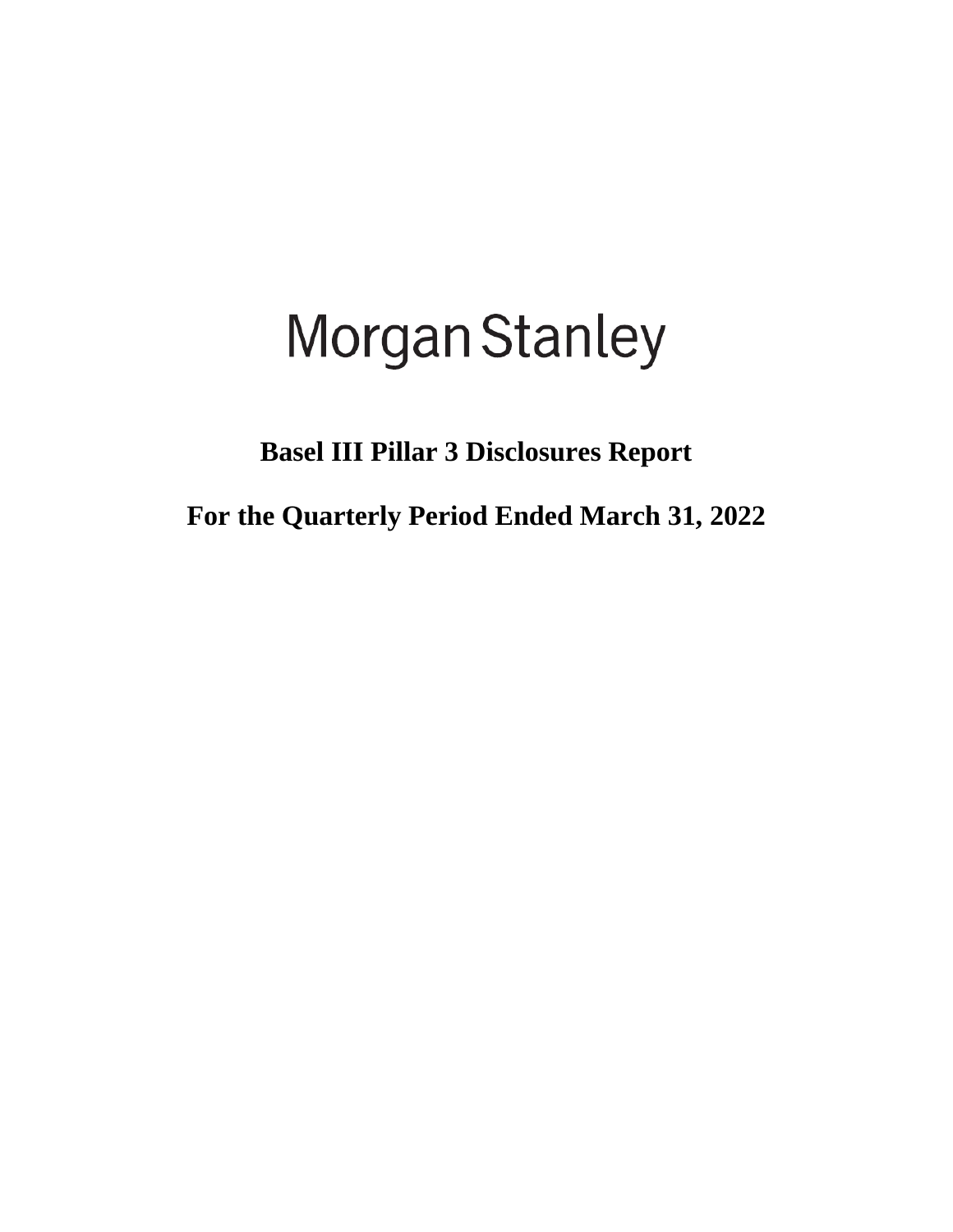# **Morgan Stanley**

**Basel III Pillar 3 Disclosures Report**

**For the Quarterly Period Ended March 31, 2022**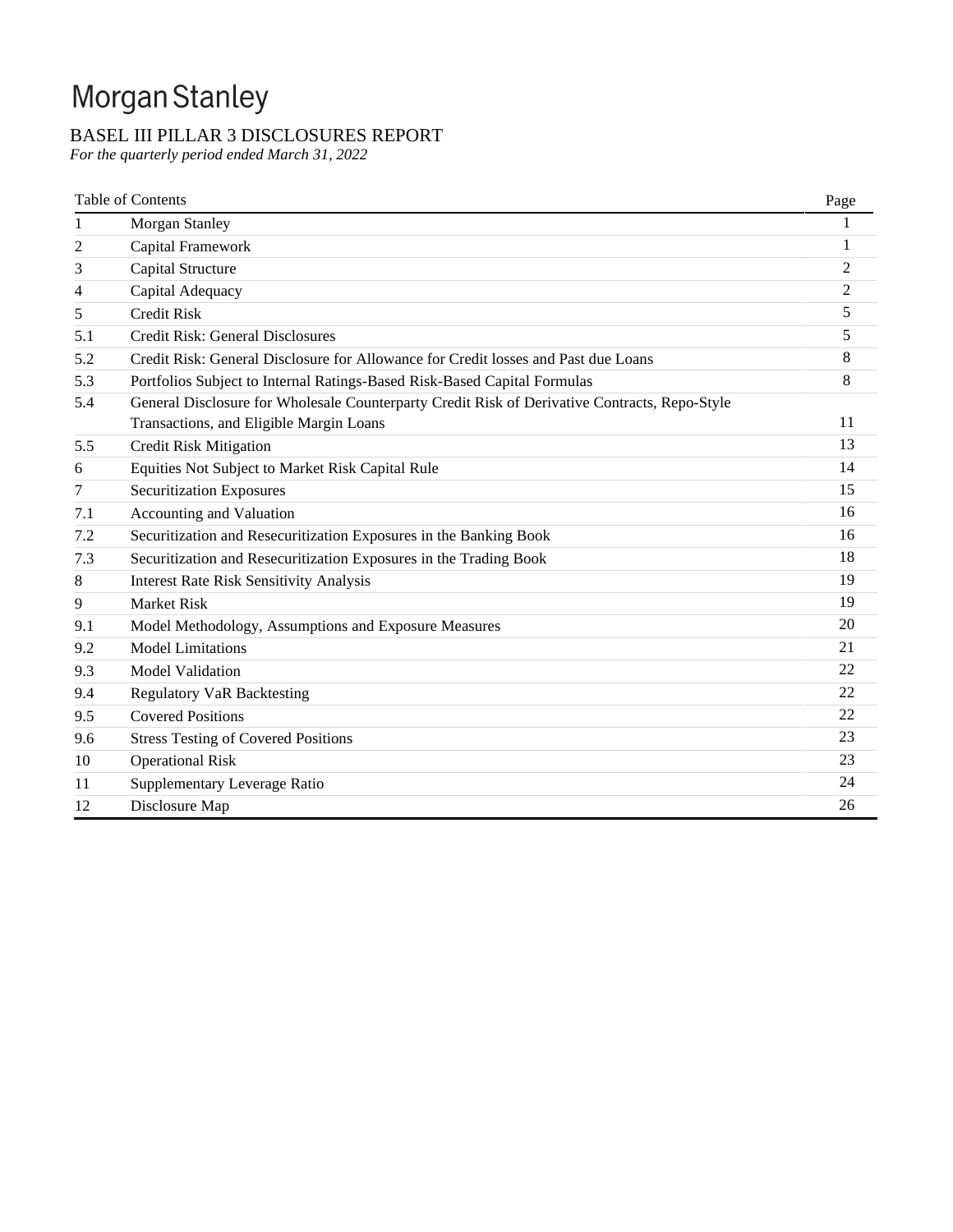# Morgan Stanley

# BASEL III PILLAR 3 DISCLOSURES REPORT

*For the quarterly period ended March 31, 2022*

|     | <b>Table of Contents</b>                                                                      | Page           |
|-----|-----------------------------------------------------------------------------------------------|----------------|
| 1   | Morgan Stanley                                                                                |                |
| 2   | Capital Framework                                                                             | 1              |
| 3   | Capital Structure                                                                             | $\overline{2}$ |
| 4   | Capital Adequacy                                                                              | $\overline{2}$ |
| 5   | Credit Risk                                                                                   | 5              |
| 5.1 | Credit Risk: General Disclosures                                                              | 5              |
| 5.2 | Credit Risk: General Disclosure for Allowance for Credit losses and Past due Loans            | 8              |
| 5.3 | Portfolios Subject to Internal Ratings-Based Risk-Based Capital Formulas                      | 8              |
| 5.4 | General Disclosure for Wholesale Counterparty Credit Risk of Derivative Contracts, Repo-Style |                |
|     | Transactions, and Eligible Margin Loans                                                       | 11             |
| 5.5 | <b>Credit Risk Mitigation</b>                                                                 | 13             |
| 6   | Equities Not Subject to Market Risk Capital Rule                                              | 14             |
| 7   | <b>Securitization Exposures</b>                                                               | 15             |
| 7.1 | Accounting and Valuation                                                                      | 16             |
| 7.2 | Securitization and Resecuritization Exposures in the Banking Book                             | 16             |
| 7.3 | Securitization and Resecuritization Exposures in the Trading Book                             | 18             |
| 8   | <b>Interest Rate Risk Sensitivity Analysis</b>                                                | 19             |
| 9   | <b>Market Risk</b>                                                                            | 19             |
| 9.1 | Model Methodology, Assumptions and Exposure Measures                                          | 20             |
| 9.2 | <b>Model Limitations</b>                                                                      | 21             |
| 9.3 | <b>Model Validation</b>                                                                       | 22             |
| 9.4 | <b>Regulatory VaR Backtesting</b>                                                             | 22             |
| 9.5 | <b>Covered Positions</b>                                                                      | 22             |
| 9.6 | <b>Stress Testing of Covered Positions</b>                                                    | 23             |
| 10  | <b>Operational Risk</b>                                                                       | 23             |
| 11  | Supplementary Leverage Ratio                                                                  | 24             |
| 12  | Disclosure Map                                                                                | 26             |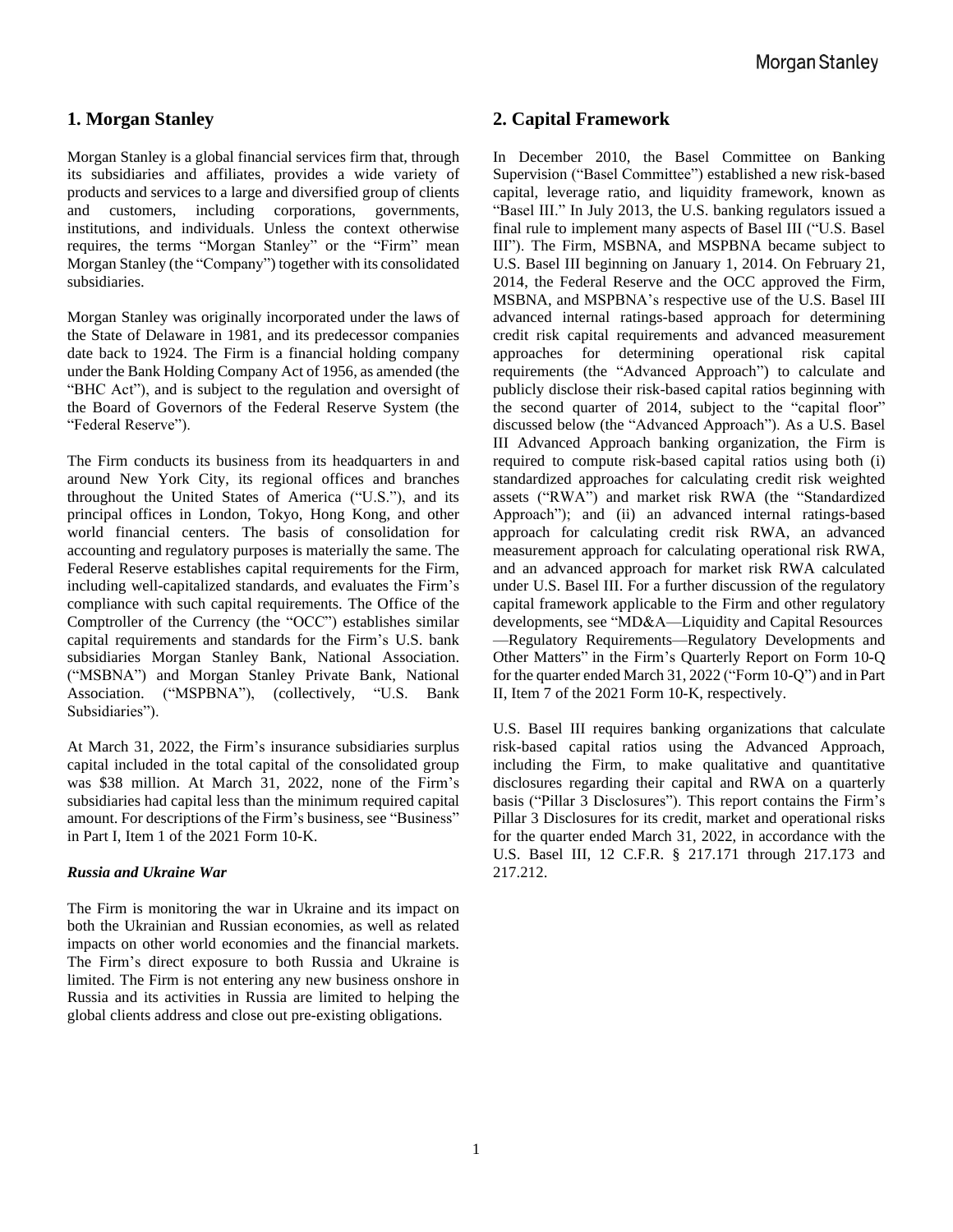# **1. Morgan Stanley**

Morgan Stanley is a global financial services firm that, through its subsidiaries and affiliates, provides a wide variety of products and services to a large and diversified group of clients and customers, including corporations, governments, institutions, and individuals. Unless the context otherwise requires, the terms "Morgan Stanley" or the "Firm" mean Morgan Stanley (the "Company") together with its consolidated subsidiaries.

Morgan Stanley was originally incorporated under the laws of the State of Delaware in 1981, and its predecessor companies date back to 1924. The Firm is a financial holding company under the Bank Holding Company Act of 1956, as amended (the "BHC Act"), and is subject to the regulation and oversight of the Board of Governors of the Federal Reserve System (the "Federal Reserve").

The Firm conducts its business from its headquarters in and around New York City, its regional offices and branches throughout the United States of America ("U.S."), and its principal offices in London, Tokyo, Hong Kong, and other world financial centers. The basis of consolidation for accounting and regulatory purposes is materially the same. The Federal Reserve establishes capital requirements for the Firm, including well-capitalized standards, and evaluates the Firm's compliance with such capital requirements. The Office of the Comptroller of the Currency (the "OCC") establishes similar capital requirements and standards for the Firm's U.S. bank subsidiaries Morgan Stanley Bank, National Association. ("MSBNA") and Morgan Stanley Private Bank, National Association. ("MSPBNA"), (collectively, "U.S. Bank Subsidiaries").

At March 31, 2022, the Firm's insurance subsidiaries surplus capital included in the total capital of the consolidated group was \$38 million. At March 31, 2022, none of the Firm's subsidiaries had capital less than the minimum required capital amount. For descriptions of the Firm's business, see "Business" in Part I, Item 1 of the 2021 Form 10-K.

#### *Russia and Ukraine War*

The Firm is monitoring the war in Ukraine and its impact on both the Ukrainian and Russian economies, as well as related impacts on other world economies and the financial markets. The Firm's direct exposure to both Russia and Ukraine is limited. The Firm is not entering any new business onshore in Russia and its activities in Russia are limited to helping the global clients address and close out pre-existing obligations.

# **2. Capital Framework**

In December 2010, the Basel Committee on Banking Supervision ("Basel Committee") established a new risk-based capital, leverage ratio, and liquidity framework, known as "Basel III." In July 2013, the U.S. banking regulators issued a final rule to implement many aspects of Basel III ("U.S. Basel III"). The Firm, MSBNA, and MSPBNA became subject to U.S. Basel III beginning on January 1, 2014. On February 21, 2014, the Federal Reserve and the OCC approved the Firm, MSBNA, and MSPBNA's respective use of the U.S. Basel III advanced internal ratings-based approach for determining credit risk capital requirements and advanced measurement approaches for determining operational risk capital requirements (the "Advanced Approach") to calculate and publicly disclose their risk-based capital ratios beginning with the second quarter of 2014, subject to the "capital floor" discussed below (the "Advanced Approach"). As a U.S. Basel III Advanced Approach banking organization, the Firm is required to compute risk-based capital ratios using both (i) standardized approaches for calculating credit risk weighted assets ("RWA") and market risk RWA (the "Standardized Approach"); and (ii) an advanced internal ratings-based approach for calculating credit risk RWA, an advanced measurement approach for calculating operational risk RWA, and an advanced approach for market risk RWA calculated under U.S. Basel III. For a further discussion of the regulatory capital framework applicable to the Firm and other regulatory developments, see "MD&A—Liquidity and Capital Resources —Regulatory Requirements—Regulatory Developments and Other Matters" in the Firm's Quarterly Report on Form 10-Q for the quarter ended March 31, 2022 ("Form 10-Q") and in Part II, Item 7 of the 2021 Form 10-K, respectively.

U.S. Basel III requires banking organizations that calculate risk-based capital ratios using the Advanced Approach, including the Firm, to make qualitative and quantitative disclosures regarding their capital and RWA on a quarterly basis ("Pillar 3 Disclosures"). This report contains the Firm's Pillar 3 Disclosures for its credit, market and operational risks for the quarter ended March 31, 2022, in accordance with the U.S. Basel III, 12 C.F.R. § 217.171 through 217.173 and 217.212.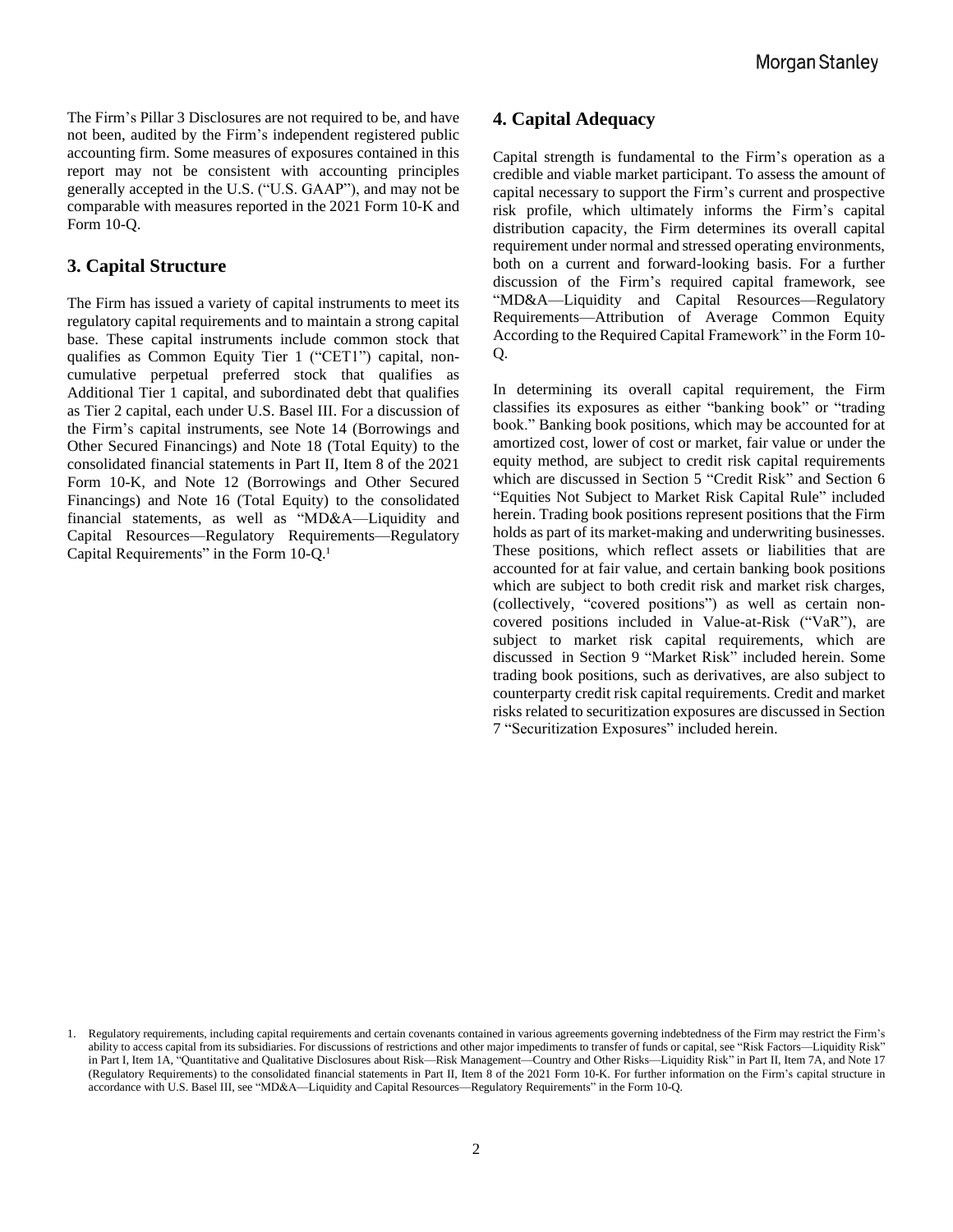The Firm's Pillar 3 Disclosures are not required to be, and have not been, audited by the Firm's independent registered public accounting firm. Some measures of exposures contained in this report may not be consistent with accounting principles generally accepted in the U.S. ("U.S. GAAP"), and may not be comparable with measures reported in the 2021 Form 10-K and Form 10-Q.

# **3. Capital Structure**

The Firm has issued a variety of capital instruments to meet its regulatory capital requirements and to maintain a strong capital base. These capital instruments include common stock that qualifies as Common Equity Tier 1 ("CET1") capital, noncumulative perpetual preferred stock that qualifies as Additional Tier 1 capital, and subordinated debt that qualifies as Tier 2 capital, each under U.S. Basel III. For a discussion of the Firm's capital instruments, see Note 14 (Borrowings and Other Secured Financings) and Note 18 (Total Equity) to the consolidated financial statements in Part II, Item 8 of the 2021 Form 10-K, and Note 12 (Borrowings and Other Secured Financings) and Note 16 (Total Equity) to the consolidated financial statements, as well as "MD&A—Liquidity and Capital Resources—Regulatory Requirements—Regulatory Capital Requirements" in the Form 10-Q.<sup>1</sup>

# **4. Capital Adequacy**

Capital strength is fundamental to the Firm's operation as a credible and viable market participant. To assess the amount of capital necessary to support the Firm's current and prospective risk profile, which ultimately informs the Firm's capital distribution capacity, the Firm determines its overall capital requirement under normal and stressed operating environments, both on a current and forward-looking basis. For a further discussion of the Firm's required capital framework, see "MD&A—Liquidity and Capital Resources—Regulatory Requirements—Attribution of Average Common Equity According to the Required Capital Framework" in the Form 10- Q.

In determining its overall capital requirement, the Firm classifies its exposures as either "banking book" or "trading book." Banking book positions, which may be accounted for at amortized cost, lower of cost or market, fair value or under the equity method, are subject to credit risk capital requirements which are discussed in Section 5 "Credit Risk" and Section 6 "Equities Not Subject to Market Risk Capital Rule" included herein. Trading book positions represent positions that the Firm holds as part of its market-making and underwriting businesses. These positions, which reflect assets or liabilities that are accounted for at fair value, and certain banking book positions which are subject to both credit risk and market risk charges, (collectively, "covered positions") as well as certain noncovered positions included in Value-at-Risk ("VaR"), are subject to market risk capital requirements, which are discussed in Section 9 "Market Risk" included herein. Some trading book positions, such as derivatives, are also subject to counterparty credit risk capital requirements. Credit and market risks related to securitization exposures are discussed in Section 7 "Securitization Exposures" included herein.

<sup>1.</sup> Regulatory requirements, including capital requirements and certain covenants contained in various agreements governing indebtedness of the Firm may restrict the Firm's ability to access capital from its subsidiaries. For discussions of restrictions and other major impediments to transfer of funds or capital, see "Risk Factors—Liquidity Risk" in Part I, Item 1A, "Quantitative and Qualitative Disclosures about Risk—Risk Management—Country and Other Risks—Liquidity Risk" in Part II, Item 7A, and Note 17 (Regulatory Requirements) to the consolidated financial statements in Part II, Item 8 of the 2021 Form 10-K. For further information on the Firm's capital structure in accordance with U.S. Basel III, see "MD&A—Liquidity and Capital Resources—Regulatory Requirements" in the Form 10-Q.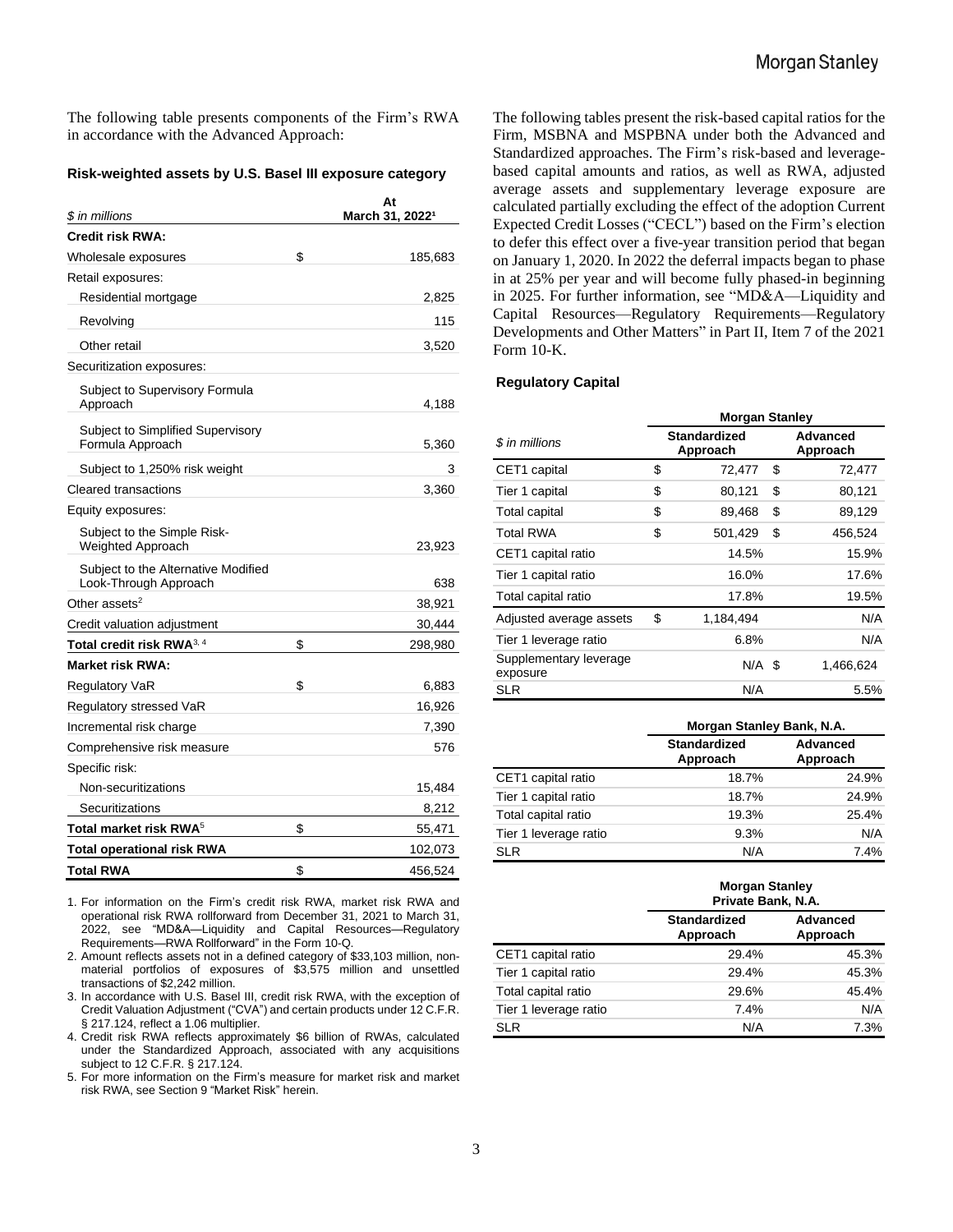The following table presents components of the Firm's RWA in accordance with the Advanced Approach:

#### **Risk-weighted assets by U.S. Basel III exposure category**

| \$ in millions                                               | At<br>March 31, 2022 <sup>1</sup> |
|--------------------------------------------------------------|-----------------------------------|
| <b>Credit risk RWA:</b>                                      |                                   |
| Wholesale exposures                                          | \$<br>185,683                     |
| Retail exposures:                                            |                                   |
| Residential mortgage                                         | 2,825                             |
| Revolving                                                    | 115                               |
| Other retail                                                 | 3,520                             |
| Securitization exposures:                                    |                                   |
| Subject to Supervisory Formula<br>Approach                   | 4,188                             |
| Subject to Simplified Supervisory<br>Formula Approach        | 5,360                             |
| Subject to 1,250% risk weight                                | 3                                 |
| Cleared transactions                                         | 3,360                             |
| Equity exposures:                                            |                                   |
| Subject to the Simple Risk-<br><b>Weighted Approach</b>      | 23,923                            |
| Subject to the Alternative Modified<br>Look-Through Approach | 638                               |
| Other assets <sup>2</sup>                                    | 38,921                            |
| Credit valuation adjustment                                  | 30,444                            |
| Total credit risk RWA <sup>3, 4</sup>                        | \$<br>298,980                     |
| <b>Market risk RWA:</b>                                      |                                   |
| <b>Regulatory VaR</b>                                        | \$<br>6,883                       |
| Regulatory stressed VaR                                      | 16,926                            |
| Incremental risk charge                                      | 7,390                             |
| Comprehensive risk measure                                   | 576                               |
| Specific risk:                                               |                                   |
| Non-securitizations                                          | 15,484                            |
| Securitizations                                              | 8,212                             |
| Total market risk RWA $^5$                                   | \$<br>55,471                      |
| <b>Total operational risk RWA</b>                            | 102,073                           |
| <b>Total RWA</b>                                             | \$<br>456,524                     |

1. For information on the Firm's credit risk RWA, market risk RWA and operational risk RWA rollforward from December 31, 2021 to March 31, 2022, see "MD&A—Liquidity and Capital Resources—Regulatory Requirements—RWA Rollforward" in the Form 10-Q.

2. Amount reflects assets not in a defined category of \$33,103 million, nonmaterial portfolios of exposures of \$3,575 million and unsettled transactions of \$2,242 million.

3. In accordance with U.S. Basel III, credit risk RWA, with the exception of Credit Valuation Adjustment ("CVA") and certain products under 12 C.F.R. § 217.124, reflect a 1.06 multiplier.

4. Credit risk RWA reflects approximately \$6 billion of RWAs, calculated under the Standardized Approach, associated with any acquisitions subject to 12 C.F.R. § 217.124.

5. For more information on the Firm's measure for market risk and market risk RWA, see Section 9 "Market Risk" herein.

The following tables present the risk-based capital ratios for the Firm, MSBNA and MSPBNA under both the Advanced and Standardized approaches. The Firm's risk-based and leveragebased capital amounts and ratios, as well as RWA, adjusted average assets and supplementary leverage exposure are calculated partially excluding the effect of the adoption Current Expected Credit Losses ("CECL") based on the Firm's election to defer this effect over a five-year transition period that began on January 1, 2020. In 2022 the deferral impacts began to phase in at 25% per year and will become fully phased-in beginning in 2025. For further information, see "MD&A—Liquidity and Capital Resources—Regulatory Requirements—Regulatory Developments and Other Matters" in Part II, Item 7 of the 2021 Form 10-K.

#### **Regulatory Capital**

|                                    | <b>Morgan Stanley</b> |                                 |                      |           |  |  |  |  |  |  |
|------------------------------------|-----------------------|---------------------------------|----------------------|-----------|--|--|--|--|--|--|
| \$ in millions                     |                       | <b>Standardized</b><br>Approach | Advanced<br>Approach |           |  |  |  |  |  |  |
| CET1 capital                       | \$                    | 72,477                          | \$                   | 72,477    |  |  |  |  |  |  |
| Tier 1 capital                     | \$                    | 80,121                          | \$                   | 80,121    |  |  |  |  |  |  |
| <b>Total capital</b>               | \$                    | 89,468                          | \$                   | 89,129    |  |  |  |  |  |  |
| <b>Total RWA</b>                   | \$                    | 501,429                         | \$                   | 456,524   |  |  |  |  |  |  |
| CET1 capital ratio                 |                       | 14.5%                           |                      | 15.9%     |  |  |  |  |  |  |
| Tier 1 capital ratio               |                       | 16.0%                           |                      | 17.6%     |  |  |  |  |  |  |
| Total capital ratio                |                       | 17.8%                           |                      | 19.5%     |  |  |  |  |  |  |
| Adjusted average assets            | \$                    | 1,184,494                       |                      | N/A       |  |  |  |  |  |  |
| Tier 1 leverage ratio              |                       | 6.8%                            |                      | N/A       |  |  |  |  |  |  |
| Supplementary leverage<br>exposure |                       | $N/A$ \$                        |                      | 1,466,624 |  |  |  |  |  |  |
| SLR                                |                       | N/A                             |                      | 5.5%      |  |  |  |  |  |  |

|                       | Morgan Stanley Bank, N.A.       |                             |  |  |  |  |  |
|-----------------------|---------------------------------|-----------------------------|--|--|--|--|--|
|                       | <b>Standardized</b><br>Approach | <b>Advanced</b><br>Approach |  |  |  |  |  |
| CET1 capital ratio    | 18.7%                           | 24.9%                       |  |  |  |  |  |
| Tier 1 capital ratio  | 18.7%                           | 24.9%                       |  |  |  |  |  |
| Total capital ratio   | 19.3%                           | 25.4%                       |  |  |  |  |  |
| Tier 1 leverage ratio | 9.3%                            | N/A                         |  |  |  |  |  |
| <b>SLR</b>            | N/A                             | 7.4%                        |  |  |  |  |  |

|                       | <b>Morgan Stanley</b><br>Private Bank, N.A. |                      |  |  |  |  |  |
|-----------------------|---------------------------------------------|----------------------|--|--|--|--|--|
|                       | <b>Standardized</b><br>Approach             | Advanced<br>Approach |  |  |  |  |  |
| CET1 capital ratio    | 29.4%                                       | 45.3%                |  |  |  |  |  |
| Tier 1 capital ratio  | 29.4%                                       | 45.3%                |  |  |  |  |  |
| Total capital ratio   | 29.6%                                       | 45.4%                |  |  |  |  |  |
| Tier 1 leverage ratio | 7.4%                                        | N/A                  |  |  |  |  |  |
| <b>SLR</b>            | N/A                                         | 7.3%                 |  |  |  |  |  |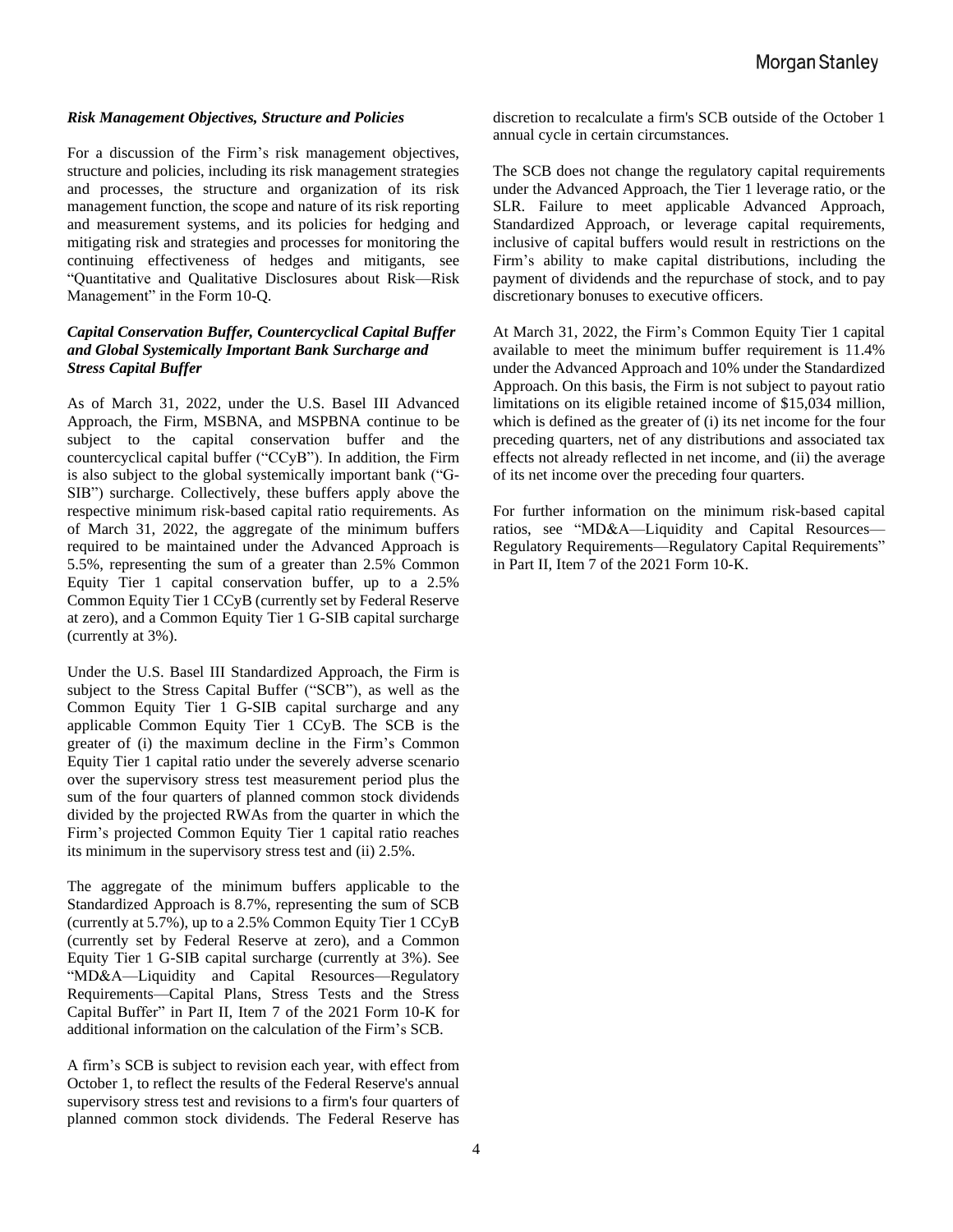#### *Risk Management Objectives, Structure and Policies*

For a discussion of the Firm's risk management objectives, structure and policies, including its risk management strategies and processes, the structure and organization of its risk management function, the scope and nature of its risk reporting and measurement systems, and its policies for hedging and mitigating risk and strategies and processes for monitoring the continuing effectiveness of hedges and mitigants, see "Quantitative and Qualitative Disclosures about Risk—Risk Management" in the Form 10-Q.

#### *Capital Conservation Buffer, Countercyclical Capital Buffer and Global Systemically Important Bank Surcharge and Stress Capital Buffer*

As of March 31, 2022, under the U.S. Basel III Advanced Approach, the Firm, MSBNA, and MSPBNA continue to be subject to the capital conservation buffer and the countercyclical capital buffer ("CCyB"). In addition, the Firm is also subject to the global systemically important bank ("G-SIB") surcharge. Collectively, these buffers apply above the respective minimum risk-based capital ratio requirements. As of March 31, 2022, the aggregate of the minimum buffers required to be maintained under the Advanced Approach is 5.5%, representing the sum of a greater than 2.5% Common Equity Tier 1 capital conservation buffer, up to a 2.5% Common Equity Tier 1 CCyB (currently set by Federal Reserve at zero), and a Common Equity Tier 1 G-SIB capital surcharge (currently at 3%).

Under the U.S. Basel III Standardized Approach, the Firm is subject to the Stress Capital Buffer ("SCB"), as well as the Common Equity Tier 1 G-SIB capital surcharge and any applicable Common Equity Tier 1 CCyB. The SCB is the greater of (i) the maximum decline in the Firm's Common Equity Tier 1 capital ratio under the severely adverse scenario over the supervisory stress test measurement period plus the sum of the four quarters of planned common stock dividends divided by the projected RWAs from the quarter in which the Firm's projected Common Equity Tier 1 capital ratio reaches its minimum in the supervisory stress test and (ii) 2.5%.

The aggregate of the minimum buffers applicable to the Standardized Approach is 8.7%, representing the sum of SCB (currently at 5.7%), up to a 2.5% Common Equity Tier 1 CCyB (currently set by Federal Reserve at zero), and a Common Equity Tier 1 G-SIB capital surcharge (currently at 3%). See "MD&A—Liquidity and Capital Resources—Regulatory Requirements—Capital Plans, Stress Tests and the Stress Capital Buffer" in Part II, Item 7 of the 2021 Form 10-K for additional information on the calculation of the Firm's SCB.

A firm's SCB is subject to revision each year, with effect from October 1, to reflect the results of the Federal Reserve's annual supervisory stress test and revisions to a firm's four quarters of planned common stock dividends. The Federal Reserve has discretion to recalculate a firm's SCB outside of the October 1 annual cycle in certain circumstances.

The SCB does not change the regulatory capital requirements under the Advanced Approach, the Tier 1 leverage ratio, or the SLR. Failure to meet applicable Advanced Approach, Standardized Approach, or leverage capital requirements, inclusive of capital buffers would result in restrictions on the Firm's ability to make capital distributions, including the payment of dividends and the repurchase of stock, and to pay discretionary bonuses to executive officers.

At March 31, 2022, the Firm's Common Equity Tier 1 capital available to meet the minimum buffer requirement is 11.4% under the Advanced Approach and 10% under the Standardized Approach. On this basis, the Firm is not subject to payout ratio limitations on its eligible retained income of \$15,034 million, which is defined as the greater of (i) its net income for the four preceding quarters, net of any distributions and associated tax effects not already reflected in net income, and (ii) the average of its net income over the preceding four quarters.

For further information on the minimum risk-based capital ratios, see "MD&A—Liquidity and Capital Resources— Regulatory Requirements—Regulatory Capital Requirements" in Part II, Item 7 of the 2021 Form 10-K.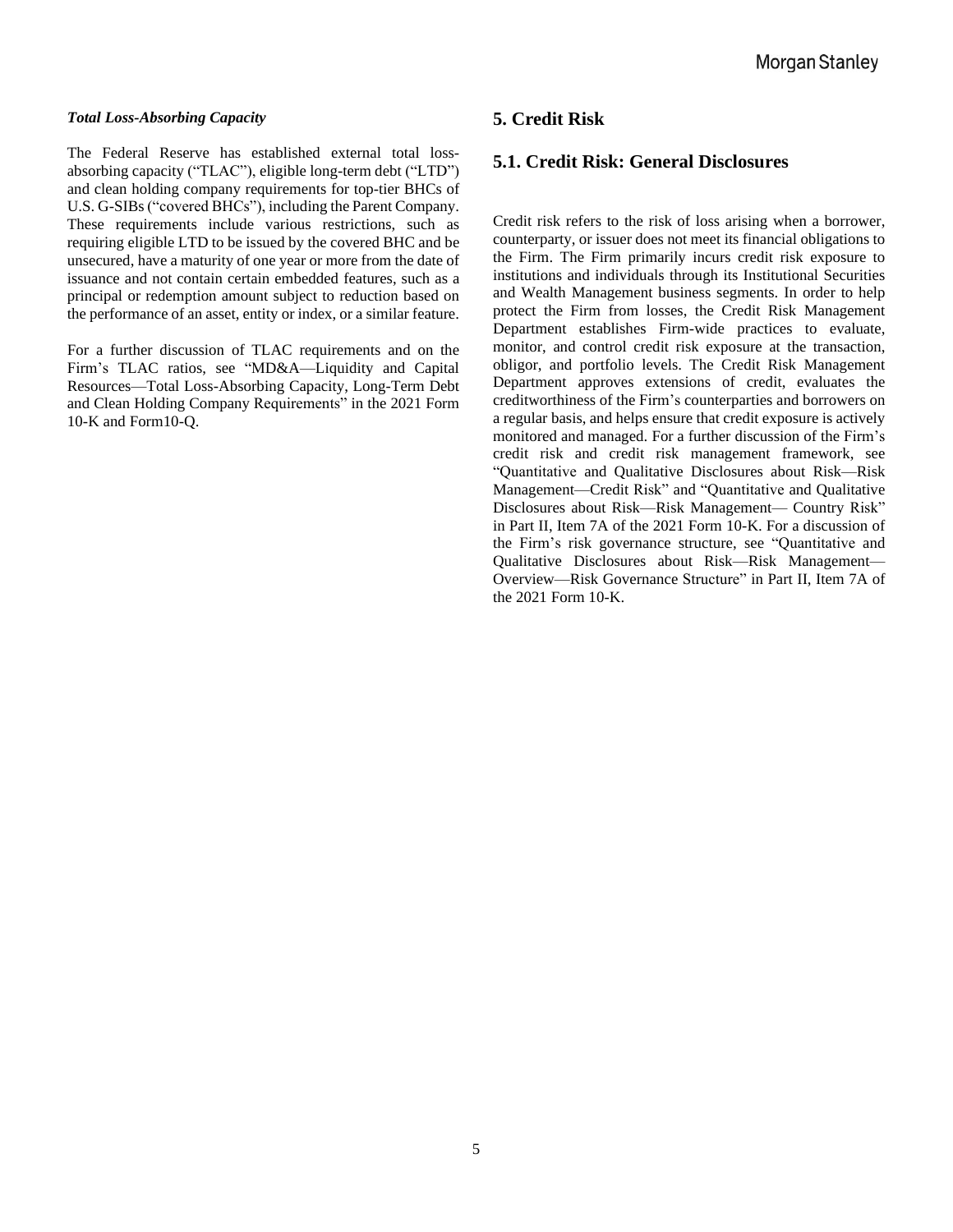#### *Total Loss-Absorbing Capacity*

The Federal Reserve has established external total lossabsorbing capacity ("TLAC"), eligible long-term debt ("LTD") and clean holding company requirements for top-tier BHCs of U.S. G-SIBs("covered BHCs"), including the Parent Company. These requirements include various restrictions, such as requiring eligible LTD to be issued by the covered BHC and be unsecured, have a maturity of one year or more from the date of issuance and not contain certain embedded features, such as a principal or redemption amount subject to reduction based on the performance of an asset, entity or index, or a similar feature.

For a further discussion of TLAC requirements and on the Firm's TLAC ratios, see "MD&A—Liquidity and Capital Resources—Total Loss-Absorbing Capacity, Long-Term Debt and Clean Holding Company Requirements" in the 2021 Form 10-K and Form10-Q.

# **5. Credit Risk**

## **5.1. Credit Risk: General Disclosures**

Credit risk refers to the risk of loss arising when a borrower, counterparty, or issuer does not meet its financial obligations to the Firm. The Firm primarily incurs credit risk exposure to institutions and individuals through its Institutional Securities and Wealth Management business segments. In order to help protect the Firm from losses, the Credit Risk Management Department establishes Firm-wide practices to evaluate, monitor, and control credit risk exposure at the transaction, obligor, and portfolio levels. The Credit Risk Management Department approves extensions of credit, evaluates the creditworthiness of the Firm's counterparties and borrowers on a regular basis, and helps ensure that credit exposure is actively monitored and managed. For a further discussion of the Firm's credit risk and credit risk management framework, see "Quantitative and Qualitative Disclosures about Risk—Risk Management—Credit Risk" and "Quantitative and Qualitative Disclosures about Risk—Risk Management— Country Risk" in Part II, Item 7A of the 2021 Form 10-K. For a discussion of the Firm's risk governance structure, see "Quantitative and Qualitative Disclosures about Risk—Risk Management— Overview—Risk Governance Structure" in Part II, Item 7A of the 2021 Form 10-K.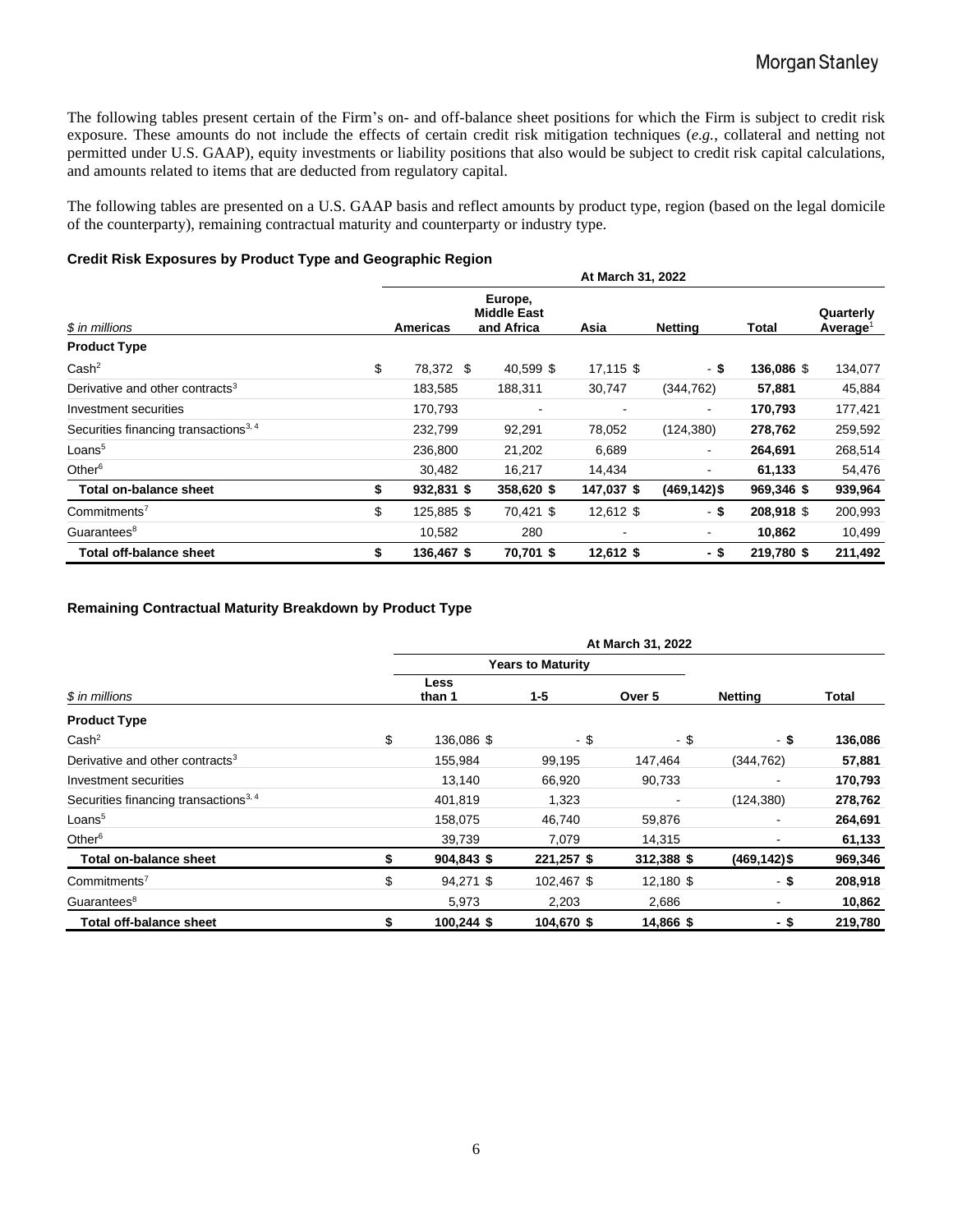The following tables present certain of the Firm's on- and off-balance sheet positions for which the Firm is subject to credit risk exposure. These amounts do not include the effects of certain credit risk mitigation techniques (*e.g.*, collateral and netting not permitted under U.S. GAAP), equity investments or liability positions that also would be subject to credit risk capital calculations, and amounts related to items that are deducted from regulatory capital.

The following tables are presented on a U.S. GAAP basis and reflect amounts by product type, region (based on the legal domicile of the counterparty), remaining contractual maturity and counterparty or industry type.

#### **Credit Risk Exposures by Product Type and Geographic Region**

|                                                   | At March 31, 2022 |                 |  |                                             |             |                          |            |                                   |  |  |  |  |
|---------------------------------------------------|-------------------|-----------------|--|---------------------------------------------|-------------|--------------------------|------------|-----------------------------------|--|--|--|--|
| \$ in millions                                    |                   | <b>Americas</b> |  | Europe,<br><b>Middle East</b><br>and Africa | Asia        | <b>Netting</b>           | Total      | Quarterly<br>Average <sup>1</sup> |  |  |  |  |
| <b>Product Type</b>                               |                   |                 |  |                                             |             |                          |            |                                   |  |  |  |  |
| Cash <sup>2</sup>                                 | \$                | 78,372 \$       |  | 40,599 \$                                   | 17,115 \$   | - \$                     | 136,086 \$ | 134,077                           |  |  |  |  |
| Derivative and other contracts <sup>3</sup>       |                   | 183,585         |  | 188,311                                     | 30,747      | (344, 762)               | 57,881     | 45,884                            |  |  |  |  |
| Investment securities                             |                   | 170,793         |  |                                             |             | $\overline{\phantom{a}}$ | 170,793    | 177,421                           |  |  |  |  |
| Securities financing transactions <sup>3, 4</sup> |                   | 232,799         |  | 92,291                                      | 78,052      | (124, 380)               | 278,762    | 259,592                           |  |  |  |  |
| Loans <sup>5</sup>                                |                   | 236,800         |  | 21,202                                      | 6,689       | $\overline{\phantom{a}}$ | 264,691    | 268,514                           |  |  |  |  |
| Other $6$                                         |                   | 30,482          |  | 16,217                                      | 14,434      | $\overline{\phantom{a}}$ | 61,133     | 54,476                            |  |  |  |  |
| Total on-balance sheet                            | \$                | 932,831 \$      |  | 358,620 \$                                  | 147,037 \$  | $(469, 142)$ \$          | 969,346 \$ | 939,964                           |  |  |  |  |
| Commitments <sup>7</sup>                          | \$                | 125,885 \$      |  | 70,421 \$                                   | 12,612 \$   | - \$                     | 208,918 \$ | 200,993                           |  |  |  |  |
| Guarantees <sup>8</sup>                           |                   | 10,582          |  | 280                                         |             | $\blacksquare$           | 10,862     | 10,499                            |  |  |  |  |
| <b>Total off-balance sheet</b>                    | \$                | 136,467 \$      |  | 70,701 \$                                   | $12,612$ \$ | - \$                     | 219,780 \$ | 211,492                           |  |  |  |  |

#### **Remaining Contractual Maturity Breakdown by Product Type**

|                                                   |                          |            | At March 31, 2022 |                 |         |
|---------------------------------------------------|--------------------------|------------|-------------------|-----------------|---------|
|                                                   | <b>Years to Maturity</b> |            |                   |                 |         |
| \$ in millions                                    | Less<br>than 1           | $1 - 5$    | Over 5            | <b>Netting</b>  | Total   |
| <b>Product Type</b>                               |                          |            |                   |                 |         |
| Cash <sup>2</sup>                                 | \$<br>136,086 \$         | - \$       | - \$              | - \$            | 136,086 |
| Derivative and other contracts <sup>3</sup>       | 155,984                  | 99,195     | 147,464           | (344, 762)      | 57,881  |
| Investment securities                             | 13,140                   | 66,920     | 90,733            |                 | 170,793 |
| Securities financing transactions <sup>3, 4</sup> | 401,819                  | 1,323      |                   | (124, 380)      | 278,762 |
| Loans <sup>5</sup>                                | 158,075                  | 46,740     | 59,876            |                 | 264,691 |
| Other <sup>6</sup>                                | 39,739                   | 7,079      | 14,315            |                 | 61,133  |
| Total on-balance sheet                            | 904,843 \$               | 221,257 \$ | 312,388 \$        | $(469, 142)$ \$ | 969,346 |
| Commitments <sup>7</sup>                          | \$<br>94,271 \$          | 102,467 \$ | 12,180 \$         | - \$            | 208,918 |
| Guarantees <sup>8</sup>                           | 5,973                    | 2,203      | 2,686             | ۰               | 10,862  |
| Total off-balance sheet                           | \$<br>100,244 \$         | 104,670 \$ | 14,866 \$         | -\$             | 219,780 |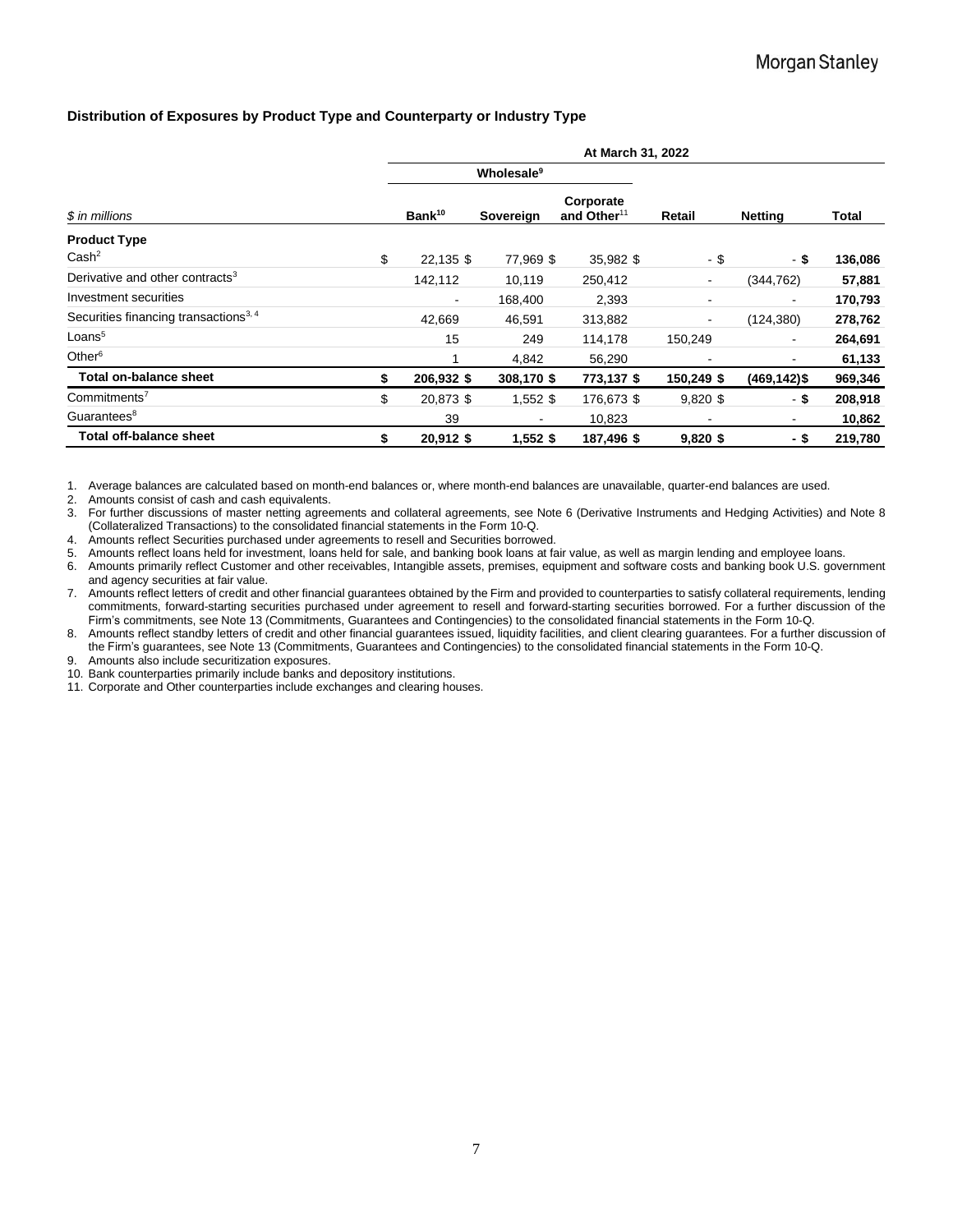#### **Distribution of Exposures by Product Type and Counterparty or Industry Type**

|                                                   | At March 31, 2022 |                    |                        |                                      |                |                              |              |  |  |  |  |
|---------------------------------------------------|-------------------|--------------------|------------------------|--------------------------------------|----------------|------------------------------|--------------|--|--|--|--|
|                                                   |                   |                    | Wholesale <sup>9</sup> |                                      |                |                              |              |  |  |  |  |
| \$ in millions                                    |                   | Bank <sup>10</sup> | Sovereign              | Corporate<br>and Other <sup>11</sup> | Retail         | Netting                      | <b>Total</b> |  |  |  |  |
| <b>Product Type</b>                               |                   |                    |                        |                                      |                |                              |              |  |  |  |  |
| Cash <sup>2</sup>                                 | \$                | 22,135 \$          | 77,969 \$              | 35,982 \$                            | - \$           | - \$                         | 136,086      |  |  |  |  |
| Derivative and other contracts <sup>3</sup>       |                   | 142,112            | 10,119                 | 250,412                              | $\blacksquare$ | (344,762)                    | 57,881       |  |  |  |  |
| Investment securities                             |                   | $\blacksquare$     | 168,400                | 2,393                                | $\blacksquare$ | ۰                            | 170,793      |  |  |  |  |
| Securities financing transactions <sup>3, 4</sup> |                   | 42,669             | 46,591                 | 313,882                              | $\blacksquare$ | (124, 380)                   | 278,762      |  |  |  |  |
| Loans <sup>5</sup>                                |                   | 15                 | 249                    | 114,178                              | 150,249        | ٠                            | 264,691      |  |  |  |  |
| Other $6$                                         |                   |                    | 4,842                  | 56,290                               |                | $\qquad \qquad \blacksquare$ | 61,133       |  |  |  |  |
| Total on-balance sheet                            | \$                | 206,932 \$         | 308,170 \$             | 773,137 \$                           | 150,249 \$     | $(469, 142)$ \$              | 969,346      |  |  |  |  |
| Commitments <sup>7</sup>                          | \$                | 20,873 \$          | $1,552$ \$             | 176,673 \$                           | $9,820$ \$     | - \$                         | 208,918      |  |  |  |  |
| Guarantees <sup>8</sup>                           |                   | 39                 | ۰                      | 10,823                               |                | $\sim$                       | 10,862       |  |  |  |  |
| <b>Total off-balance sheet</b>                    | S                 | 20,912 \$          | 1,552 \$               | 187,496 \$                           | $9,820$ \$     | - \$                         | 219,780      |  |  |  |  |

1. Average balances are calculated based on month-end balances or, where month-end balances are unavailable, quarter-end balances are used.

2. Amounts consist of cash and cash equivalents.

3. For further discussions of master netting agreements and collateral agreements, see Note 6 (Derivative Instruments and Hedging Activities) and Note 8 (Collateralized Transactions) to the consolidated financial statements in the Form 10-Q.

4. Amounts reflect Securities purchased under agreements to resell and Securities borrowed.

5. Amounts reflect loans held for investment, loans held for sale, and banking book loans at fair value, as well as margin lending and employee loans.

6. Amounts primarily reflect Customer and other receivables, Intangible assets, premises, equipment and software costs and banking book U.S. government and agency securities at fair value.

7. Amounts reflect letters of credit and other financial guarantees obtained by the Firm and provided to counterparties to satisfy collateral requirements, lending commitments, forward-starting securities purchased under agreement to resell and forward-starting securities borrowed. For a further discussion of the Firm's commitments, see Note 13 (Commitments, Guarantees and Contingencies) to the consolidated financial statements in the Form 10-Q.

8. Amounts reflect standby letters of credit and other financial guarantees issued, liquidity facilities, and client clearing guarantees. For a further discussion of the Firm's guarantees, see Note 13 (Commitments, Guarantees and Contingencies) to the consolidated financial statements in the Form 10-Q.

9. Amounts also include securitization exposures.

10. Bank counterparties primarily include banks and depository institutions.

11. Corporate and Other counterparties include exchanges and clearing houses.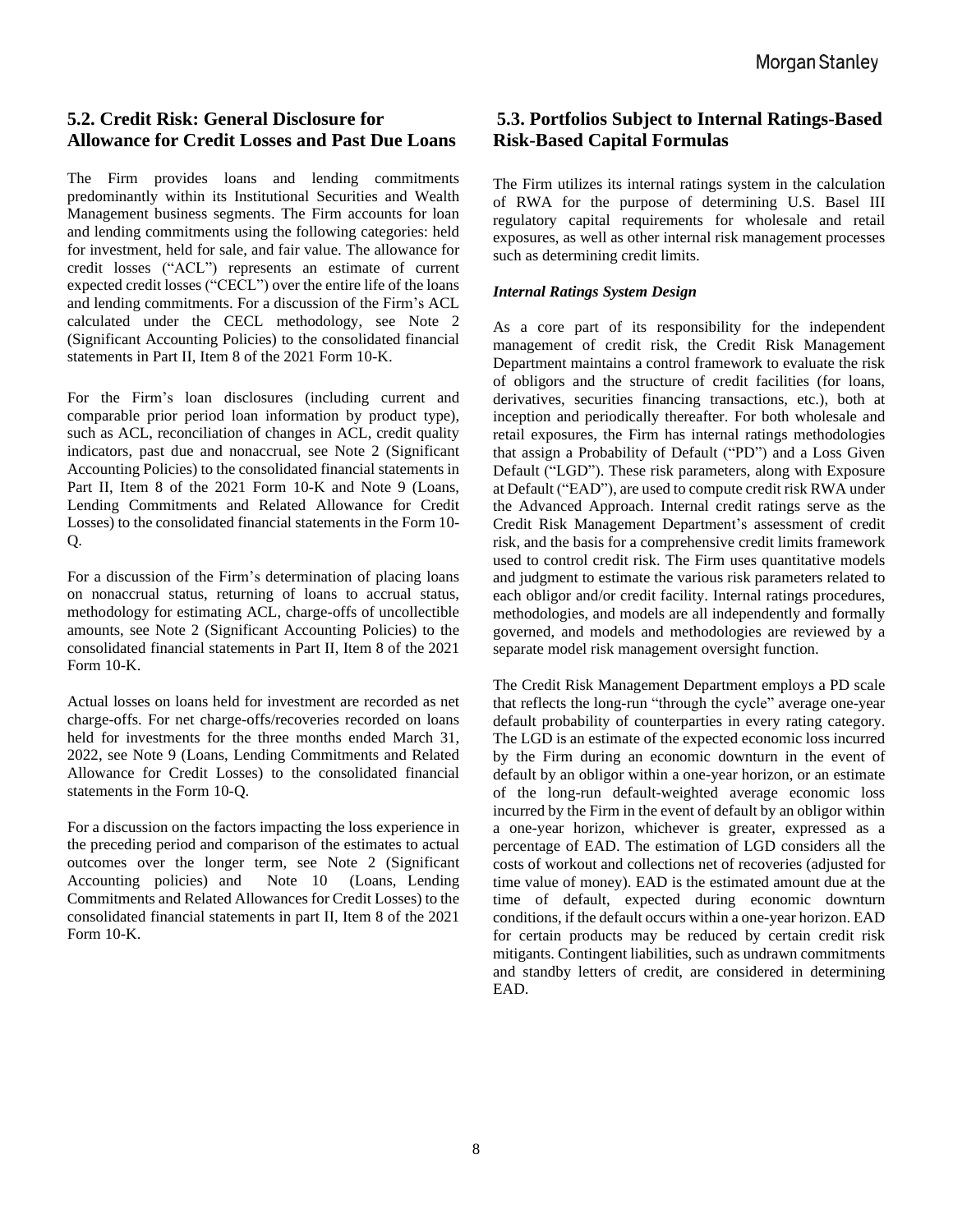# **5.2. Credit Risk: General Disclosure for Allowance for Credit Losses and Past Due Loans**

The Firm provides loans and lending commitments predominantly within its Institutional Securities and Wealth Management business segments. The Firm accounts for loan and lending commitments using the following categories: held for investment, held for sale, and fair value. The allowance for credit losses ("ACL") represents an estimate of current expected credit losses ("CECL") over the entire life of the loans and lending commitments. For a discussion of the Firm's ACL calculated under the CECL methodology, see Note 2 (Significant Accounting Policies) to the consolidated financial statements in Part II, Item 8 of the 2021 Form 10-K.

For the Firm's loan disclosures (including current and comparable prior period loan information by product type), such as ACL, reconciliation of changes in ACL, credit quality indicators, past due and nonaccrual, see Note 2 (Significant Accounting Policies) to the consolidated financial statements in Part II, Item 8 of the 2021 Form 10-K and Note 9 (Loans, Lending Commitments and Related Allowance for Credit Losses) to the consolidated financial statements in the Form 10- Q.

For a discussion of the Firm's determination of placing loans on nonaccrual status, returning of loans to accrual status, methodology for estimating ACL, charge-offs of uncollectible amounts, see Note 2 (Significant Accounting Policies) to the consolidated financial statements in Part II, Item 8 of the 2021 Form 10-K.

Actual losses on loans held for investment are recorded as net charge-offs. For net charge-offs/recoveries recorded on loans held for investments for the three months ended March 31, 2022, see Note 9 (Loans, Lending Commitments and Related Allowance for Credit Losses) to the consolidated financial statements in the Form 10-Q.

For a discussion on the factors impacting the loss experience in the preceding period and comparison of the estimates to actual outcomes over the longer term, see Note 2 (Significant Accounting policies) and Note 10 (Loans, Lending Commitments and Related Allowances for Credit Losses) to the consolidated financial statements in part II, Item 8 of the 2021 Form  $10-K$ 

# **5.3. Portfolios Subject to Internal Ratings-Based Risk-Based Capital Formulas**

The Firm utilizes its internal ratings system in the calculation of RWA for the purpose of determining U.S. Basel III regulatory capital requirements for wholesale and retail exposures, as well as other internal risk management processes such as determining credit limits.

## *Internal Ratings System Design*

As a core part of its responsibility for the independent management of credit risk, the Credit Risk Management Department maintains a control framework to evaluate the risk of obligors and the structure of credit facilities (for loans, derivatives, securities financing transactions, etc.), both at inception and periodically thereafter. For both wholesale and retail exposures, the Firm has internal ratings methodologies that assign a Probability of Default ("PD") and a Loss Given Default ("LGD"). These risk parameters, along with Exposure at Default ("EAD"), are used to compute credit risk RWA under the Advanced Approach. Internal credit ratings serve as the Credit Risk Management Department's assessment of credit risk, and the basis for a comprehensive credit limits framework used to control credit risk. The Firm uses quantitative models and judgment to estimate the various risk parameters related to each obligor and/or credit facility. Internal ratings procedures, methodologies, and models are all independently and formally governed, and models and methodologies are reviewed by a separate model risk management oversight function.

The Credit Risk Management Department employs a PD scale that reflects the long-run "through the cycle" average one-year default probability of counterparties in every rating category. The LGD is an estimate of the expected economic loss incurred by the Firm during an economic downturn in the event of default by an obligor within a one-year horizon, or an estimate of the long-run default-weighted average economic loss incurred by the Firm in the event of default by an obligor within a one-year horizon, whichever is greater, expressed as a percentage of EAD. The estimation of LGD considers all the costs of workout and collections net of recoveries (adjusted for time value of money). EAD is the estimated amount due at the time of default, expected during economic downturn conditions, if the default occurs within a one-year horizon. EAD for certain products may be reduced by certain credit risk mitigants. Contingent liabilities, such as undrawn commitments and standby letters of credit, are considered in determining EAD.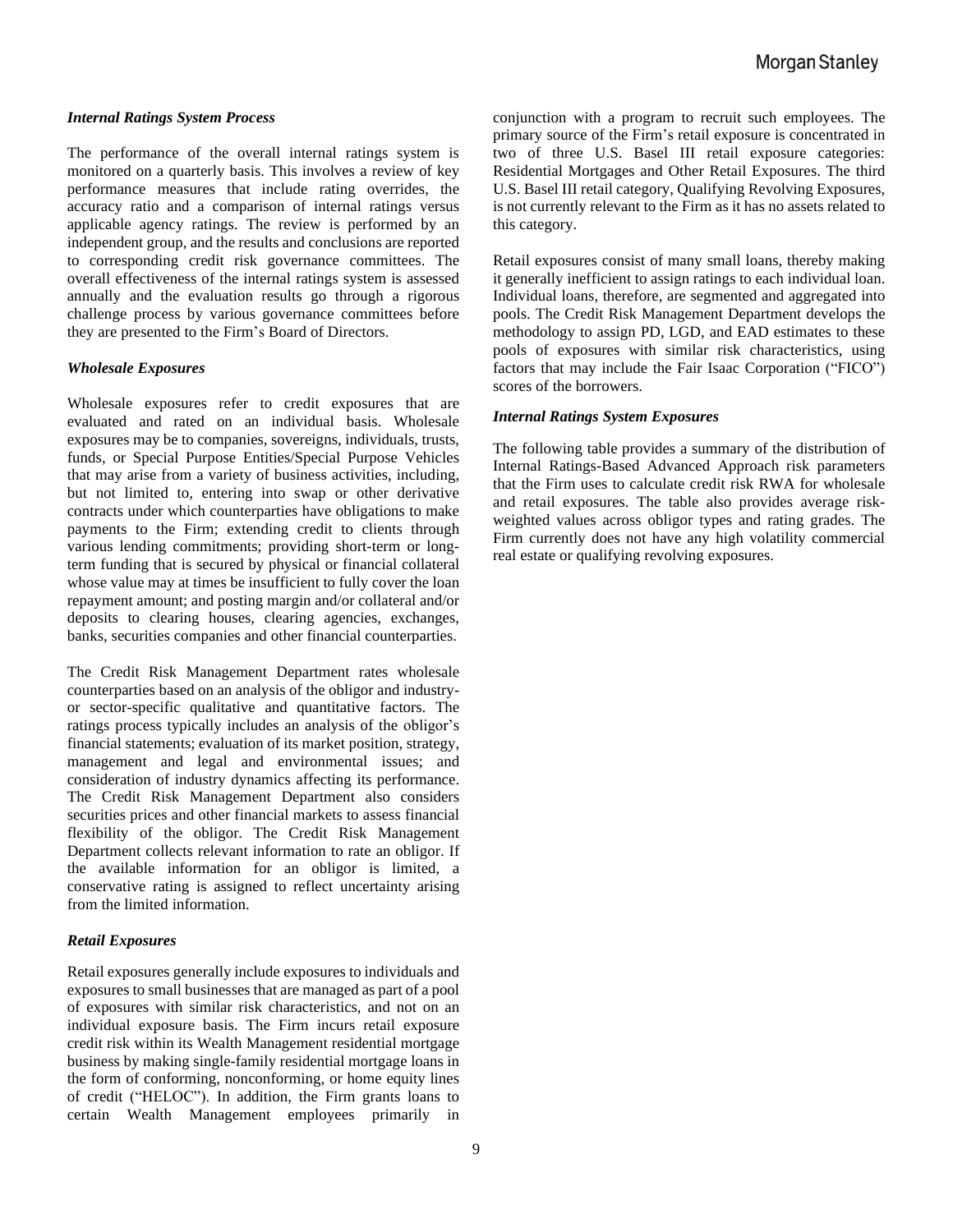#### *Internal Ratings System Process*

The performance of the overall internal ratings system is monitored on a quarterly basis. This involves a review of key performance measures that include rating overrides, the accuracy ratio and a comparison of internal ratings versus applicable agency ratings. The review is performed by an independent group, and the results and conclusions are reported to corresponding credit risk governance committees. The overall effectiveness of the internal ratings system is assessed annually and the evaluation results go through a rigorous challenge process by various governance committees before they are presented to the Firm's Board of Directors.

#### *Wholesale Exposures*

Wholesale exposures refer to credit exposures that are evaluated and rated on an individual basis. Wholesale exposures may be to companies, sovereigns, individuals, trusts, funds, or Special Purpose Entities/Special Purpose Vehicles that may arise from a variety of business activities, including, but not limited to, entering into swap or other derivative contracts under which counterparties have obligations to make payments to the Firm; extending credit to clients through various lending commitments; providing short-term or longterm funding that is secured by physical or financial collateral whose value may at times be insufficient to fully cover the loan repayment amount; and posting margin and/or collateral and/or deposits to clearing houses, clearing agencies, exchanges, banks, securities companies and other financial counterparties.

The Credit Risk Management Department rates wholesale counterparties based on an analysis of the obligor and industryor sector-specific qualitative and quantitative factors. The ratings process typically includes an analysis of the obligor's financial statements; evaluation of its market position, strategy, management and legal and environmental issues; and consideration of industry dynamics affecting its performance. The Credit Risk Management Department also considers securities prices and other financial markets to assess financial flexibility of the obligor. The Credit Risk Management Department collects relevant information to rate an obligor. If the available information for an obligor is limited, a conservative rating is assigned to reflect uncertainty arising from the limited information.

#### *Retail Exposures*

Retail exposures generally include exposures to individuals and exposures to small businesses that are managed as part of a pool of exposures with similar risk characteristics, and not on an individual exposure basis. The Firm incurs retail exposure credit risk within its Wealth Management residential mortgage business by making single-family residential mortgage loans in the form of conforming, nonconforming, or home equity lines of credit ("HELOC"). In addition, the Firm grants loans to certain Wealth Management employees primarily in conjunction with a program to recruit such employees. The primary source of the Firm's retail exposure is concentrated in two of three U.S. Basel III retail exposure categories: Residential Mortgages and Other Retail Exposures. The third U.S. Basel III retail category, Qualifying Revolving Exposures, is not currently relevant to the Firm as it has no assets related to this category.

Retail exposures consist of many small loans, thereby making it generally inefficient to assign ratings to each individual loan. Individual loans, therefore, are segmented and aggregated into pools. The Credit Risk Management Department develops the methodology to assign PD, LGD, and EAD estimates to these pools of exposures with similar risk characteristics, using factors that may include the Fair Isaac Corporation ("FICO") scores of the borrowers.

#### *Internal Ratings System Exposures*

The following table provides a summary of the distribution of Internal Ratings-Based Advanced Approach risk parameters that the Firm uses to calculate credit risk RWA for wholesale and retail exposures. The table also provides average riskweighted values across obligor types and rating grades. The Firm currently does not have any high volatility commercial real estate or qualifying revolving exposures.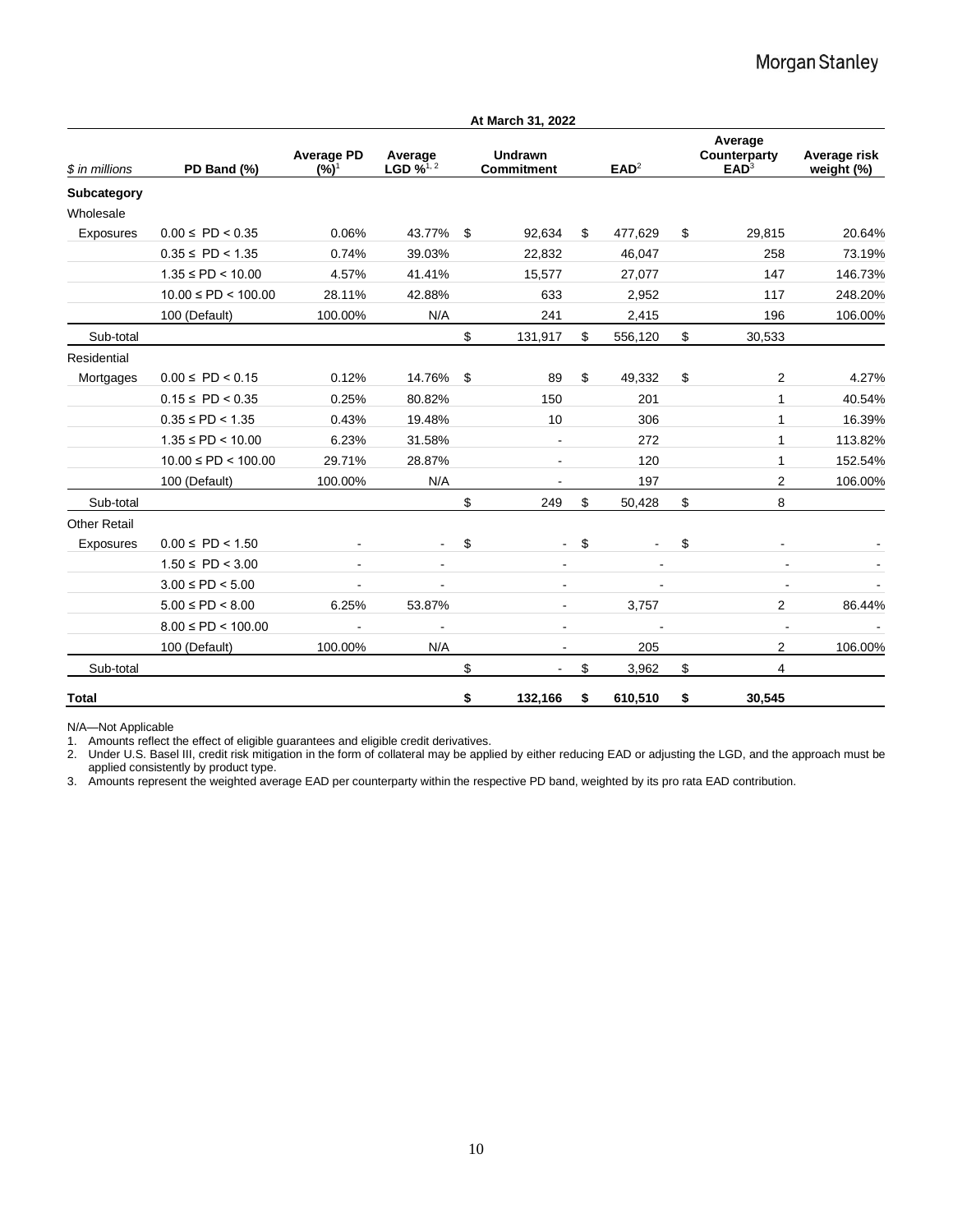|                          |                          |                              |                                              |                | At March 31, 2022                                |       |                                             |                            |                |         |        |
|--------------------------|--------------------------|------------------------------|----------------------------------------------|----------------|--------------------------------------------------|-------|---------------------------------------------|----------------------------|----------------|---------|--------|
| \$ in millions           | PD Band (%)              | <b>Average PD</b><br>$(%)^1$ | Average<br>LGD $\frac{1}{2}$ <sup>1, 2</sup> |                | Undrawn<br>EAD <sup>2</sup><br><b>Commitment</b> |       | Average<br>Counterparty<br>EAD <sup>3</sup> | Average risk<br>weight (%) |                |         |        |
| Subcategory<br>Wholesale |                          |                              |                                              |                |                                                  |       |                                             |                            |                |         |        |
| Exposures                | $0.00 \leq P D < 0.35$   | 0.06%                        | 43.77%                                       | \$             | 92,634                                           | \$    | 477,629                                     | \$                         | 29,815         | 20.64%  |        |
|                          | $0.35 \leq P D < 1.35$   | 0.74%                        | 39.03%                                       |                | 22,832                                           |       | 46,047                                      |                            | 258            | 73.19%  |        |
|                          | $1.35 \leq PD < 10.00$   | 4.57%                        | 41.41%                                       |                | 15,577                                           |       | 27,077                                      |                            | 147            | 146.73% |        |
|                          | $10.00 \leq PD < 100.00$ | 28.11%                       | 42.88%                                       |                | 633                                              |       | 2,952                                       |                            | 117            | 248.20% |        |
|                          | 100 (Default)            | 100.00%                      | N/A                                          |                | 241                                              |       | 2,415                                       |                            | 196            | 106.00% |        |
| Sub-total                |                          |                              |                                              | \$             | 131,917                                          | \$    | 556,120                                     | \$                         | 30,533         |         |        |
| Residential              |                          |                              |                                              |                |                                                  |       |                                             |                            |                |         |        |
| Mortgages                | $0.00 \leq P D < 0.15$   | 0.12%                        | 14.76%                                       | \$             | 89                                               | \$    | 49,332                                      | \$                         | 2              | 4.27%   |        |
|                          | $0.15 \leq P D < 0.35$   | 0.25%                        | 80.82%                                       |                | 150                                              |       | 201                                         |                            | 1              | 40.54%  |        |
|                          | $0.35 \leq P D < 1.35$   | 0.43%                        | 19.48%                                       |                |                                                  | 10    |                                             | 306                        |                | 1       | 16.39% |
|                          | $1.35 \leq PD < 10.00$   | 6.23%                        | 31.58%                                       |                |                                                  |       | 272                                         |                            | 1              | 113.82% |        |
|                          | $10.00 \leq PD < 100.00$ | 29.71%                       | 28.87%                                       |                |                                                  |       | 120                                         |                            | 1              | 152.54% |        |
|                          | 100 (Default)            | 100.00%                      | N/A                                          |                | $\blacksquare$                                   |       | 197                                         |                            | $\overline{2}$ | 106.00% |        |
| Sub-total                |                          |                              |                                              | \$             | 249                                              | \$    | 50,428                                      | \$                         | 8              |         |        |
| <b>Other Retail</b>      |                          |                              |                                              |                |                                                  |       |                                             |                            |                |         |        |
| Exposures                | $0.00 \leq P D < 1.50$   | $\blacksquare$               | $\blacksquare$                               | \$             | $\blacksquare$                                   | \$    | $\sim$                                      | \$                         | $\blacksquare$ |         |        |
|                          | $1.50 \leq P D < 3.00$   |                              | $\blacksquare$                               |                | $\blacksquare$<br>$\blacksquare$                 |       |                                             |                            |                |         |        |
|                          | $3.00 \leq PD < 5.00$    |                              |                                              | $\blacksquare$ |                                                  |       |                                             |                            |                |         |        |
|                          | $5.00 \leq PD < 8.00$    | 6.25%                        | 53.87%                                       | ۰.             |                                                  | 3,757 |                                             | 2                          | 86.44%         |         |        |
|                          | $8.00 \leq PD < 100.00$  |                              | $\overline{\phantom{a}}$                     |                | $\overline{\phantom{0}}$                         |       |                                             |                            |                |         |        |
|                          | 100 (Default)            | 100.00%                      | N/A                                          |                | $\overline{\phantom{a}}$                         |       | 205                                         |                            | 2              | 106.00% |        |
| Sub-total                |                          |                              |                                              | \$             |                                                  | \$    | 3,962                                       | \$                         | 4              |         |        |
| <b>Total</b>             |                          |                              |                                              | \$             | 132,166                                          | \$    | 610,510                                     | \$                         | 30.545         |         |        |

N/A—Not Applicable

1. Amounts reflect the effect of eligible guarantees and eligible credit derivatives.

2. Under U.S. Basel III, credit risk mitigation in the form of collateral may be applied by either reducing EAD or adjusting the LGD, and the approach must be applied consistently by product type.

3. Amounts represent the weighted average EAD per counterparty within the respective PD band, weighted by its pro rata EAD contribution.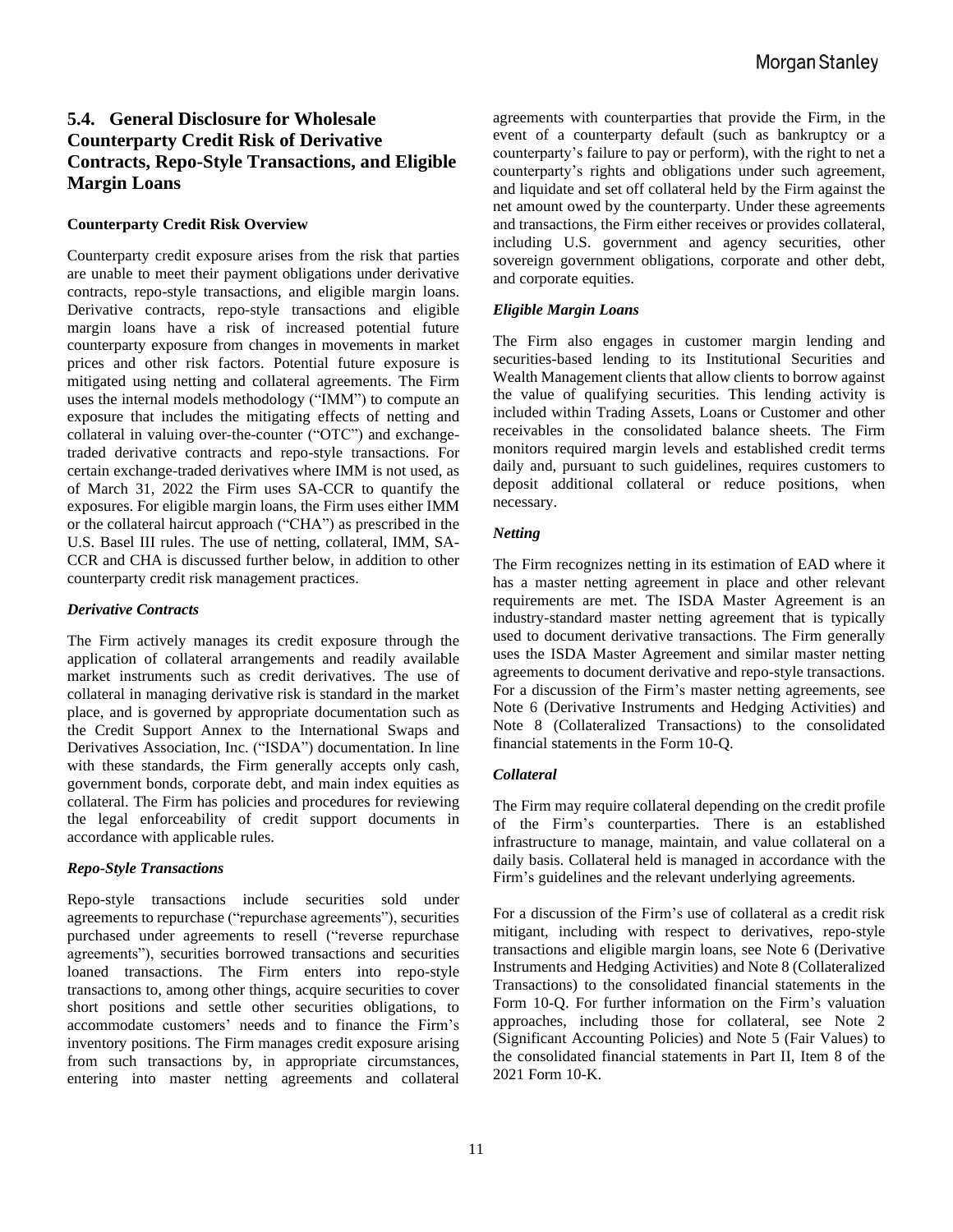# **5.4. General Disclosure for Wholesale Counterparty Credit Risk of Derivative Contracts, Repo-Style Transactions, and Eligible Margin Loans**

#### **Counterparty Credit Risk Overview**

Counterparty credit exposure arises from the risk that parties are unable to meet their payment obligations under derivative contracts, repo-style transactions, and eligible margin loans. Derivative contracts, repo-style transactions and eligible margin loans have a risk of increased potential future counterparty exposure from changes in movements in market prices and other risk factors. Potential future exposure is mitigated using netting and collateral agreements. The Firm uses the internal models methodology ("IMM") to compute an exposure that includes the mitigating effects of netting and collateral in valuing over-the-counter ("OTC") and exchangetraded derivative contracts and repo-style transactions. For certain exchange-traded derivatives where IMM is not used, as of March 31, 2022 the Firm uses SA-CCR to quantify the exposures. For eligible margin loans, the Firm uses either IMM or the collateral haircut approach ("CHA") as prescribed in the U.S. Basel III rules. The use of netting, collateral, IMM, SA-CCR and CHA is discussed further below, in addition to other counterparty credit risk management practices.

#### *Derivative Contracts*

The Firm actively manages its credit exposure through the application of collateral arrangements and readily available market instruments such as credit derivatives. The use of collateral in managing derivative risk is standard in the market place, and is governed by appropriate documentation such as the Credit Support Annex to the International Swaps and Derivatives Association, Inc. ("ISDA") documentation. In line with these standards, the Firm generally accepts only cash, government bonds, corporate debt, and main index equities as collateral. The Firm has policies and procedures for reviewing the legal enforceability of credit support documents in accordance with applicable rules.

#### *Repo-Style Transactions*

Repo-style transactions include securities sold under agreements to repurchase ("repurchase agreements"), securities purchased under agreements to resell ("reverse repurchase agreements"), securities borrowed transactions and securities loaned transactions. The Firm enters into repo-style transactions to, among other things, acquire securities to cover short positions and settle other securities obligations, to accommodate customers' needs and to finance the Firm's inventory positions. The Firm manages credit exposure arising from such transactions by, in appropriate circumstances, entering into master netting agreements and collateral agreements with counterparties that provide the Firm, in the event of a counterparty default (such as bankruptcy or a counterparty's failure to pay or perform), with the right to net a counterparty's rights and obligations under such agreement, and liquidate and set off collateral held by the Firm against the net amount owed by the counterparty. Under these agreements and transactions, the Firm either receives or provides collateral, including U.S. government and agency securities, other sovereign government obligations, corporate and other debt, and corporate equities.

#### *Eligible Margin Loans*

The Firm also engages in customer margin lending and securities-based lending to its Institutional Securities and Wealth Management clients that allow clients to borrow against the value of qualifying securities. This lending activity is included within Trading Assets, Loans or Customer and other receivables in the consolidated balance sheets. The Firm monitors required margin levels and established credit terms daily and, pursuant to such guidelines, requires customers to deposit additional collateral or reduce positions, when necessary.

#### *Netting*

The Firm recognizes netting in its estimation of EAD where it has a master netting agreement in place and other relevant requirements are met. The ISDA Master Agreement is an industry-standard master netting agreement that is typically used to document derivative transactions. The Firm generally uses the ISDA Master Agreement and similar master netting agreements to document derivative and repo-style transactions. For a discussion of the Firm's master netting agreements, see Note 6 (Derivative Instruments and Hedging Activities) and Note 8 (Collateralized Transactions) to the consolidated financial statements in the Form 10-Q.

#### *Collateral*

The Firm may require collateral depending on the credit profile of the Firm's counterparties. There is an established infrastructure to manage, maintain, and value collateral on a daily basis. Collateral held is managed in accordance with the Firm's guidelines and the relevant underlying agreements.

For a discussion of the Firm's use of collateral as a credit risk mitigant, including with respect to derivatives, repo-style transactions and eligible margin loans, see Note 6 (Derivative Instruments and Hedging Activities) and Note 8 (Collateralized Transactions) to the consolidated financial statements in the Form 10-Q. For further information on the Firm's valuation approaches, including those for collateral, see Note 2 (Significant Accounting Policies) and Note 5 (Fair Values) to the consolidated financial statements in Part II, Item 8 of the 2021 Form 10-K.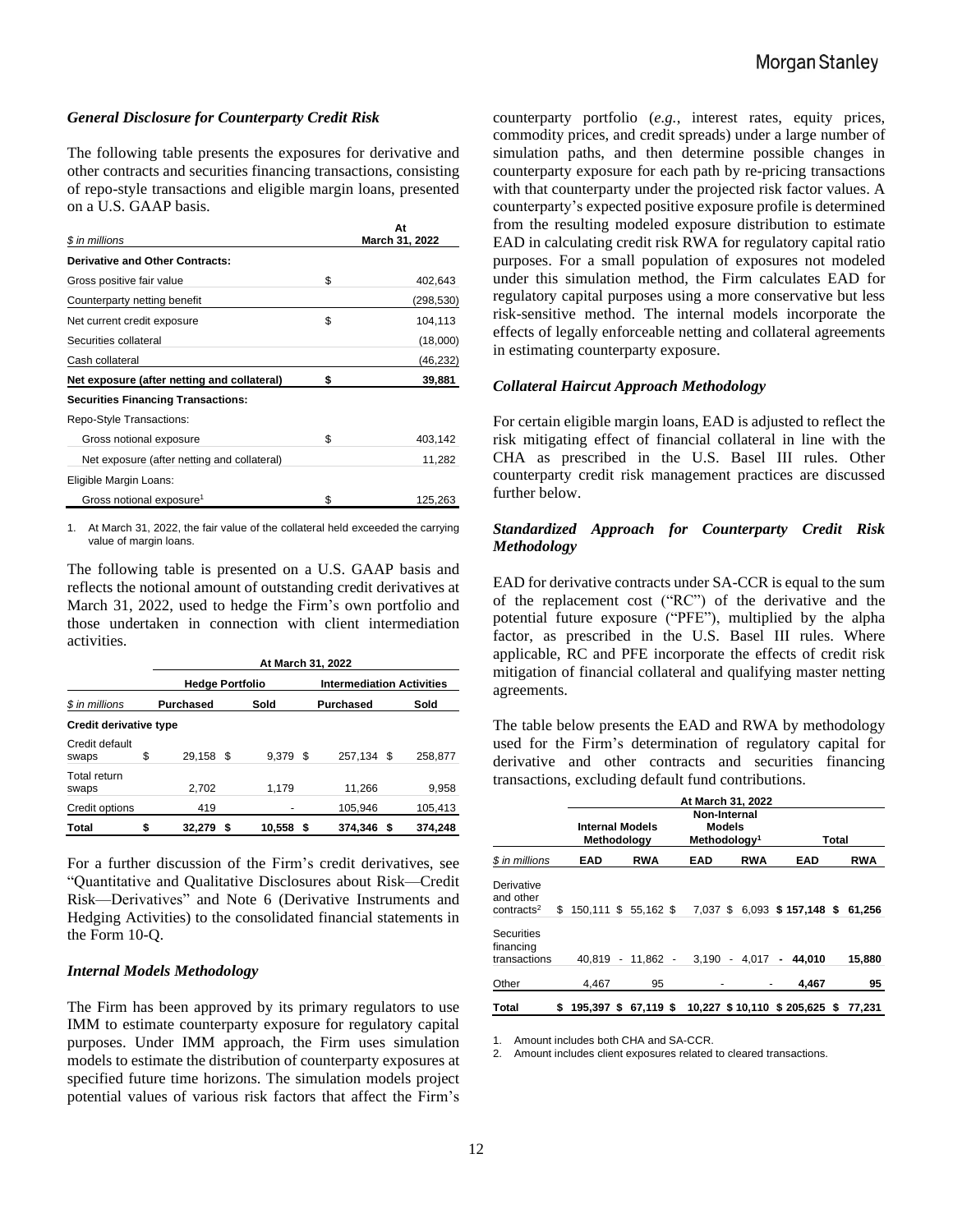#### *General Disclosure for Counterparty Credit Risk*

The following table presents the exposures for derivative and other contracts and securities financing transactions, consisting of repo-style transactions and eligible margin loans, presented on a U.S. GAAP basis.

|                                             | At             |
|---------------------------------------------|----------------|
| \$ in millions                              | March 31, 2022 |
| Derivative and Other Contracts:             |                |
| Gross positive fair value                   | \$<br>402,643  |
| Counterparty netting benefit                | (298,530)      |
| Net current credit exposure                 | \$<br>104,113  |
| Securities collateral                       | (18,000)       |
| Cash collateral                             | (46,232)       |
| Net exposure (after netting and collateral) | \$<br>39,881   |
| <b>Securities Financing Transactions:</b>   |                |
| Repo-Style Transactions:                    |                |
| Gross notional exposure                     | \$<br>403,142  |
| Net exposure (after netting and collateral) | 11,282         |
| Eligible Margin Loans:                      |                |
| Gross notional exposure <sup>1</sup>        | \$<br>125,263  |

1. At March 31, 2022, the fair value of the collateral held exceeded the carrying value of margin loans.

The following table is presented on a U.S. GAAP basis and reflects the notional amount of outstanding credit derivatives at March 31, 2022, used to hedge the Firm's own portfolio and those undertaken in connection with client intermediation activities.

|                         | At March 31, 2022      |   |        |      |                                  |      |         |  |  |  |  |
|-------------------------|------------------------|---|--------|------|----------------------------------|------|---------|--|--|--|--|
|                         | <b>Hedge Portfolio</b> |   |        |      | <b>Intermediation Activities</b> |      |         |  |  |  |  |
| \$ in millions          | <b>Purchased</b>       |   | Sold   |      | <b>Purchased</b>                 | Sold |         |  |  |  |  |
| Credit derivative type  |                        |   |        |      |                                  |      |         |  |  |  |  |
| Credit default<br>swaps | \$<br>29.158 \$        |   | 9.379  | - \$ | 257.134 \$                       |      | 258.877 |  |  |  |  |
| Total return<br>swaps   | 2,702                  |   | 1,179  |      | 11,266                           |      | 9,958   |  |  |  |  |
| Credit options          | 419                    |   |        |      | 105,946                          |      | 105,413 |  |  |  |  |
| Total                   | 32.279                 | S | 10,558 |      | 374,346                          |      | 374.248 |  |  |  |  |

For a further discussion of the Firm's credit derivatives, see "Quantitative and Qualitative Disclosures about Risk—Credit Risk—Derivatives" and Note 6 (Derivative Instruments and Hedging Activities) to the consolidated financial statements in the Form 10-Q.

#### *Internal Models Methodology*

The Firm has been approved by its primary regulators to use IMM to estimate counterparty exposure for regulatory capital purposes. Under IMM approach, the Firm uses simulation models to estimate the distribution of counterparty exposures at specified future time horizons. The simulation models project potential values of various risk factors that affect the Firm's

counterparty portfolio (*e.g.*, interest rates, equity prices, commodity prices, and credit spreads) under a large number of simulation paths, and then determine possible changes in counterparty exposure for each path by re-pricing transactions with that counterparty under the projected risk factor values. A counterparty's expected positive exposure profile is determined from the resulting modeled exposure distribution to estimate EAD in calculating credit risk RWA for regulatory capital ratio purposes. For a small population of exposures not modeled under this simulation method, the Firm calculates EAD for regulatory capital purposes using a more conservative but less risk-sensitive method. The internal models incorporate the effects of legally enforceable netting and collateral agreements in estimating counterparty exposure.

#### *Collateral Haircut Approach Methodology*

For certain eligible margin loans, EAD is adjusted to reflect the risk mitigating effect of financial collateral in line with the CHA as prescribed in the U.S. Basel III rules. Other counterparty credit risk management practices are discussed further below.

#### *Standardized Approach for Counterparty Credit Risk Methodology*

EAD for derivative contracts under SA-CCR is equal to the sum of the replacement cost ("RC") of the derivative and the potential future exposure ("PFE"), multiplied by the alpha factor, as prescribed in the U.S. Basel III rules. Where applicable, RC and PFE incorporate the effects of credit risk mitigation of financial collateral and qualifying master netting agreements.

The table below presents the EAD and RWA by methodology used for the Firm's determination of regulatory capital for derivative and other contracts and securities financing transactions, excluding default fund contributions.

|                                                   | Internal Models<br>Methodology |                      | At March 31, 2022<br>Non-Internal<br><b>Models</b><br>Methodology <sup>1</sup> |            |                              | Total |            |
|---------------------------------------------------|--------------------------------|----------------------|--------------------------------------------------------------------------------|------------|------------------------------|-------|------------|
| \$ in millions                                    | <b>EAD</b>                     | <b>RWA</b>           | EAD                                                                            | <b>RWA</b> | <b>EAD</b>                   |       | <b>RWA</b> |
| Derivative<br>and other<br>contracts <sup>2</sup> | $$150,111$ \$ 55,162 \$        |                      |                                                                                |            | 7,037 \$ 6,093 \$ 157,148 \$ |       | 61.256     |
| <b>Securities</b><br>financing<br>transactions    |                                | 40.819 - 11.862 -    | 3.190                                                                          |            | $-4.017 - 44.010$            |       | 15.880     |
| Other                                             | 4.467                          | 95                   |                                                                                |            | 4.467                        |       | 95         |
| <b>Total</b>                                      | \$                             | 195.397 \$ 67.119 \$ |                                                                                |            | 10,227 \$10,110 \$205,625 \$ |       | 77.231     |

1. Amount includes both CHA and SA-CCR.

2. Amount includes client exposures related to cleared transactions.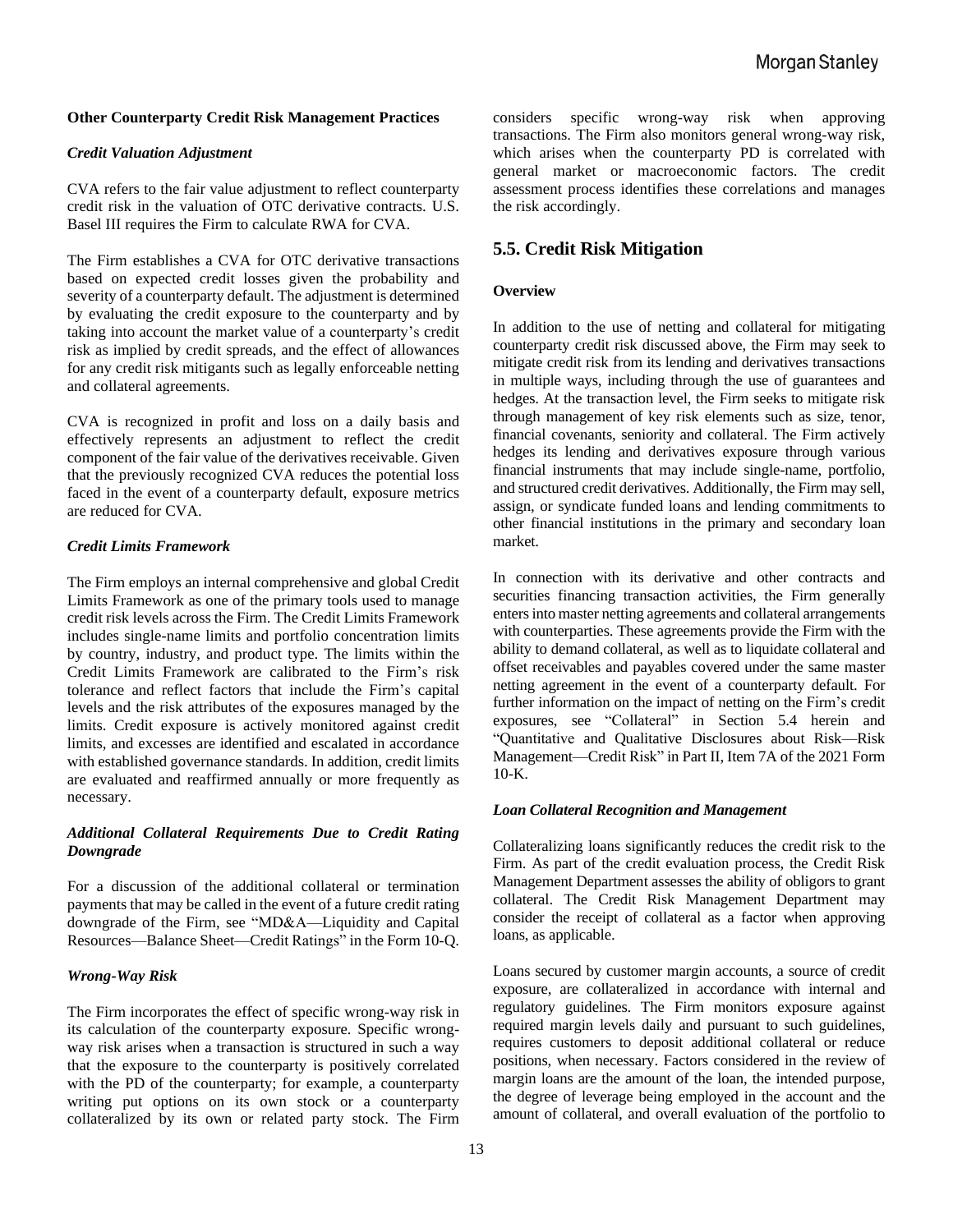#### **Other Counterparty Credit Risk Management Practices**

#### *Credit Valuation Adjustment*

CVA refers to the fair value adjustment to reflect counterparty credit risk in the valuation of OTC derivative contracts. U.S. Basel III requires the Firm to calculate RWA for CVA.

The Firm establishes a CVA for OTC derivative transactions based on expected credit losses given the probability and severity of a counterparty default. The adjustment is determined by evaluating the credit exposure to the counterparty and by taking into account the market value of a counterparty's credit risk as implied by credit spreads, and the effect of allowances for any credit risk mitigants such as legally enforceable netting and collateral agreements.

CVA is recognized in profit and loss on a daily basis and effectively represents an adjustment to reflect the credit component of the fair value of the derivatives receivable. Given that the previously recognized CVA reduces the potential loss faced in the event of a counterparty default, exposure metrics are reduced for CVA.

#### *Credit Limits Framework*

The Firm employs an internal comprehensive and global Credit Limits Framework as one of the primary tools used to manage credit risk levels across the Firm. The Credit Limits Framework includes single-name limits and portfolio concentration limits by country, industry, and product type. The limits within the Credit Limits Framework are calibrated to the Firm's risk tolerance and reflect factors that include the Firm's capital levels and the risk attributes of the exposures managed by the limits. Credit exposure is actively monitored against credit limits, and excesses are identified and escalated in accordance with established governance standards. In addition, credit limits are evaluated and reaffirmed annually or more frequently as necessary.

#### *Additional Collateral Requirements Due to Credit Rating Downgrade*

For a discussion of the additional collateral or termination payments that may be called in the event of a future credit rating downgrade of the Firm, see "MD&A—Liquidity and Capital Resources—Balance Sheet—Credit Ratings" in the Form 10-Q.

#### *Wrong-Way Risk*

The Firm incorporates the effect of specific wrong-way risk in its calculation of the counterparty exposure. Specific wrongway risk arises when a transaction is structured in such a way that the exposure to the counterparty is positively correlated with the PD of the counterparty; for example, a counterparty writing put options on its own stock or a counterparty collateralized by its own or related party stock. The Firm considers specific wrong-way risk when approving transactions. The Firm also monitors general wrong-way risk, which arises when the counterparty PD is correlated with general market or macroeconomic factors. The credit assessment process identifies these correlations and manages the risk accordingly.

#### **5.5. Credit Risk Mitigation**

#### **Overview**

In addition to the use of netting and collateral for mitigating counterparty credit risk discussed above, the Firm may seek to mitigate credit risk from its lending and derivatives transactions in multiple ways, including through the use of guarantees and hedges. At the transaction level, the Firm seeks to mitigate risk through management of key risk elements such as size, tenor, financial covenants, seniority and collateral. The Firm actively hedges its lending and derivatives exposure through various financial instruments that may include single-name, portfolio, and structured credit derivatives. Additionally, the Firm may sell, assign, or syndicate funded loans and lending commitments to other financial institutions in the primary and secondary loan market.

In connection with its derivative and other contracts and securities financing transaction activities, the Firm generally entersinto master netting agreements and collateral arrangements with counterparties. These agreements provide the Firm with the ability to demand collateral, as well as to liquidate collateral and offset receivables and payables covered under the same master netting agreement in the event of a counterparty default. For further information on the impact of netting on the Firm's credit exposures, see "Collateral" in Section 5.4 herein and "Quantitative and Qualitative Disclosures about Risk—Risk Management—Credit Risk" in Part II, Item 7A of the 2021 Form  $10-K$ .

#### *Loan Collateral Recognition and Management*

Collateralizing loans significantly reduces the credit risk to the Firm. As part of the credit evaluation process, the Credit Risk Management Department assesses the ability of obligors to grant collateral. The Credit Risk Management Department may consider the receipt of collateral as a factor when approving loans, as applicable.

Loans secured by customer margin accounts, a source of credit exposure, are collateralized in accordance with internal and regulatory guidelines. The Firm monitors exposure against required margin levels daily and pursuant to such guidelines, requires customers to deposit additional collateral or reduce positions, when necessary. Factors considered in the review of margin loans are the amount of the loan, the intended purpose, the degree of leverage being employed in the account and the amount of collateral, and overall evaluation of the portfolio to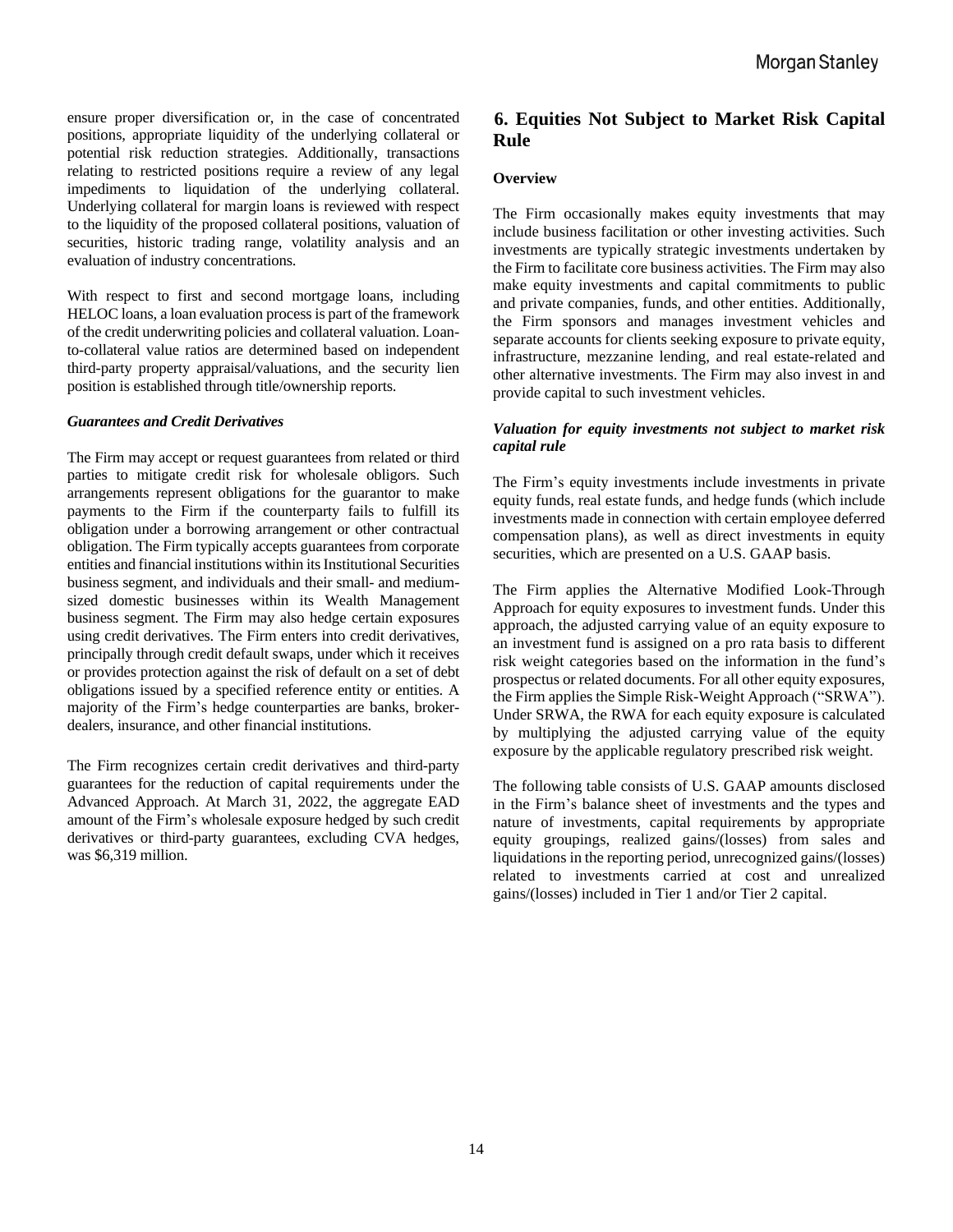ensure proper diversification or, in the case of concentrated positions, appropriate liquidity of the underlying collateral or potential risk reduction strategies. Additionally, transactions relating to restricted positions require a review of any legal impediments to liquidation of the underlying collateral. Underlying collateral for margin loans is reviewed with respect to the liquidity of the proposed collateral positions, valuation of securities, historic trading range, volatility analysis and an evaluation of industry concentrations.

With respect to first and second mortgage loans, including HELOC loans, a loan evaluation process is part of the framework of the credit underwriting policies and collateral valuation. Loanto-collateral value ratios are determined based on independent third-party property appraisal/valuations, and the security lien position is established through title/ownership reports.

#### *Guarantees and Credit Derivatives*

The Firm may accept or request guarantees from related or third parties to mitigate credit risk for wholesale obligors. Such arrangements represent obligations for the guarantor to make payments to the Firm if the counterparty fails to fulfill its obligation under a borrowing arrangement or other contractual obligation. The Firm typically accepts guarantees from corporate entities and financial institutions within its Institutional Securities business segment, and individuals and their small- and mediumsized domestic businesses within its Wealth Management business segment. The Firm may also hedge certain exposures using credit derivatives. The Firm enters into credit derivatives, principally through credit default swaps, under which it receives or provides protection against the risk of default on a set of debt obligations issued by a specified reference entity or entities. A majority of the Firm's hedge counterparties are banks, brokerdealers, insurance, and other financial institutions.

The Firm recognizes certain credit derivatives and third-party guarantees for the reduction of capital requirements under the Advanced Approach. At March 31, 2022, the aggregate EAD amount of the Firm's wholesale exposure hedged by such credit derivatives or third-party guarantees, excluding CVA hedges, was \$6,319 million.

# **6. Equities Not Subject to Market Risk Capital Rule**

#### **Overview**

The Firm occasionally makes equity investments that may include business facilitation or other investing activities. Such investments are typically strategic investments undertaken by the Firm to facilitate core business activities. The Firm may also make equity investments and capital commitments to public and private companies, funds, and other entities. Additionally, the Firm sponsors and manages investment vehicles and separate accounts for clients seeking exposure to private equity, infrastructure, mezzanine lending, and real estate-related and other alternative investments. The Firm may also invest in and provide capital to such investment vehicles.

#### *Valuation for equity investments not subject to market risk capital rule*

The Firm's equity investments include investments in private equity funds, real estate funds, and hedge funds (which include investments made in connection with certain employee deferred compensation plans), as well as direct investments in equity securities, which are presented on a U.S. GAAP basis.

The Firm applies the Alternative Modified Look-Through Approach for equity exposures to investment funds. Under this approach, the adjusted carrying value of an equity exposure to an investment fund is assigned on a pro rata basis to different risk weight categories based on the information in the fund's prospectus or related documents. For all other equity exposures, the Firm applies the Simple Risk-Weight Approach ("SRWA"). Under SRWA, the RWA for each equity exposure is calculated by multiplying the adjusted carrying value of the equity exposure by the applicable regulatory prescribed risk weight.

The following table consists of U.S. GAAP amounts disclosed in the Firm's balance sheet of investments and the types and nature of investments, capital requirements by appropriate equity groupings, realized gains/(losses) from sales and liquidations in the reporting period, unrecognized gains/(losses) related to investments carried at cost and unrealized gains/(losses) included in Tier 1 and/or Tier 2 capital.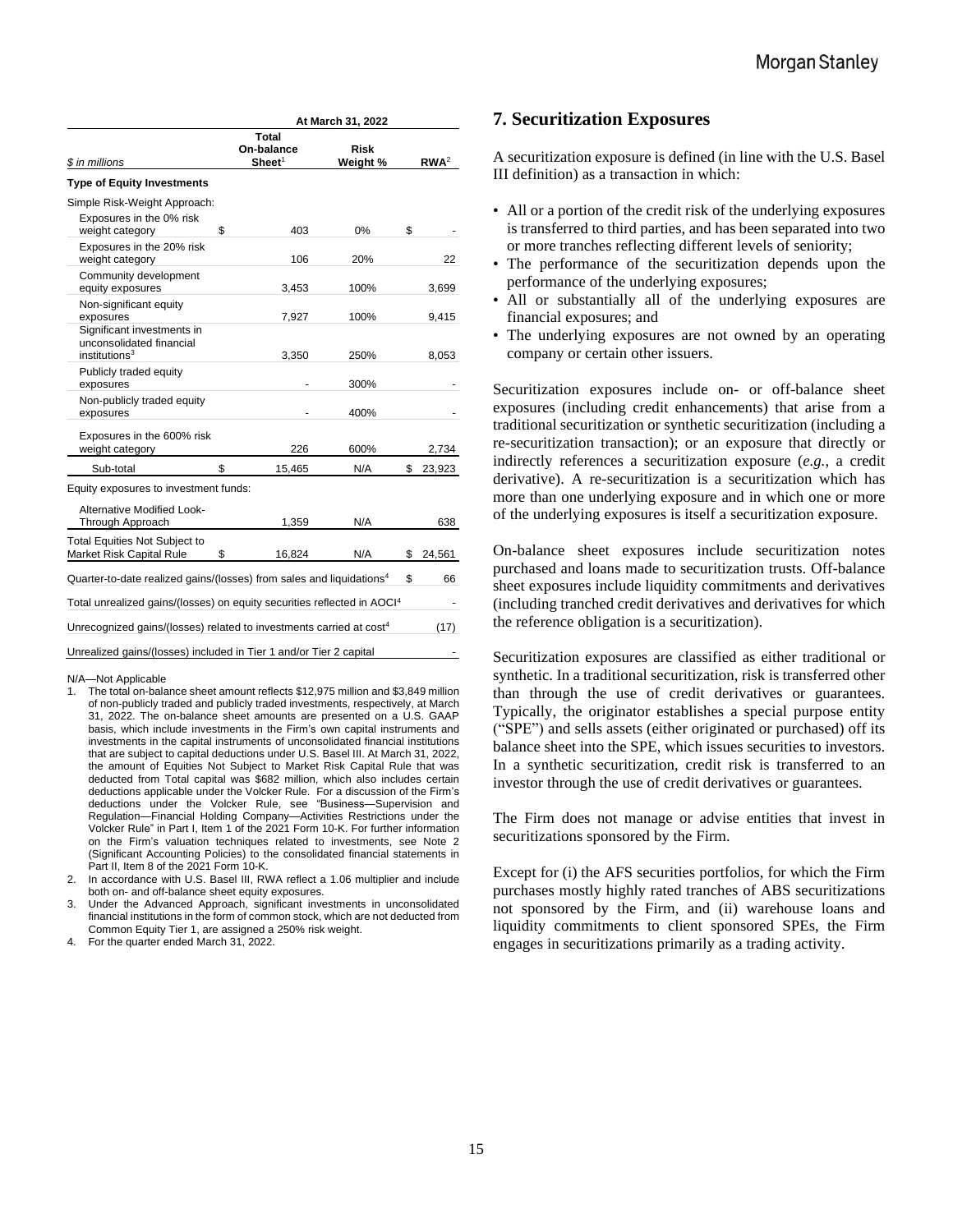| <b>Risk</b> |             |
|-------------|-------------|
| Weight %    | $RWA^2$     |
|             |             |
|             |             |
| 0%          | \$          |
| 20%         | 22          |
| 100%        | 3,699       |
| 100%        | 9,415       |
| 250%        | 8,053       |
| 300%        |             |
| 400%        |             |
| 600%        | 2,734       |
| N/A         | S<br>23,923 |
|             |             |

| <b>Alternative Modified Look-</b><br>Through Approach                               | 1,359        | N/A |   | 638    |
|-------------------------------------------------------------------------------------|--------------|-----|---|--------|
| <b>Total Equities Not Subject to</b><br>Market Risk Capital Rule                    | 16.824<br>\$ | N/A | S | 24,561 |
| Quarter-to-date realized gains/(losses) from sales and liquidations <sup>4</sup>    |              |     | S | 66     |
| Total unrealized gains/(losses) on equity securities reflected in AOCI <sup>4</sup> |              |     |   |        |
| Unrecognized gains/(losses) related to investments carried at cost <sup>4</sup>     |              |     |   | (17)   |
| Unrealized gains/(losses) included in Tier 1 and/or Tier 2 capital                  |              |     |   |        |

#### N/A—Not Applicable

- 1. The total on-balance sheet amount reflects \$12,975 million and \$3,849 million of non-publicly traded and publicly traded investments, respectively, at March 31, 2022. The on-balance sheet amounts are presented on a U.S. GAAP basis, which include investments in the Firm's own capital instruments and investments in the capital instruments of unconsolidated financial institutions that are subject to capital deductions under U.S. Basel III. At March 31, 2022, the amount of Equities Not Subject to Market Risk Capital Rule that was deducted from Total capital was \$682 million, which also includes certain deductions applicable under the Volcker Rule. For a discussion of the Firm's deductions under the Volcker Rule, see "Business—Supervision and Regulation—Financial Holding Company—Activities Restrictions under the Volcker Rule" in Part I, Item 1 of the 2021 Form 10-K. For further information on the Firm's valuation techniques related to investments, see Note 2 (Significant Accounting Policies) to the consolidated financial statements in Part II, Item 8 of the 2021 Form 10-K.
- 2. In accordance with U.S. Basel III, RWA reflect a 1.06 multiplier and include both on- and off-balance sheet equity exposures.
- 3. Under the Advanced Approach, significant investments in unconsolidated financial institutions in the form of common stock, which are not deducted from Common Equity Tier 1, are assigned a 250% risk weight.
- 4. For the quarter ended March 31, 2022.

#### **7. Securitization Exposures**

A securitization exposure is defined (in line with the U.S. Basel III definition) as a transaction in which:

- All or a portion of the credit risk of the underlying exposures is transferred to third parties, and has been separated into two or more tranches reflecting different levels of seniority;
- The performance of the securitization depends upon the performance of the underlying exposures;
- All or substantially all of the underlying exposures are financial exposures; and
- The underlying exposures are not owned by an operating company or certain other issuers.

Securitization exposures include on- or off-balance sheet exposures (including credit enhancements) that arise from a traditional securitization or synthetic securitization (including a re-securitization transaction); or an exposure that directly or indirectly references a securitization exposure (*e.g.*, a credit derivative). A re-securitization is a securitization which has more than one underlying exposure and in which one or more of the underlying exposures is itself a securitization exposure.

On-balance sheet exposures include securitization notes purchased and loans made to securitization trusts. Off-balance sheet exposures include liquidity commitments and derivatives (including tranched credit derivatives and derivatives for which the reference obligation is a securitization).

Securitization exposures are classified as either traditional or synthetic. In a traditional securitization, risk is transferred other than through the use of credit derivatives or guarantees. Typically, the originator establishes a special purpose entity ("SPE") and sells assets (either originated or purchased) off its balance sheet into the SPE, which issues securities to investors. In a synthetic securitization, credit risk is transferred to an investor through the use of credit derivatives or guarantees.

The Firm does not manage or advise entities that invest in securitizations sponsored by the Firm.

Except for (i) the AFS securities portfolios, for which the Firm purchases mostly highly rated tranches of ABS securitizations not sponsored by the Firm, and (ii) warehouse loans and liquidity commitments to client sponsored SPEs, the Firm engages in securitizations primarily as a trading activity.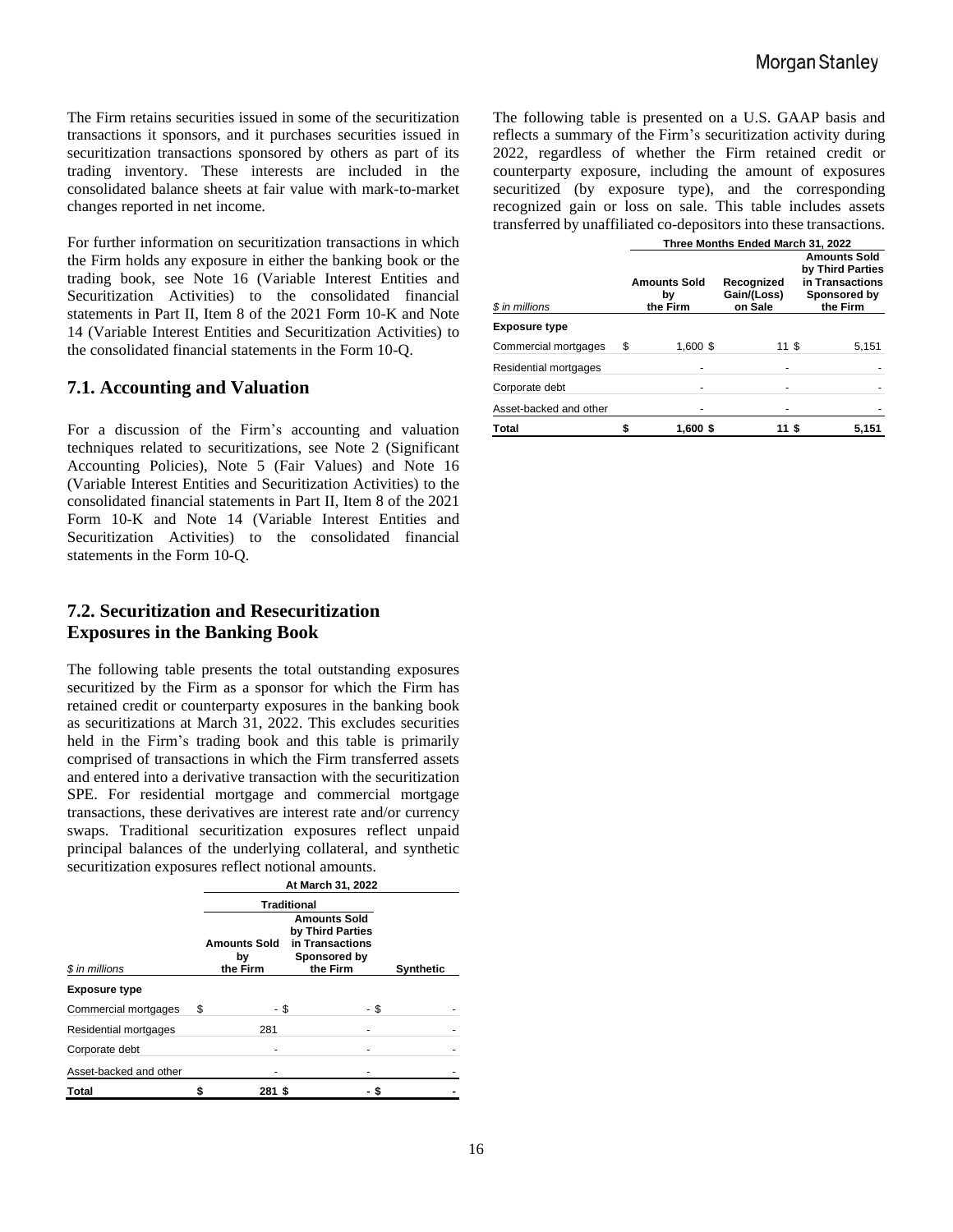The Firm retains securities issued in some of the securitization transactions it sponsors, and it purchases securities issued in securitization transactions sponsored by others as part of its trading inventory. These interests are included in the consolidated balance sheets at fair value with mark-to-market changes reported in net income.

For further information on securitization transactions in which the Firm holds any exposure in either the banking book or the trading book, see Note 16 (Variable Interest Entities and Securitization Activities) to the consolidated financial statements in Part II, Item 8 of the 2021 Form 10-K and Note 14 (Variable Interest Entities and Securitization Activities) to the consolidated financial statements in the Form 10-Q.

# **7.1. Accounting and Valuation**

For a discussion of the Firm's accounting and valuation techniques related to securitizations, see Note 2 (Significant Accounting Policies), Note 5 (Fair Values) and Note 16 (Variable Interest Entities and Securitization Activities) to the consolidated financial statements in Part II, Item 8 of the 2021 Form 10-K and Note 14 (Variable Interest Entities and Securitization Activities) to the consolidated financial statements in the Form 10-Q.

# **7.2. Securitization and Resecuritization Exposures in the Banking Book**

The following table presents the total outstanding exposures securitized by the Firm as a sponsor for which the Firm has retained credit or counterparty exposures in the banking book as securitizations at March 31, 2022. This excludes securities held in the Firm's trading book and this table is primarily comprised of transactions in which the Firm transferred assets and entered into a derivative transaction with the securitization SPE. For residential mortgage and commercial mortgage transactions, these derivatives are interest rate and/or currency swaps. Traditional securitization exposures reflect unpaid principal balances of the underlying collateral, and synthetic securitization exposures reflect notional amounts.

|                        | At March 31, 2022                                                                                                                                     |        |  |      |                  |  |
|------------------------|-------------------------------------------------------------------------------------------------------------------------------------------------------|--------|--|------|------------------|--|
| \$ in millions         | <b>Traditional</b><br><b>Amounts Sold</b><br>by Third Parties<br>in Transactions<br><b>Amounts Sold</b><br>Sponsored by<br>bγ<br>the Firm<br>the Firm |        |  |      | <b>Synthetic</b> |  |
| <b>Exposure type</b>   |                                                                                                                                                       |        |  |      |                  |  |
| Commercial mortgages   | S                                                                                                                                                     | - \$   |  | - \$ |                  |  |
| Residential mortgages  |                                                                                                                                                       | 281    |  |      |                  |  |
| Corporate debt         |                                                                                                                                                       |        |  |      |                  |  |
| Asset-backed and other |                                                                                                                                                       |        |  |      |                  |  |
| Total                  |                                                                                                                                                       | 281 \$ |  |      |                  |  |

The following table is presented on a U.S. GAAP basis and reflects a summary of the Firm's securitization activity during 2022, regardless of whether the Firm retained credit or counterparty exposure, including the amount of exposures securitized (by exposure type), and the corresponding recognized gain or loss on sale. This table includes assets transferred by unaffiliated co-depositors into these transactions.

|                        | Three Months Ended March 31, 2022 |                                       |                                      |                                                                                        |  |  |
|------------------------|-----------------------------------|---------------------------------------|--------------------------------------|----------------------------------------------------------------------------------------|--|--|
| \$ in millions         |                                   | <b>Amounts Sold</b><br>by<br>the Firm | Recognized<br>Gain/(Loss)<br>on Sale | <b>Amounts Sold</b><br>by Third Parties<br>in Transactions<br>Sponsored by<br>the Firm |  |  |
| <b>Exposure type</b>   |                                   |                                       |                                      |                                                                                        |  |  |
| Commercial mortgages   | S                                 | 1,600 \$                              | 11 \$                                | 5,151                                                                                  |  |  |
| Residential mortgages  |                                   |                                       |                                      |                                                                                        |  |  |
| Corporate debt         |                                   |                                       |                                      |                                                                                        |  |  |
| Asset-backed and other |                                   |                                       |                                      |                                                                                        |  |  |
| Total                  |                                   | 1,600 \$                              | 11 \$                                | 5,151                                                                                  |  |  |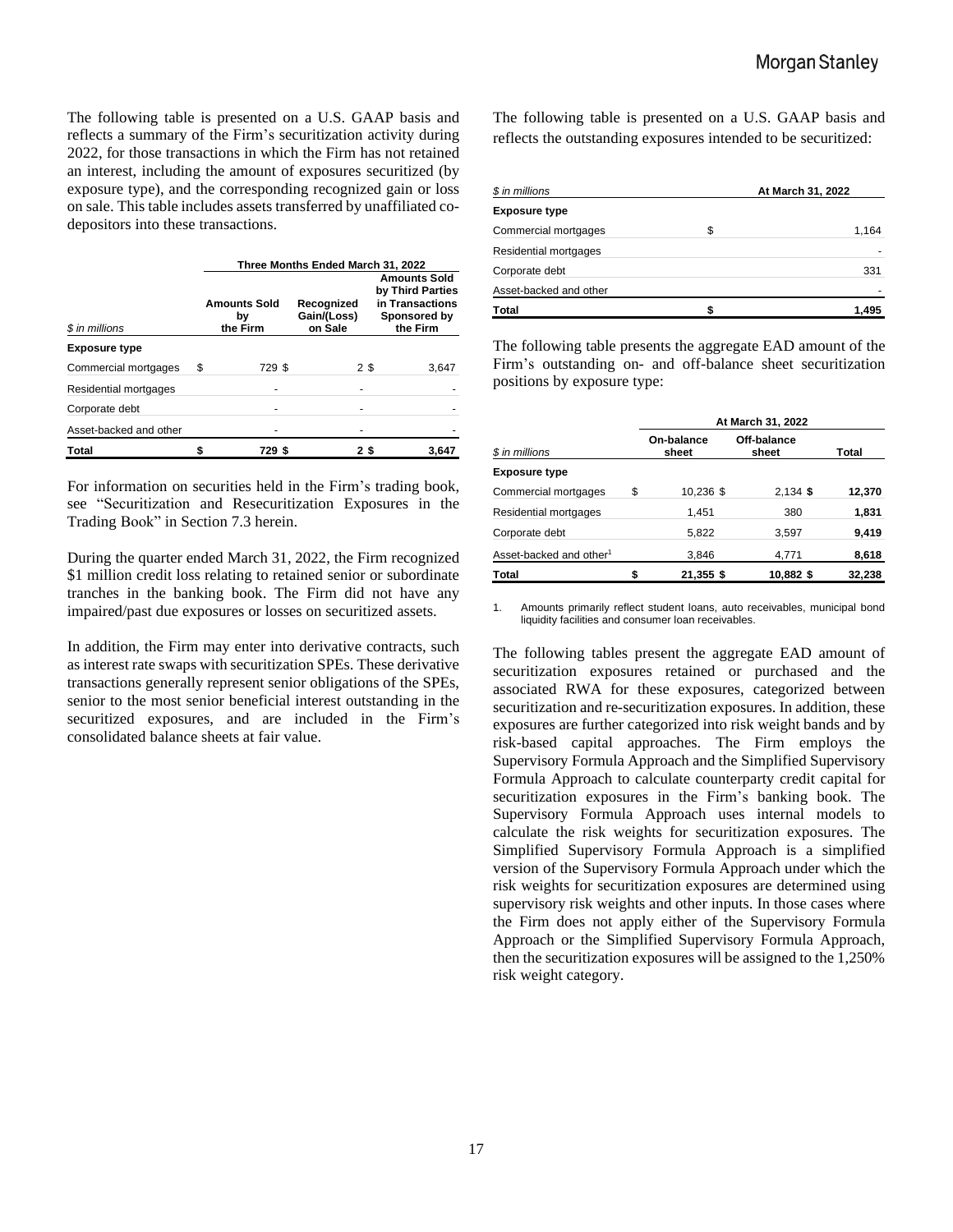The following table is presented on a U.S. GAAP basis and reflects a summary of the Firm's securitization activity during 2022, for those transactions in which the Firm has not retained an interest, including the amount of exposures securitized (by exposure type), and the corresponding recognized gain or loss on sale. This table includes assets transferred by unaffiliated codepositors into these transactions.

|                        | Three Months Ended March 31, 2022     |        |                                      |                                                                                        |  |  |
|------------------------|---------------------------------------|--------|--------------------------------------|----------------------------------------------------------------------------------------|--|--|
| \$ in millions         | <b>Amounts Sold</b><br>bγ<br>the Firm |        | Recognized<br>Gain/(Loss)<br>on Sale | <b>Amounts Sold</b><br>by Third Parties<br>in Transactions<br>Sponsored by<br>the Firm |  |  |
| <b>Exposure type</b>   |                                       |        |                                      |                                                                                        |  |  |
| Commercial mortgages   | \$                                    | 729 \$ | 2\$                                  | 3,647                                                                                  |  |  |
| Residential mortgages  |                                       |        |                                      |                                                                                        |  |  |
| Corporate debt         |                                       |        |                                      |                                                                                        |  |  |
| Asset-backed and other |                                       |        |                                      |                                                                                        |  |  |
| <b>Total</b>           |                                       | 729 \$ | 2\$                                  | 3.647                                                                                  |  |  |

For information on securities held in the Firm's trading book, see "Securitization and Resecuritization Exposures in the Trading Book" in Section 7.3 herein.

During the quarter ended March 31, 2022, the Firm recognized \$1 million credit loss relating to retained senior or subordinate tranches in the banking book. The Firm did not have any impaired/past due exposures or losses on securitized assets.

In addition, the Firm may enter into derivative contracts, such as interest rate swaps with securitization SPEs. These derivative transactions generally represent senior obligations of the SPEs, senior to the most senior beneficial interest outstanding in the securitized exposures, and are included in the Firm's consolidated balance sheets at fair value.

The following table is presented on a U.S. GAAP basis and reflects the outstanding exposures intended to be securitized:

| \$ in millions         | At March 31, 2022 |
|------------------------|-------------------|
| <b>Exposure type</b>   |                   |
| Commercial mortgages   | \$<br>1,164       |
| Residential mortgages  |                   |
| Corporate debt         | 331               |
| Asset-backed and other |                   |
| <b>Total</b>           | 1,495             |

The following table presents the aggregate EAD amount of the Firm's outstanding on- and off-balance sheet securitization positions by exposure type:

|                                     |                     | At March 31, 2022    |        |
|-------------------------------------|---------------------|----------------------|--------|
| \$ in millions                      | On-balance<br>sheet | Off-balance<br>sheet | Total  |
| <b>Exposure type</b>                |                     |                      |        |
| Commercial mortgages                | \$<br>10,236 \$     | $2,134$ \$           | 12,370 |
| Residential mortgages               | 1.451               | 380                  | 1,831  |
| Corporate debt                      | 5.822               | 3,597                | 9,419  |
| Asset-backed and other <sup>1</sup> | 3,846               | 4,771                | 8,618  |
| <b>Total</b>                        | 21,355 \$           | 10,882 \$            | 32,238 |

Amounts primarily reflect student loans, auto receivables, municipal bond liquidity facilities and consumer loan receivables.

The following tables present the aggregate EAD amount of securitization exposures retained or purchased and the associated RWA for these exposures, categorized between securitization and re-securitization exposures. In addition, these exposures are further categorized into risk weight bands and by risk-based capital approaches. The Firm employs the Supervisory Formula Approach and the Simplified Supervisory Formula Approach to calculate counterparty credit capital for securitization exposures in the Firm's banking book. The Supervisory Formula Approach uses internal models to calculate the risk weights for securitization exposures. The Simplified Supervisory Formula Approach is a simplified version of the Supervisory Formula Approach under which the risk weights for securitization exposures are determined using supervisory risk weights and other inputs. In those cases where the Firm does not apply either of the Supervisory Formula Approach or the Simplified Supervisory Formula Approach, then the securitization exposures will be assigned to the 1,250% risk weight category.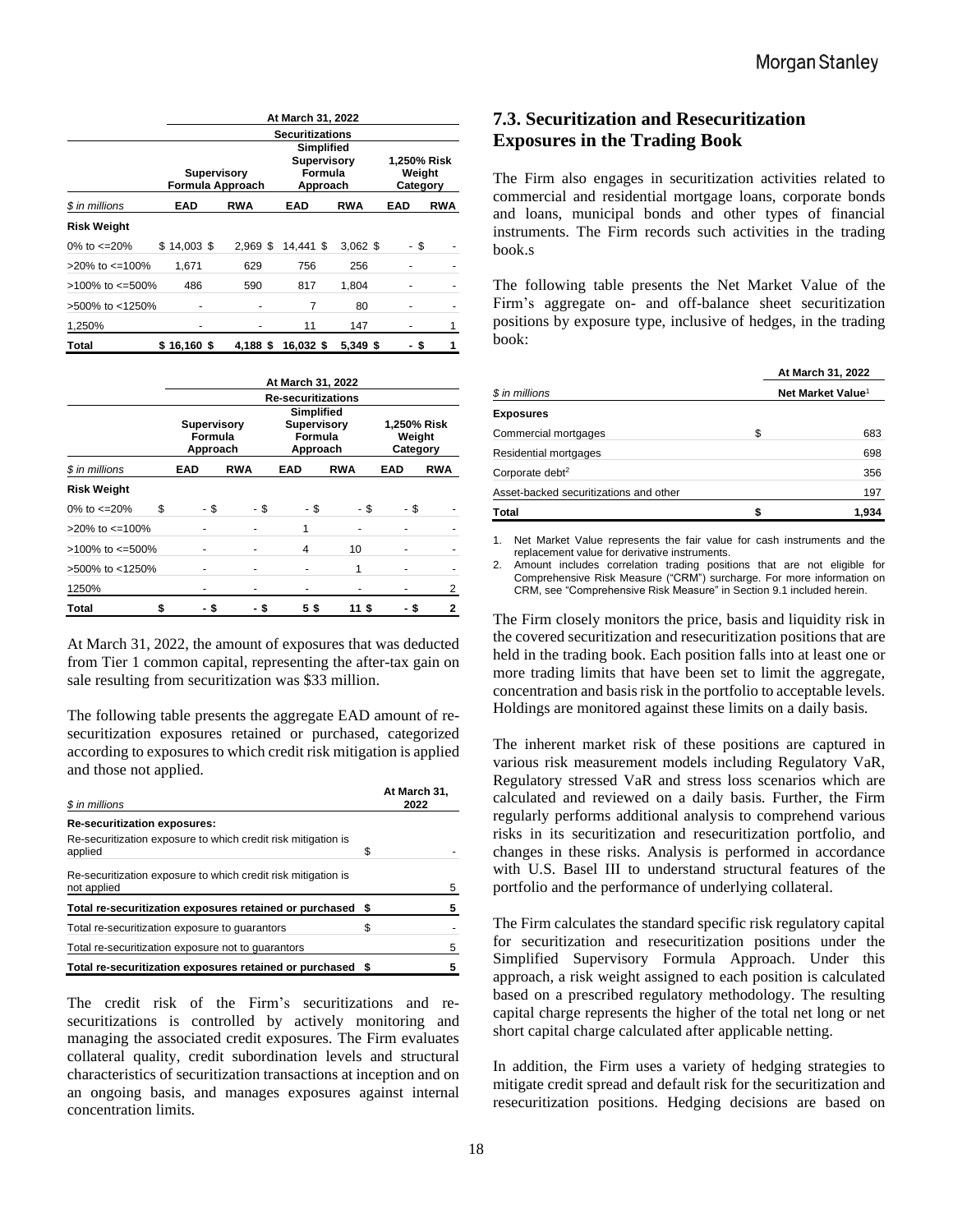|                          |                                        | At March 31, 2022                 |           |            |            |            |  |
|--------------------------|----------------------------------------|-----------------------------------|-----------|------------|------------|------------|--|
|                          |                                        | <b>Securitizations</b>            |           |            |            |            |  |
|                          | <b>Supervisory</b><br>Formula Approach | 1,250% Risk<br>Weight<br>Category |           |            |            |            |  |
| \$ in millions           | <b>EAD</b>                             | <b>RWA</b>                        | EAD       | <b>RWA</b> | <b>EAD</b> | <b>RWA</b> |  |
| <b>Risk Weight</b>       |                                        |                                   |           |            |            |            |  |
| 0% to $\epsilon$ =20%    | $$14.003$ \$                           | $2.969$ \$                        | 14.441 \$ | $3.062$ \$ | - \$       |            |  |
| $>20\%$ to $\leq 100\%$  | 1.671                                  | 629                               | 756       | 256        |            |            |  |
| $>100\%$ to $\leq 500\%$ | 486                                    | 590                               | 817       | 1,804      |            |            |  |
| >500% to <1250%          |                                        |                                   | 7         | 80         |            |            |  |
| 1,250%                   |                                        |                                   | 11        | 147        |            | 1          |  |
| Total                    | \$16.160\$                             | 4.188 \$                          | 16,032 \$ | 5.349 \$   | - \$       | 1          |  |

|                          |            | At March 31, 2022<br><b>Re-securitizations</b>                                                                                                   |     |      |            |            |            |            |
|--------------------------|------------|--------------------------------------------------------------------------------------------------------------------------------------------------|-----|------|------------|------------|------------|------------|
|                          |            | <b>Simplified</b><br><b>Supervisory</b><br><b>Supervisory</b><br>1,250% Risk<br>Formula<br>Formula<br>Weight<br>Category<br>Approach<br>Approach |     |      |            |            |            |            |
| \$ in millions           | <b>EAD</b> |                                                                                                                                                  | RWA |      | <b>EAD</b> | <b>RWA</b> | <b>EAD</b> | <b>RWA</b> |
| <b>Risk Weight</b>       |            |                                                                                                                                                  |     |      |            |            |            |            |
| 0% to $\text{<-}20\%$    | \$         | - \$                                                                                                                                             |     | - \$ | - \$       | - \$       |            | - \$       |
| $>20\%$ to $\leq 100\%$  |            |                                                                                                                                                  |     |      | 1          |            |            |            |
| $>100\%$ to $\leq 500\%$ |            |                                                                                                                                                  |     |      | 4          | 10         |            |            |
| >500% to <1250%          |            |                                                                                                                                                  |     |      |            | 1          |            |            |
| 1250%                    |            |                                                                                                                                                  |     |      |            |            |            | 2          |
| Total                    |            | S                                                                                                                                                |     |      | 5\$        | 11 5       |            | 2          |

At March 31, 2022, the amount of exposures that was deducted from Tier 1 common capital, representing the after-tax gain on sale resulting from securitization was \$33 million.

The following table presents the aggregate EAD amount of resecuritization exposures retained or purchased, categorized according to exposures to which credit risk mitigation is applied and those not applied.

| \$ in millions                                                               |   | At March 31,<br>2022 |
|------------------------------------------------------------------------------|---|----------------------|
| <b>Re-securitization exposures:</b>                                          |   |                      |
| Re-securitization exposure to which credit risk mitigation is<br>applied     | S |                      |
| Re-securitization exposure to which credit risk mitigation is<br>not applied |   | 5                    |
| Total re-securitization exposures retained or purchased \$                   |   | 5                    |
| Total re-securitization exposure to quarantors                               |   |                      |
| Total re-securitization exposure not to guarantors                           |   | 5                    |
| Total re-securitization exposures retained or purchased \$                   |   | 5                    |

The credit risk of the Firm's securitizations and resecuritizations is controlled by actively monitoring and managing the associated credit exposures. The Firm evaluates collateral quality, credit subordination levels and structural characteristics of securitization transactions at inception and on an ongoing basis, and manages exposures against internal concentration limits.

# **7.3. Securitization and Resecuritization Exposures in the Trading Book**

The Firm also engages in securitization activities related to commercial and residential mortgage loans, corporate bonds and loans, municipal bonds and other types of financial instruments. The Firm records such activities in the trading book.s

The following table presents the Net Market Value of the Firm's aggregate on- and off-balance sheet securitization positions by exposure type, inclusive of hedges, in the trading book:

|                                        | At March 31, 2022             |       |  |  |
|----------------------------------------|-------------------------------|-------|--|--|
| \$ in millions                         | Net Market Value <sup>1</sup> |       |  |  |
| <b>Exposures</b>                       |                               |       |  |  |
| Commercial mortgages                   | S                             | 683   |  |  |
| Residential mortgages                  |                               | 698   |  |  |
| Corporate debt <sup>2</sup>            |                               | 356   |  |  |
| Asset-backed securitizations and other |                               | 197   |  |  |
| Total                                  |                               | 1.934 |  |  |

1. Net Market Value represents the fair value for cash instruments and the replacement value for derivative instruments.

Amount includes correlation trading positions that are not eligible for Comprehensive Risk Measure ("CRM") surcharge. For more information on CRM, see "Comprehensive Risk Measure" in Section 9.1 included herein.

The Firm closely monitors the price, basis and liquidity risk in the covered securitization and resecuritization positions that are held in the trading book. Each position falls into at least one or more trading limits that have been set to limit the aggregate, concentration and basis risk in the portfolio to acceptable levels. Holdings are monitored against these limits on a daily basis.

The inherent market risk of these positions are captured in various risk measurement models including Regulatory VaR, Regulatory stressed VaR and stress loss scenarios which are calculated and reviewed on a daily basis. Further, the Firm regularly performs additional analysis to comprehend various risks in its securitization and resecuritization portfolio, and changes in these risks. Analysis is performed in accordance with U.S. Basel III to understand structural features of the portfolio and the performance of underlying collateral.

The Firm calculates the standard specific risk regulatory capital for securitization and resecuritization positions under the Simplified Supervisory Formula Approach. Under this approach, a risk weight assigned to each position is calculated based on a prescribed regulatory methodology. The resulting capital charge represents the higher of the total net long or net short capital charge calculated after applicable netting.

In addition, the Firm uses a variety of hedging strategies to mitigate credit spread and default risk for the securitization and resecuritization positions. Hedging decisions are based on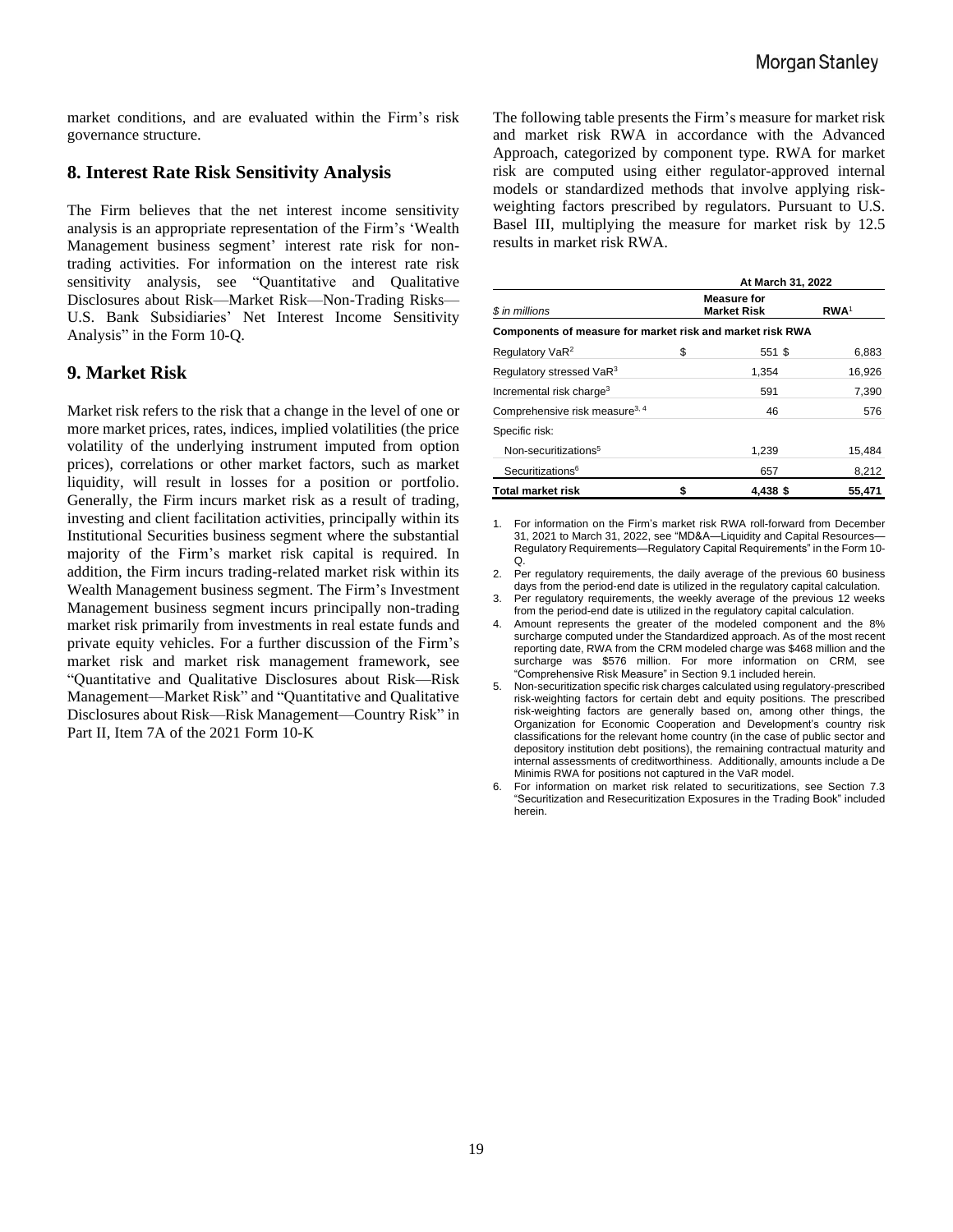market conditions, and are evaluated within the Firm's risk governance structure.

#### **8. Interest Rate Risk Sensitivity Analysis**

The Firm believes that the net interest income sensitivity analysis is an appropriate representation of the Firm's 'Wealth Management business segment' interest rate risk for nontrading activities. For information on the interest rate risk sensitivity analysis, see "Quantitative and Qualitative Disclosures about Risk—Market Risk—Non-Trading Risks— U.S. Bank Subsidiaries' Net Interest Income Sensitivity Analysis" in the Form 10-Q.

#### **9. Market Risk**

Market risk refers to the risk that a change in the level of one or more market prices, rates, indices, implied volatilities (the price volatility of the underlying instrument imputed from option prices), correlations or other market factors, such as market liquidity, will result in losses for a position or portfolio. Generally, the Firm incurs market risk as a result of trading, investing and client facilitation activities, principally within its Institutional Securities business segment where the substantial majority of the Firm's market risk capital is required. In addition, the Firm incurs trading-related market risk within its Wealth Management business segment. The Firm's Investment Management business segment incurs principally non-trading market risk primarily from investments in real estate funds and private equity vehicles. For a further discussion of the Firm's market risk and market risk management framework, see "Quantitative and Qualitative Disclosures about Risk—Risk Management—Market Risk" and "Quantitative and Qualitative Disclosures about Risk—Risk Management—Country Risk" in Part II, Item 7A of the 2021 Form 10-K

The following table presents the Firm's measure for market risk and market risk RWA in accordance with the Advanced Approach, categorized by component type. RWA for market risk are computed using either regulator-approved internal models or standardized methods that involve applying riskweighting factors prescribed by regulators. Pursuant to U.S. Basel III, multiplying the measure for market risk by 12.5 results in market risk RWA.

|                                                           | At March 31, 2022 |                                          |                  |  |  |
|-----------------------------------------------------------|-------------------|------------------------------------------|------------------|--|--|
| \$ in millions                                            |                   | <b>Measure for</b><br><b>Market Risk</b> | RWA <sup>1</sup> |  |  |
| Components of measure for market risk and market risk RWA |                   |                                          |                  |  |  |
| Regulatory VaR <sup>2</sup>                               | \$                | 551 \$                                   | 6,883            |  |  |
| Regulatory stressed VaR <sup>3</sup>                      |                   | 1.354                                    | 16,926           |  |  |
| Incremental risk charge <sup>3</sup>                      |                   | 591                                      | 7,390            |  |  |
| Comprehensive risk measure <sup>3, 4</sup>                |                   | 46                                       | 576              |  |  |
| Specific risk:                                            |                   |                                          |                  |  |  |
| Non-securitizations <sup>5</sup>                          |                   | 1,239                                    | 15,484           |  |  |
| Securitizations <sup>6</sup>                              |                   | 657                                      | 8,212            |  |  |
| <b>Total market risk</b>                                  | \$                | 4.438 \$                                 | 55,471           |  |  |

1. For information on the Firm's market risk RWA roll-forward from December 31, 2021 to March 31, 2022, see "MD&A—Liquidity and Capital Resources— Regulatory Requirements—Regulatory Capital Requirements" in the Form 10- Q.

- 2. Per regulatory requirements, the daily average of the previous 60 business days from the period-end date is utilized in the regulatory capital calculation.
- 3. Per regulatory requirements, the weekly average of the previous 12 weeks from the period-end date is utilized in the regulatory capital calculation.
- 4. Amount represents the greater of the modeled component and the 8% surcharge computed under the Standardized approach. As of the most recent reporting date, RWA from the CRM modeled charge was \$468 million and the surcharge was \$576 million. For more information on CRM, see "Comprehensive Risk Measure" in Section 9.1 included herein.
- 5. Non-securitization specific risk charges calculated using regulatory-prescribed risk-weighting factors for certain debt and equity positions. The prescribed risk-weighting factors are generally based on, among other things, the Organization for Economic Cooperation and Development's country risk classifications for the relevant home country (in the case of public sector and depository institution debt positions), the remaining contractual maturity and internal assessments of creditworthiness. Additionally, amounts include a De Minimis RWA for positions not captured in the VaR model.
- 6. For information on market risk related to securitizations, see Section 7.3 "Securitization and Resecuritization Exposures in the Trading Book" included herein.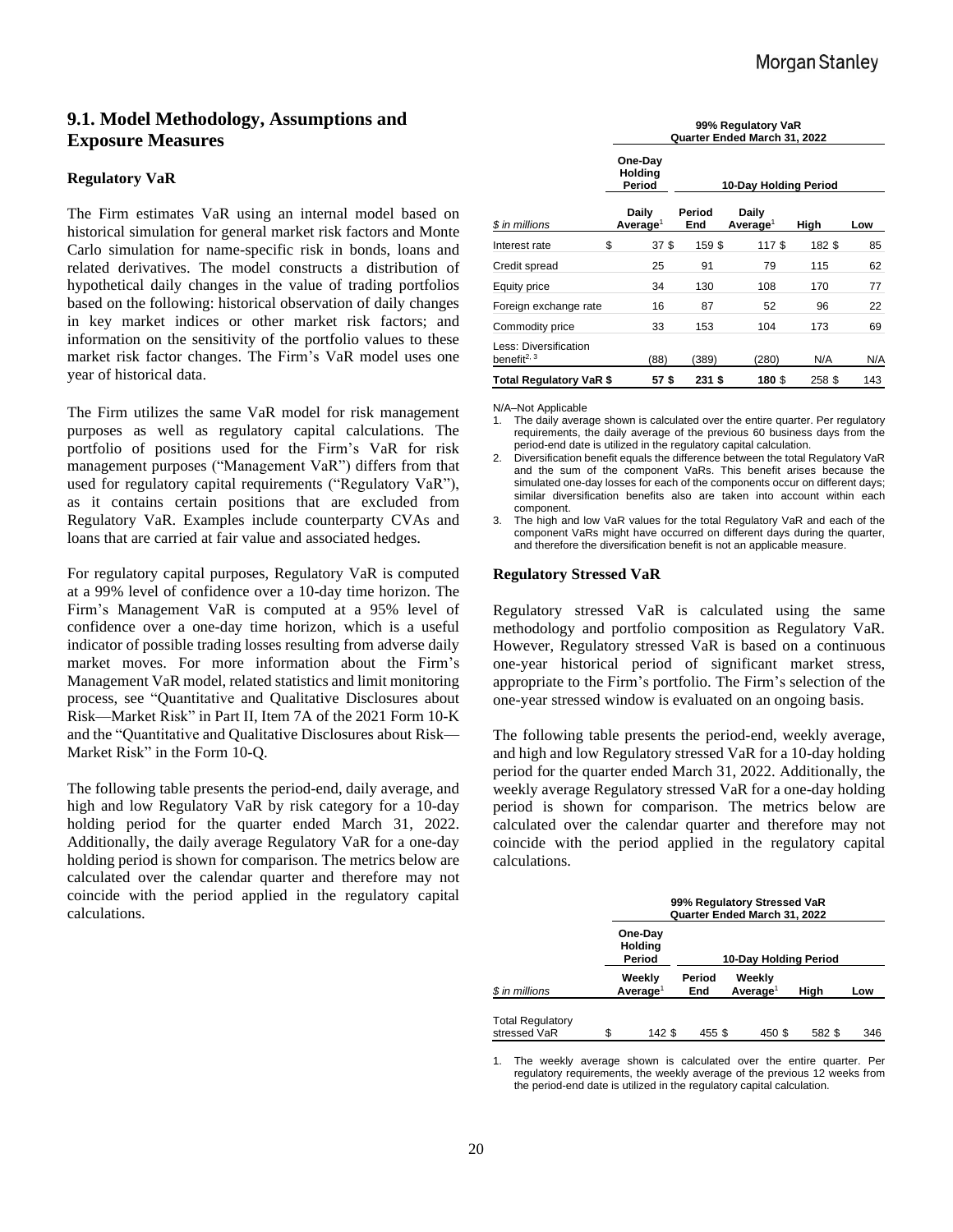# **9.1. Model Methodology, Assumptions and Exposure Measures**

#### **Regulatory VaR**

The Firm estimates VaR using an internal model based on historical simulation for general market risk factors and Monte Carlo simulation for name-specific risk in bonds, loans and related derivatives. The model constructs a distribution of hypothetical daily changes in the value of trading portfolios based on the following: historical observation of daily changes in key market indices or other market risk factors; and information on the sensitivity of the portfolio values to these market risk factor changes. The Firm's VaR model uses one year of historical data.

The Firm utilizes the same VaR model for risk management purposes as well as regulatory capital calculations. The portfolio of positions used for the Firm's VaR for risk management purposes ("Management VaR") differs from that used for regulatory capital requirements ("Regulatory VaR"), as it contains certain positions that are excluded from Regulatory VaR. Examples include counterparty CVAs and loans that are carried at fair value and associated hedges.

For regulatory capital purposes, Regulatory VaR is computed at a 99% level of confidence over a 10-day time horizon. The Firm's Management VaR is computed at a 95% level of confidence over a one-day time horizon, which is a useful indicator of possible trading losses resulting from adverse daily market moves. For more information about the Firm's Management VaR model, related statistics and limit monitoring process, see "Quantitative and Qualitative Disclosures about Risk—Market Risk" in Part II, Item 7A of the 2021 Form 10-K and the "Quantitative and Qualitative Disclosures about Risk— Market Risk" in the Form 10-Q.

The following table presents the period-end, daily average, and high and low Regulatory VaR by risk category for a 10-day holding period for the quarter ended March 31, 2022. Additionally, the daily average Regulatory VaR for a one-day holding period is shown for comparison. The metrics below are calculated over the calendar quarter and therefore may not coincide with the period applied in the regulatory capital calculations.

|                                                  | 99% Regulatory VaR<br>Quarter Ended March 31, 2022 |               |  |                               |        |     |  |  |
|--------------------------------------------------|----------------------------------------------------|---------------|--|-------------------------------|--------|-----|--|--|
|                                                  | One-Day<br>Holding<br>Period                       |               |  | 10-Day Holding Period         |        |     |  |  |
| \$ in millions                                   | Daily<br>Average <sup>1</sup>                      | Period<br>End |  | Daily<br>Average <sup>1</sup> | High   | Low |  |  |
| Interest rate                                    | \$<br>37 <sup>5</sup>                              | 159\$         |  | 117 \$                        | 182\$  | 85  |  |  |
| Credit spread                                    | 25                                                 | 91            |  | 79                            | 115    | 62  |  |  |
| Equity price                                     | 34                                                 | 130           |  | 108                           | 170    | 77  |  |  |
| Foreign exchange rate                            | 16                                                 | 87            |  | 52                            | 96     | 22  |  |  |
| Commodity price                                  | 33                                                 | 153           |  | 104                           | 173    | 69  |  |  |
| Less: Diversification<br>benefit <sup>2, 3</sup> | (88)                                               | (389)         |  | (280)                         | N/A    | N/A |  |  |
| Total Regulatory VaR \$                          | 57\$                                               | 231 \$        |  | 180 \$                        | 258 \$ | 143 |  |  |

N/A–Not Applicable

1. The daily average shown is calculated over the entire quarter. Per regulatory requirements, the daily average of the previous 60 business days from the period-end date is utilized in the regulatory capital calculation.

2. Diversification benefit equals the difference between the total Regulatory VaR and the sum of the component VaRs. This benefit arises because the simulated one-day losses for each of the components occur on different days; similar diversification benefits also are taken into account within each component.

3. The high and low VaR values for the total Regulatory VaR and each of the component VaRs might have occurred on different days during the quarter, and therefore the diversification benefit is not an applicable measure.

#### **Regulatory Stressed VaR**

Regulatory stressed VaR is calculated using the same methodology and portfolio composition as Regulatory VaR. However, Regulatory stressed VaR is based on a continuous one-year historical period of significant market stress, appropriate to the Firm's portfolio. The Firm's selection of the one-year stressed window is evaluated on an ongoing basis.

The following table presents the period-end, weekly average, and high and low Regulatory stressed VaR for a 10-day holding period for the quarter ended March 31, 2022. Additionally, the weekly average Regulatory stressed VaR for a one-day holding period is shown for comparison. The metrics below are calculated over the calendar quarter and therefore may not coincide with the period applied in the regulatory capital calculations.

|                                         | 99% Regulatory Stressed VaR<br>Quarter Ended March 31, 2022 |                                     |                       |  |                                |        |     |  |  |
|-----------------------------------------|-------------------------------------------------------------|-------------------------------------|-----------------------|--|--------------------------------|--------|-----|--|--|
|                                         |                                                             | One-Day<br><b>Holding</b><br>Period | 10-Day Holding Period |  |                                |        |     |  |  |
| \$ in millions                          |                                                             | Weeklv<br>Average <sup>1</sup>      | Period<br>End         |  | Weekly<br>Average <sup>1</sup> | High   | Low |  |  |
| <b>Total Regulatory</b><br>stressed VaR | \$.                                                         | 142 S                               | 455\$                 |  | 450 \$                         | 582 \$ | 346 |  |  |

1. The weekly average shown is calculated over the entire quarter. Per regulatory requirements, the weekly average of the previous 12 weeks from the period-end date is utilized in the regulatory capital calculation.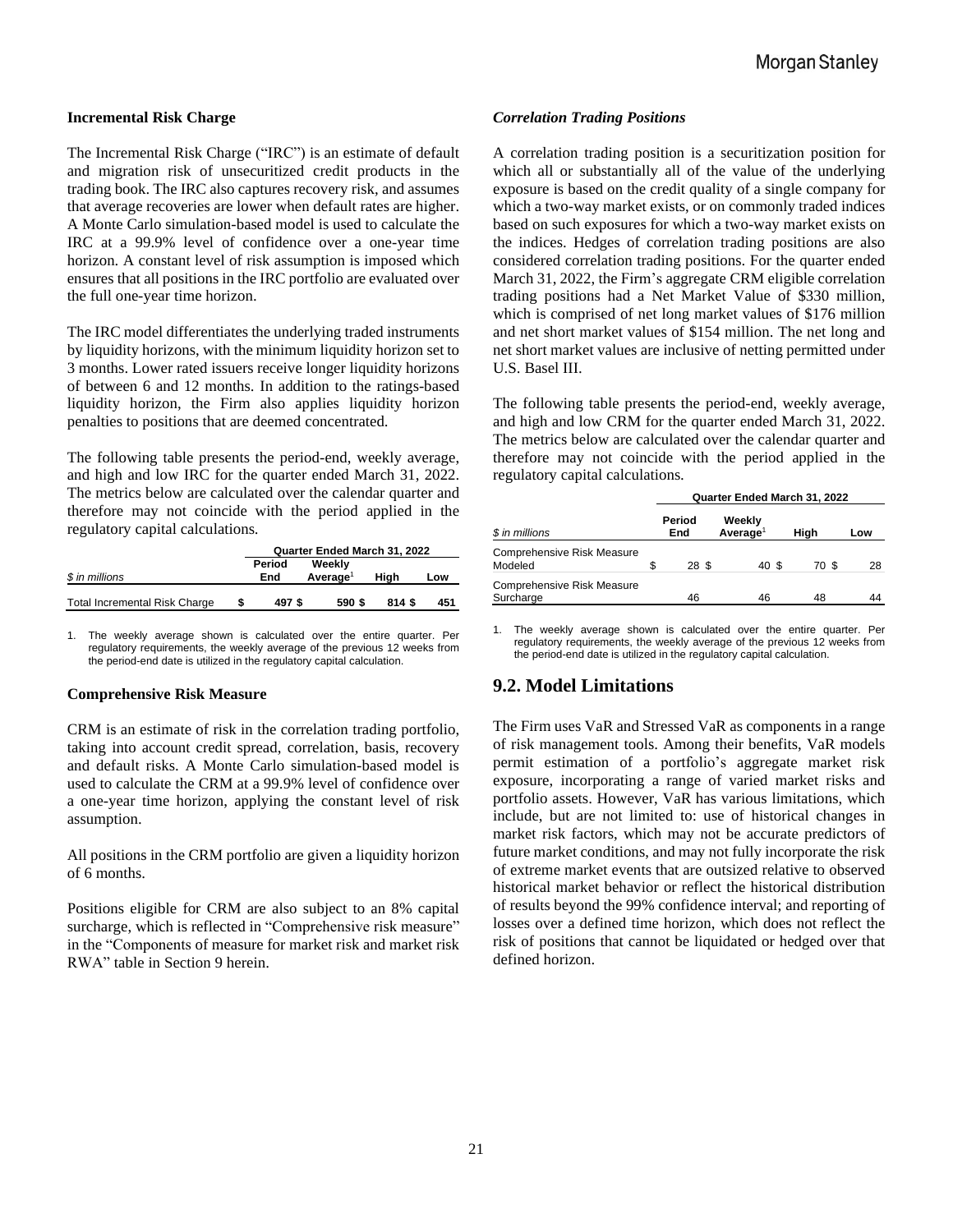#### **Incremental Risk Charge**

The Incremental Risk Charge ("IRC") is an estimate of default and migration risk of unsecuritized credit products in the trading book. The IRC also captures recovery risk, and assumes that average recoveries are lower when default rates are higher. A Monte Carlo simulation-based model is used to calculate the IRC at a 99.9% level of confidence over a one-year time horizon. A constant level of risk assumption is imposed which ensures that all positions in the IRC portfolio are evaluated over the full one-year time horizon.

The IRC model differentiates the underlying traded instruments by liquidity horizons, with the minimum liquidity horizon set to 3 months. Lower rated issuers receive longer liquidity horizons of between 6 and 12 months. In addition to the ratings-based liquidity horizon, the Firm also applies liquidity horizon penalties to positions that are deemed concentrated.

The following table presents the period-end, weekly average, and high and low IRC for the quarter ended March 31, 2022. The metrics below are calculated over the calendar quarter and therefore may not coincide with the period applied in the regulatory capital calculations.

|                                      | Quarter Ended March 31, 2022 |                                |        |     |  |  |
|--------------------------------------|------------------------------|--------------------------------|--------|-----|--|--|
| \$ in millions                       | Period<br>End                | Weekly<br>Averaae <sup>1</sup> | Hiah   | Low |  |  |
| <b>Total Incremental Risk Charge</b> | 497\$                        | 590 \$                         | 814 \$ | 451 |  |  |

1. The weekly average shown is calculated over the entire quarter. Per regulatory requirements, the weekly average of the previous 12 weeks from the period-end date is utilized in the regulatory capital calculation.

#### **Comprehensive Risk Measure**

CRM is an estimate of risk in the correlation trading portfolio, taking into account credit spread, correlation, basis, recovery and default risks. A Monte Carlo simulation-based model is used to calculate the CRM at a 99.9% level of confidence over a one-year time horizon, applying the constant level of risk assumption.

All positions in the CRM portfolio are given a liquidity horizon of 6 months.

Positions eligible for CRM are also subject to an 8% capital surcharge, which is reflected in "Comprehensive risk measure" in the "Components of measure for market risk and market risk RWA" table in Section 9 herein.

#### *Correlation Trading Positions*

A correlation trading position is a securitization position for which all or substantially all of the value of the underlying exposure is based on the credit quality of a single company for which a two-way market exists, or on commonly traded indices based on such exposures for which a two-way market exists on the indices. Hedges of correlation trading positions are also considered correlation trading positions. For the quarter ended March 31, 2022, the Firm's aggregate CRM eligible correlation trading positions had a Net Market Value of \$330 million, which is comprised of net long market values of \$176 million and net short market values of \$154 million. The net long and net short market values are inclusive of netting permitted under U.S. Basel III.

The following table presents the period-end, weekly average, and high and low CRM for the quarter ended March 31, 2022. The metrics below are calculated over the calendar quarter and therefore may not coincide with the period applied in the regulatory capital calculations.

|                                         | Quarter Ended March 31, 2022                    |       |       |       |     |  |  |  |
|-----------------------------------------|-------------------------------------------------|-------|-------|-------|-----|--|--|--|
| \$ in millions                          | Period<br>Weekly<br>Average <sup>1</sup><br>End |       |       | High  | Low |  |  |  |
| Comprehensive Risk Measure<br>Modeled   | \$                                              | 28 \$ | 40 \$ | 70 \$ | 28  |  |  |  |
| Comprehensive Risk Measure<br>Surcharge |                                                 | 46    | 46    | 48    | 44  |  |  |  |

1. The weekly average shown is calculated over the entire quarter. Per regulatory requirements, the weekly average of the previous 12 weeks from the period-end date is utilized in the regulatory capital calculation.

#### **9.2. Model Limitations**

The Firm uses VaR and Stressed VaR as components in a range of risk management tools. Among their benefits, VaR models permit estimation of a portfolio's aggregate market risk exposure, incorporating a range of varied market risks and portfolio assets. However, VaR has various limitations, which include, but are not limited to: use of historical changes in market risk factors, which may not be accurate predictors of future market conditions, and may not fully incorporate the risk of extreme market events that are outsized relative to observed historical market behavior or reflect the historical distribution of results beyond the 99% confidence interval; and reporting of losses over a defined time horizon, which does not reflect the risk of positions that cannot be liquidated or hedged over that defined horizon.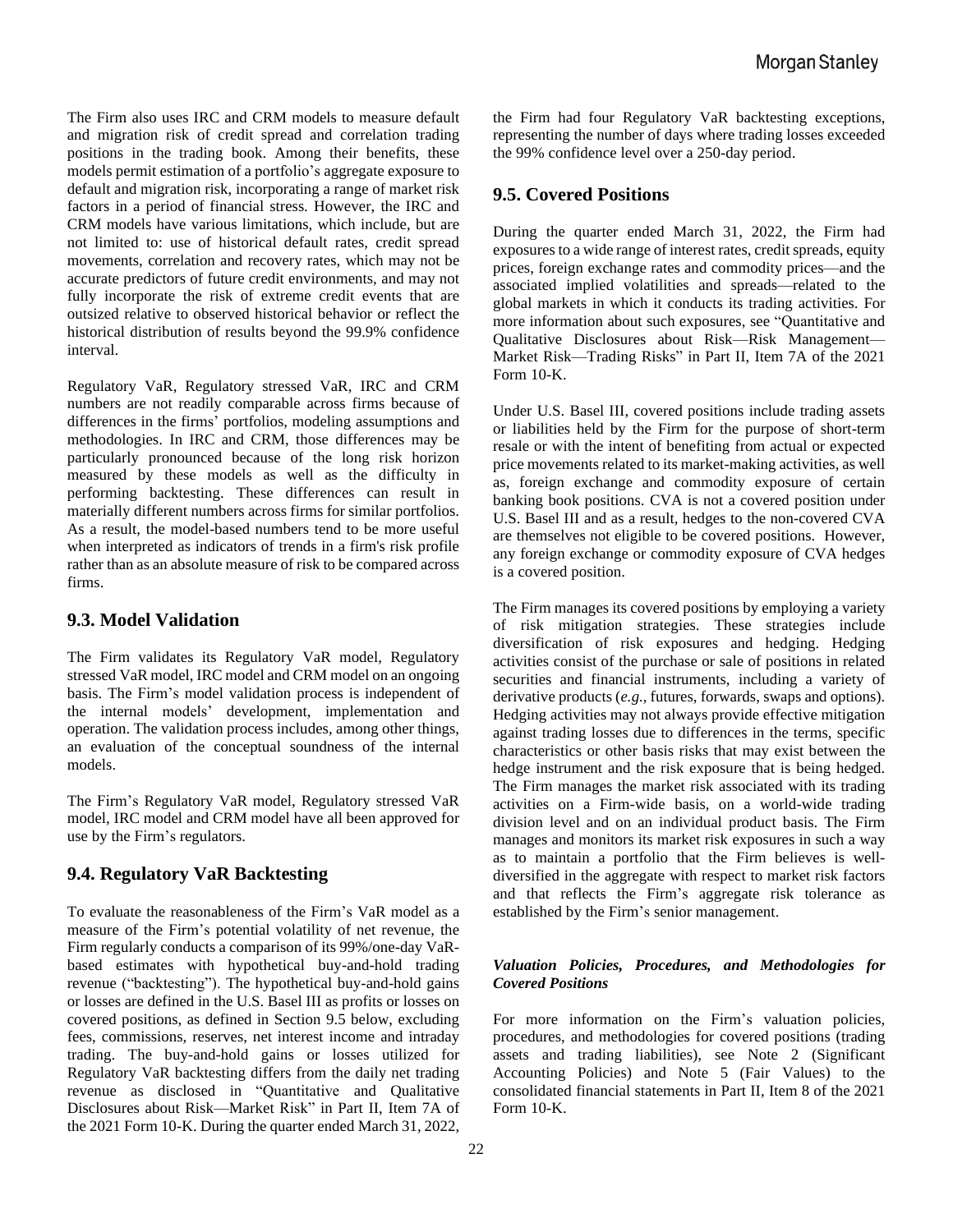The Firm also uses IRC and CRM models to measure default and migration risk of credit spread and correlation trading positions in the trading book. Among their benefits, these models permit estimation of a portfolio's aggregate exposure to default and migration risk, incorporating a range of market risk factors in a period of financial stress. However, the IRC and CRM models have various limitations, which include, but are not limited to: use of historical default rates, credit spread movements, correlation and recovery rates, which may not be accurate predictors of future credit environments, and may not fully incorporate the risk of extreme credit events that are outsized relative to observed historical behavior or reflect the historical distribution of results beyond the 99.9% confidence interval.

Regulatory VaR, Regulatory stressed VaR, IRC and CRM numbers are not readily comparable across firms because of differences in the firms' portfolios, modeling assumptions and methodologies. In IRC and CRM, those differences may be particularly pronounced because of the long risk horizon measured by these models as well as the difficulty in performing backtesting. These differences can result in materially different numbers across firms for similar portfolios. As a result, the model-based numbers tend to be more useful when interpreted as indicators of trends in a firm's risk profile rather than as an absolute measure of risk to be compared across firms.

# **9.3. Model Validation**

The Firm validates its Regulatory VaR model, Regulatory stressed VaR model, IRC model and CRM model on an ongoing basis. The Firm's model validation process is independent of the internal models' development, implementation and operation. The validation process includes, among other things, an evaluation of the conceptual soundness of the internal models.

The Firm's Regulatory VaR model, Regulatory stressed VaR model, IRC model and CRM model have all been approved for use by the Firm's regulators.

# **9.4. Regulatory VaR Backtesting**

To evaluate the reasonableness of the Firm's VaR model as a measure of the Firm's potential volatility of net revenue, the Firm regularly conducts a comparison of its 99%/one-day VaRbased estimates with hypothetical buy-and-hold trading revenue ("backtesting"). The hypothetical buy-and-hold gains or losses are defined in the U.S. Basel III as profits or losses on covered positions, as defined in Section 9.5 below, excluding fees, commissions, reserves, net interest income and intraday trading. The buy-and-hold gains or losses utilized for Regulatory VaR backtesting differs from the daily net trading revenue as disclosed in "Quantitative and Qualitative Disclosures about Risk—Market Risk" in Part II, Item 7A of the 2021 Form 10-K. During the quarter ended March 31, 2022,

the Firm had four Regulatory VaR backtesting exceptions, representing the number of days where trading losses exceeded the 99% confidence level over a 250-day period.

# **9.5. Covered Positions**

During the quarter ended March 31, 2022, the Firm had exposures to a wide range of interest rates, credit spreads, equity prices, foreign exchange rates and commodity prices—and the associated implied volatilities and spreads—related to the global markets in which it conducts its trading activities. For more information about such exposures, see "Quantitative and Qualitative Disclosures about Risk—Risk Management— Market Risk—Trading Risks" in Part II, Item 7A of the 2021 Form 10-K.

Under U.S. Basel III, covered positions include trading assets or liabilities held by the Firm for the purpose of short-term resale or with the intent of benefiting from actual or expected price movements related to its market-making activities, as well as, foreign exchange and commodity exposure of certain banking book positions. CVA is not a covered position under U.S. Basel III and as a result, hedges to the non-covered CVA are themselves not eligible to be covered positions. However, any foreign exchange or commodity exposure of CVA hedges is a covered position.

The Firm manages its covered positions by employing a variety of risk mitigation strategies. These strategies include diversification of risk exposures and hedging. Hedging activities consist of the purchase or sale of positions in related securities and financial instruments, including a variety of derivative products (*e.g.*, futures, forwards, swaps and options). Hedging activities may not always provide effective mitigation against trading losses due to differences in the terms, specific characteristics or other basis risks that may exist between the hedge instrument and the risk exposure that is being hedged. The Firm manages the market risk associated with its trading activities on a Firm-wide basis, on a world-wide trading division level and on an individual product basis. The Firm manages and monitors its market risk exposures in such a way as to maintain a portfolio that the Firm believes is welldiversified in the aggregate with respect to market risk factors and that reflects the Firm's aggregate risk tolerance as established by the Firm's senior management.

#### *Valuation Policies, Procedures, and Methodologies for Covered Positions*

For more information on the Firm's valuation policies, procedures, and methodologies for covered positions (trading assets and trading liabilities), see Note 2 (Significant Accounting Policies) and Note 5 (Fair Values) to the consolidated financial statements in Part II, Item 8 of the 2021 Form 10-K.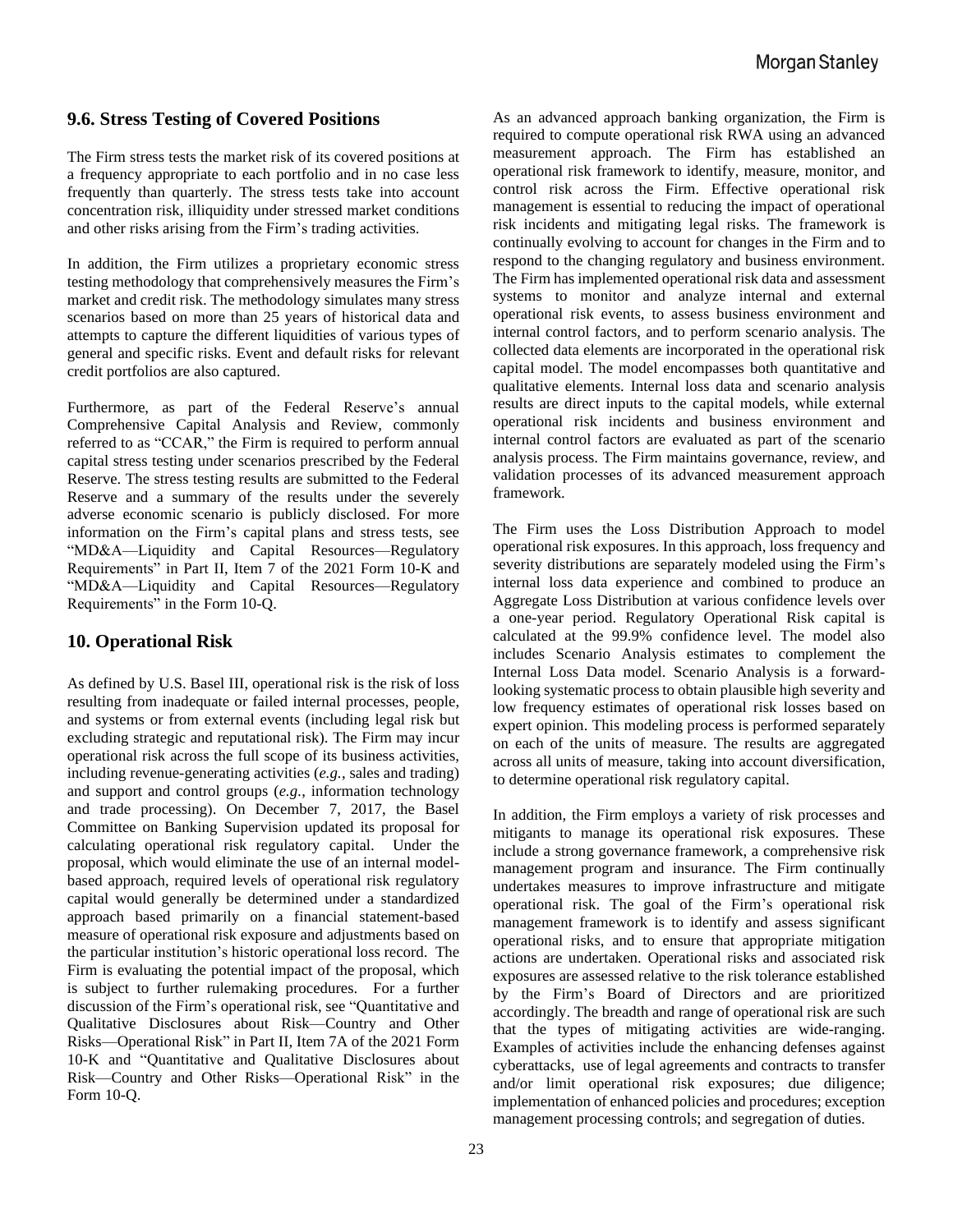# **9.6. Stress Testing of Covered Positions**

The Firm stress tests the market risk of its covered positions at a frequency appropriate to each portfolio and in no case less frequently than quarterly. The stress tests take into account concentration risk, illiquidity under stressed market conditions and other risks arising from the Firm's trading activities.

In addition, the Firm utilizes a proprietary economic stress testing methodology that comprehensively measures the Firm's market and credit risk. The methodology simulates many stress scenarios based on more than 25 years of historical data and attempts to capture the different liquidities of various types of general and specific risks. Event and default risks for relevant credit portfolios are also captured.

Furthermore, as part of the Federal Reserve's annual Comprehensive Capital Analysis and Review, commonly referred to as "CCAR," the Firm is required to perform annual capital stress testing under scenarios prescribed by the Federal Reserve. The stress testing results are submitted to the Federal Reserve and a summary of the results under the severely adverse economic scenario is publicly disclosed. For more information on the Firm's capital plans and stress tests, see "MD&A—Liquidity and Capital Resources—Regulatory Requirements" in Part II, Item 7 of the 2021 Form 10-K and "MD&A—Liquidity and Capital Resources—Regulatory Requirements" in the Form 10-Q.

# **10. Operational Risk**

As defined by U.S. Basel III, operational risk is the risk of loss resulting from inadequate or failed internal processes, people, and systems or from external events (including legal risk but excluding strategic and reputational risk). The Firm may incur operational risk across the full scope of its business activities, including revenue-generating activities (*e.g.*, sales and trading) and support and control groups (*e.g.*, information technology and trade processing). On December 7, 2017, the Basel Committee on Banking Supervision updated its proposal for calculating operational risk regulatory capital. Under the proposal, which would eliminate the use of an internal modelbased approach, required levels of operational risk regulatory capital would generally be determined under a standardized approach based primarily on a financial statement-based measure of operational risk exposure and adjustments based on the particular institution's historic operational loss record. The Firm is evaluating the potential impact of the proposal, which is subject to further rulemaking procedures. For a further discussion of the Firm's operational risk, see "Quantitative and Qualitative Disclosures about Risk—Country and Other Risks—Operational Risk" in Part II, Item 7A of the 2021 Form 10-K and "Quantitative and Qualitative Disclosures about Risk—Country and Other Risks—Operational Risk" in the Form 10-Q.

As an advanced approach banking organization, the Firm is required to compute operational risk RWA using an advanced measurement approach. The Firm has established an operational risk framework to identify, measure, monitor, and control risk across the Firm. Effective operational risk management is essential to reducing the impact of operational risk incidents and mitigating legal risks. The framework is continually evolving to account for changes in the Firm and to respond to the changing regulatory and business environment. The Firm has implemented operational risk data and assessment systems to monitor and analyze internal and external operational risk events, to assess business environment and internal control factors, and to perform scenario analysis. The collected data elements are incorporated in the operational risk capital model. The model encompasses both quantitative and qualitative elements. Internal loss data and scenario analysis results are direct inputs to the capital models, while external operational risk incidents and business environment and internal control factors are evaluated as part of the scenario analysis process. The Firm maintains governance, review, and validation processes of its advanced measurement approach framework.

The Firm uses the Loss Distribution Approach to model operational risk exposures. In this approach, loss frequency and severity distributions are separately modeled using the Firm's internal loss data experience and combined to produce an Aggregate Loss Distribution at various confidence levels over a one-year period. Regulatory Operational Risk capital is calculated at the 99.9% confidence level. The model also includes Scenario Analysis estimates to complement the Internal Loss Data model. Scenario Analysis is a forwardlooking systematic process to obtain plausible high severity and low frequency estimates of operational risk losses based on expert opinion. This modeling process is performed separately on each of the units of measure. The results are aggregated across all units of measure, taking into account diversification, to determine operational risk regulatory capital.

In addition, the Firm employs a variety of risk processes and mitigants to manage its operational risk exposures. These include a strong governance framework, a comprehensive risk management program and insurance. The Firm continually undertakes measures to improve infrastructure and mitigate operational risk. The goal of the Firm's operational risk management framework is to identify and assess significant operational risks, and to ensure that appropriate mitigation actions are undertaken. Operational risks and associated risk exposures are assessed relative to the risk tolerance established by the Firm's Board of Directors and are prioritized accordingly. The breadth and range of operational risk are such that the types of mitigating activities are wide-ranging. Examples of activities include the enhancing defenses against cyberattacks, use of legal agreements and contracts to transfer and/or limit operational risk exposures; due diligence; implementation of enhanced policies and procedures; exception management processing controls; and segregation of duties.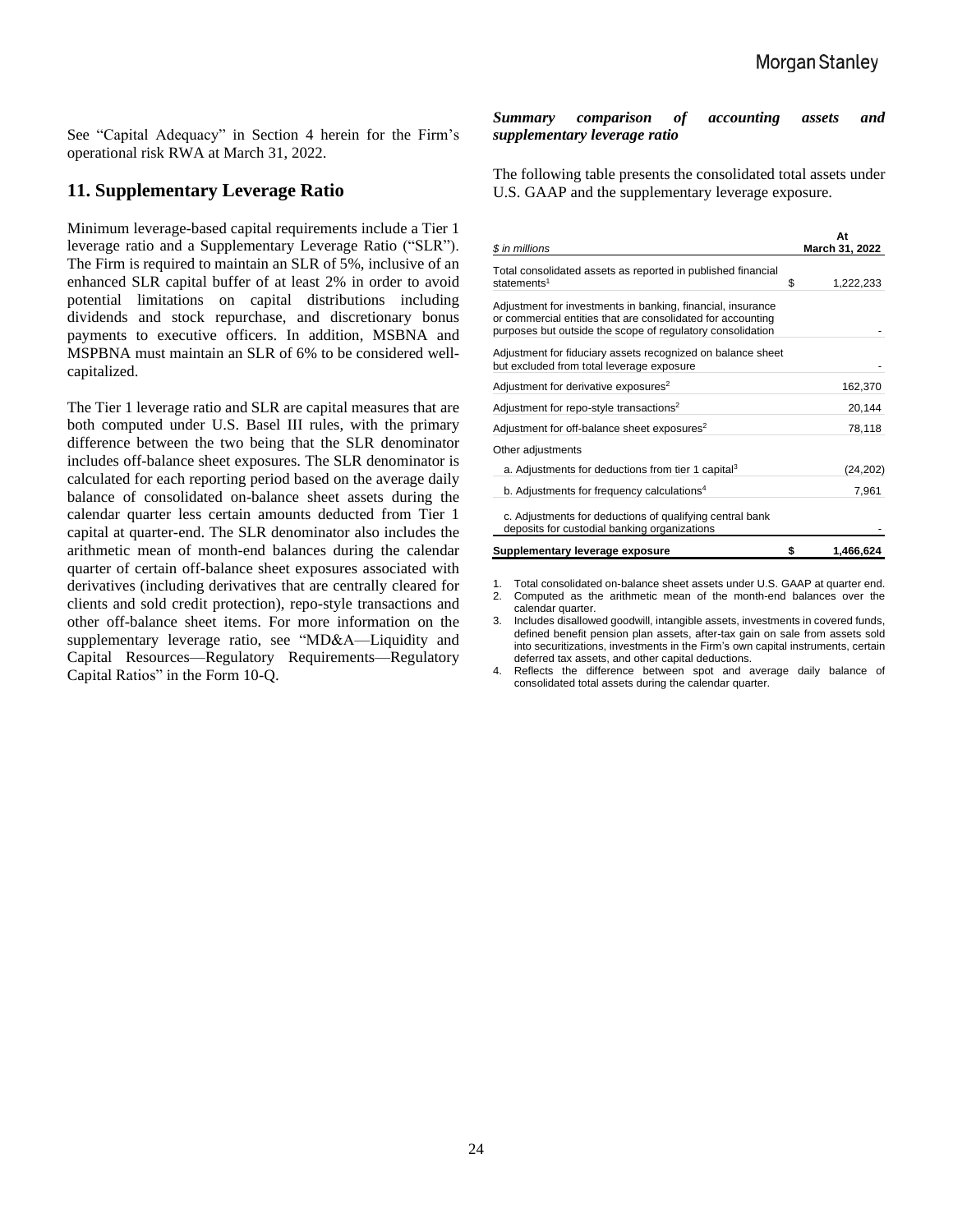See "Capital Adequacy" in Section 4 herein for the Firm's operational risk RWA at March 31, 2022.

# **11. Supplementary Leverage Ratio**

Minimum leverage-based capital requirements include a Tier 1 leverage ratio and a Supplementary Leverage Ratio ("SLR"). The Firm is required to maintain an SLR of 5%, inclusive of an enhanced SLR capital buffer of at least 2% in order to avoid potential limitations on capital distributions including dividends and stock repurchase, and discretionary bonus payments to executive officers. In addition, MSBNA and MSPBNA must maintain an SLR of 6% to be considered wellcapitalized.

The Tier 1 leverage ratio and SLR are capital measures that are both computed under U.S. Basel III rules, with the primary difference between the two being that the SLR denominator includes off-balance sheet exposures. The SLR denominator is calculated for each reporting period based on the average daily balance of consolidated on-balance sheet assets during the calendar quarter less certain amounts deducted from Tier 1 capital at quarter-end. The SLR denominator also includes the arithmetic mean of month-end balances during the calendar quarter of certain off-balance sheet exposures associated with derivatives (including derivatives that are centrally cleared for clients and sold credit protection), repo-style transactions and other off-balance sheet items. For more information on the supplementary leverage ratio, see "MD&A—Liquidity and Capital Resources—Regulatory Requirements—Regulatory Capital Ratios" in the Form 10-Q.

#### *Summary comparison of accounting assets and supplementary leverage ratio*

The following table presents the consolidated total assets under U.S. GAAP and the supplementary leverage exposure.

| \$ in millions                                                                                                                                                                           | At<br>March 31, 2022 |
|------------------------------------------------------------------------------------------------------------------------------------------------------------------------------------------|----------------------|
| Total consolidated assets as reported in published financial<br>statements <sup>1</sup>                                                                                                  | \$<br>1,222,233      |
| Adjustment for investments in banking, financial, insurance<br>or commercial entities that are consolidated for accounting<br>purposes but outside the scope of regulatory consolidation |                      |
| Adjustment for fiduciary assets recognized on balance sheet<br>but excluded from total leverage exposure                                                                                 |                      |
| Adjustment for derivative exposures <sup>2</sup>                                                                                                                                         | 162,370              |
| Adjustment for repo-style transactions <sup>2</sup>                                                                                                                                      | 20,144               |
| Adjustment for off-balance sheet exposures <sup>2</sup>                                                                                                                                  | 78,118               |
| Other adjustments                                                                                                                                                                        |                      |
| a. Adjustments for deductions from tier 1 capital <sup>3</sup>                                                                                                                           | (24, 202)            |
| b. Adjustments for frequency calculations <sup>4</sup>                                                                                                                                   | 7,961                |
| c. Adjustments for deductions of qualifying central bank<br>deposits for custodial banking organizations                                                                                 |                      |
| Supplementary leverage exposure                                                                                                                                                          | \$<br>1,466,624      |

1. Total consolidated on-balance sheet assets under U.S. GAAP at quarter end.<br>2. Computed as the arithmetic mean of the month-end balances over the 2. Computed as the arithmetic mean of the month-end balances over the calendar quarter.

3. Includes disallowed goodwill, intangible assets, investments in covered funds, defined benefit pension plan assets, after-tax gain on sale from assets sold into securitizations, investments in the Firm's own capital instruments, certain deferred tax assets, and other capital deductions.

4. Reflects the difference between spot and average daily balance of consolidated total assets during the calendar quarter.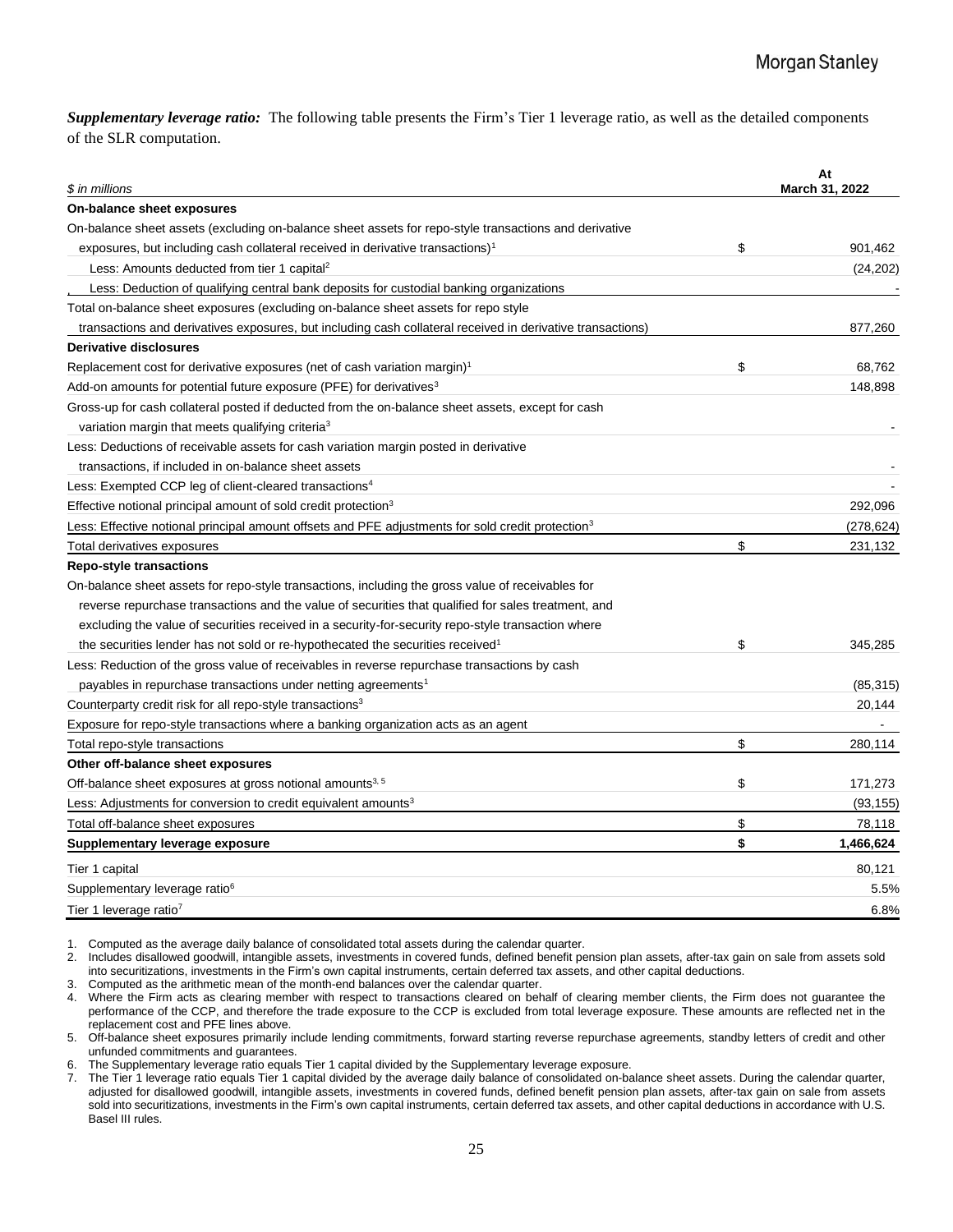*Supplementary leverage ratio:* The following table presents the Firm's Tier 1 leverage ratio, as well as the detailed components of the SLR computation.

| \$<br>exposures, but including cash collateral received in derivative transactions) <sup>1</sup><br>901,462<br>Less: Amounts deducted from tier 1 capital <sup>2</sup><br>(24, 202)<br>Less: Deduction of qualifying central bank deposits for custodial banking organizations<br>transactions and derivatives exposures, but including cash collateral received in derivative transactions)<br>877,260<br>\$<br>68,762<br>148,898<br>variation margin that meets qualifying criteria <sup>3</sup><br>transactions, if included in on-balance sheet assets<br>292,096<br>(278, 624)<br>\$<br>231,132<br>reverse repurchase transactions and the value of securities that qualified for sales treatment, and<br>excluding the value of securities received in a security-for-security repo-style transaction where<br>\$<br>the securities lender has not sold or re-hypothecated the securities received <sup>1</sup><br>345,285<br>payables in repurchase transactions under netting agreements <sup>1</sup><br>(85, 315)<br>20,144<br>\$<br>280,114<br>\$<br>171,273<br>(93, 155)<br>\$<br>78,118<br>\$<br>1,466,624<br>80,121<br>5.5% | \$ in millions                                                                                                | At<br>March 31, 2022 |
|------------------------------------------------------------------------------------------------------------------------------------------------------------------------------------------------------------------------------------------------------------------------------------------------------------------------------------------------------------------------------------------------------------------------------------------------------------------------------------------------------------------------------------------------------------------------------------------------------------------------------------------------------------------------------------------------------------------------------------------------------------------------------------------------------------------------------------------------------------------------------------------------------------------------------------------------------------------------------------------------------------------------------------------------------------------------------------------------------------------------------------------|---------------------------------------------------------------------------------------------------------------|----------------------|
|                                                                                                                                                                                                                                                                                                                                                                                                                                                                                                                                                                                                                                                                                                                                                                                                                                                                                                                                                                                                                                                                                                                                          | On-balance sheet exposures                                                                                    |                      |
|                                                                                                                                                                                                                                                                                                                                                                                                                                                                                                                                                                                                                                                                                                                                                                                                                                                                                                                                                                                                                                                                                                                                          | On-balance sheet assets (excluding on-balance sheet assets for repo-style transactions and derivative         |                      |
|                                                                                                                                                                                                                                                                                                                                                                                                                                                                                                                                                                                                                                                                                                                                                                                                                                                                                                                                                                                                                                                                                                                                          |                                                                                                               |                      |
|                                                                                                                                                                                                                                                                                                                                                                                                                                                                                                                                                                                                                                                                                                                                                                                                                                                                                                                                                                                                                                                                                                                                          |                                                                                                               |                      |
|                                                                                                                                                                                                                                                                                                                                                                                                                                                                                                                                                                                                                                                                                                                                                                                                                                                                                                                                                                                                                                                                                                                                          |                                                                                                               |                      |
|                                                                                                                                                                                                                                                                                                                                                                                                                                                                                                                                                                                                                                                                                                                                                                                                                                                                                                                                                                                                                                                                                                                                          | Total on-balance sheet exposures (excluding on-balance sheet assets for repo style                            |                      |
|                                                                                                                                                                                                                                                                                                                                                                                                                                                                                                                                                                                                                                                                                                                                                                                                                                                                                                                                                                                                                                                                                                                                          |                                                                                                               |                      |
|                                                                                                                                                                                                                                                                                                                                                                                                                                                                                                                                                                                                                                                                                                                                                                                                                                                                                                                                                                                                                                                                                                                                          | <b>Derivative disclosures</b>                                                                                 |                      |
|                                                                                                                                                                                                                                                                                                                                                                                                                                                                                                                                                                                                                                                                                                                                                                                                                                                                                                                                                                                                                                                                                                                                          | Replacement cost for derivative exposures (net of cash variation margin) <sup>1</sup>                         |                      |
|                                                                                                                                                                                                                                                                                                                                                                                                                                                                                                                                                                                                                                                                                                                                                                                                                                                                                                                                                                                                                                                                                                                                          | Add-on amounts for potential future exposure (PFE) for derivatives <sup>3</sup>                               |                      |
|                                                                                                                                                                                                                                                                                                                                                                                                                                                                                                                                                                                                                                                                                                                                                                                                                                                                                                                                                                                                                                                                                                                                          | Gross-up for cash collateral posted if deducted from the on-balance sheet assets, except for cash             |                      |
|                                                                                                                                                                                                                                                                                                                                                                                                                                                                                                                                                                                                                                                                                                                                                                                                                                                                                                                                                                                                                                                                                                                                          |                                                                                                               |                      |
|                                                                                                                                                                                                                                                                                                                                                                                                                                                                                                                                                                                                                                                                                                                                                                                                                                                                                                                                                                                                                                                                                                                                          | Less: Deductions of receivable assets for cash variation margin posted in derivative                          |                      |
|                                                                                                                                                                                                                                                                                                                                                                                                                                                                                                                                                                                                                                                                                                                                                                                                                                                                                                                                                                                                                                                                                                                                          |                                                                                                               |                      |
|                                                                                                                                                                                                                                                                                                                                                                                                                                                                                                                                                                                                                                                                                                                                                                                                                                                                                                                                                                                                                                                                                                                                          | Less: Exempted CCP leg of client-cleared transactions <sup>4</sup>                                            |                      |
|                                                                                                                                                                                                                                                                                                                                                                                                                                                                                                                                                                                                                                                                                                                                                                                                                                                                                                                                                                                                                                                                                                                                          | Effective notional principal amount of sold credit protection <sup>3</sup>                                    |                      |
|                                                                                                                                                                                                                                                                                                                                                                                                                                                                                                                                                                                                                                                                                                                                                                                                                                                                                                                                                                                                                                                                                                                                          | Less: Effective notional principal amount offsets and PFE adjustments for sold credit protection <sup>3</sup> |                      |
|                                                                                                                                                                                                                                                                                                                                                                                                                                                                                                                                                                                                                                                                                                                                                                                                                                                                                                                                                                                                                                                                                                                                          | Total derivatives exposures                                                                                   |                      |
|                                                                                                                                                                                                                                                                                                                                                                                                                                                                                                                                                                                                                                                                                                                                                                                                                                                                                                                                                                                                                                                                                                                                          | <b>Repo-style transactions</b>                                                                                |                      |
|                                                                                                                                                                                                                                                                                                                                                                                                                                                                                                                                                                                                                                                                                                                                                                                                                                                                                                                                                                                                                                                                                                                                          | On-balance sheet assets for repo-style transactions, including the gross value of receivables for             |                      |
|                                                                                                                                                                                                                                                                                                                                                                                                                                                                                                                                                                                                                                                                                                                                                                                                                                                                                                                                                                                                                                                                                                                                          |                                                                                                               |                      |
|                                                                                                                                                                                                                                                                                                                                                                                                                                                                                                                                                                                                                                                                                                                                                                                                                                                                                                                                                                                                                                                                                                                                          |                                                                                                               |                      |
|                                                                                                                                                                                                                                                                                                                                                                                                                                                                                                                                                                                                                                                                                                                                                                                                                                                                                                                                                                                                                                                                                                                                          |                                                                                                               |                      |
|                                                                                                                                                                                                                                                                                                                                                                                                                                                                                                                                                                                                                                                                                                                                                                                                                                                                                                                                                                                                                                                                                                                                          | Less: Reduction of the gross value of receivables in reverse repurchase transactions by cash                  |                      |
|                                                                                                                                                                                                                                                                                                                                                                                                                                                                                                                                                                                                                                                                                                                                                                                                                                                                                                                                                                                                                                                                                                                                          |                                                                                                               |                      |
|                                                                                                                                                                                                                                                                                                                                                                                                                                                                                                                                                                                                                                                                                                                                                                                                                                                                                                                                                                                                                                                                                                                                          | Counterparty credit risk for all repo-style transactions <sup>3</sup>                                         |                      |
|                                                                                                                                                                                                                                                                                                                                                                                                                                                                                                                                                                                                                                                                                                                                                                                                                                                                                                                                                                                                                                                                                                                                          | Exposure for repo-style transactions where a banking organization acts as an agent                            |                      |
|                                                                                                                                                                                                                                                                                                                                                                                                                                                                                                                                                                                                                                                                                                                                                                                                                                                                                                                                                                                                                                                                                                                                          | Total repo-style transactions                                                                                 |                      |
|                                                                                                                                                                                                                                                                                                                                                                                                                                                                                                                                                                                                                                                                                                                                                                                                                                                                                                                                                                                                                                                                                                                                          | Other off-balance sheet exposures                                                                             |                      |
|                                                                                                                                                                                                                                                                                                                                                                                                                                                                                                                                                                                                                                                                                                                                                                                                                                                                                                                                                                                                                                                                                                                                          | Off-balance sheet exposures at gross notional amounts <sup>3, 5</sup>                                         |                      |
|                                                                                                                                                                                                                                                                                                                                                                                                                                                                                                                                                                                                                                                                                                                                                                                                                                                                                                                                                                                                                                                                                                                                          | Less: Adjustments for conversion to credit equivalent amounts <sup>3</sup>                                    |                      |
|                                                                                                                                                                                                                                                                                                                                                                                                                                                                                                                                                                                                                                                                                                                                                                                                                                                                                                                                                                                                                                                                                                                                          | Total off-balance sheet exposures                                                                             |                      |
|                                                                                                                                                                                                                                                                                                                                                                                                                                                                                                                                                                                                                                                                                                                                                                                                                                                                                                                                                                                                                                                                                                                                          | Supplementary leverage exposure                                                                               |                      |
|                                                                                                                                                                                                                                                                                                                                                                                                                                                                                                                                                                                                                                                                                                                                                                                                                                                                                                                                                                                                                                                                                                                                          | Tier 1 capital                                                                                                |                      |
|                                                                                                                                                                                                                                                                                                                                                                                                                                                                                                                                                                                                                                                                                                                                                                                                                                                                                                                                                                                                                                                                                                                                          | Supplementary leverage ratio <sup>6</sup>                                                                     |                      |
| 6.8%                                                                                                                                                                                                                                                                                                                                                                                                                                                                                                                                                                                                                                                                                                                                                                                                                                                                                                                                                                                                                                                                                                                                     | Tier 1 leverage ratio <sup>7</sup>                                                                            |                      |

1. Computed as the average daily balance of consolidated total assets during the calendar quarter.

 $2.$ 2. Includes disallowed goodwill, intangible assets, investments in covered funds, defined benefit pension plan assets, after-tax gain on sale from assets sold into securitizations, investments in the Firm's own capital instruments, certain deferred tax assets, and other capital deductions.

3. Computed as the arithmetic mean of the month-end balances over the calendar quarter.

g 4. Where the Firm acts as clearing member with respect to transactions cleared on behalf of clearing member clients, the Firm does not guarantee the ni performance of the CCP, and therefore the trade exposure to the CCP is excluded from total leverage exposure. These amounts are reflected net in the replacement cost and PFE lines above.

z 5. Off-balance sheet exposures primarily include lending commitments, forward starting reverse repurchase agreements, standby letters of credit and other unfunded commitments and guarantees.

at 6. The Supplementary leverage ratio equals Tier 1 capital divided by the Supplementary leverage exposure. o.<br>7

7. The Tier 1 leverage ratio equals Tier 1 capital divided by the average daily balance of consolidated on-balance sheet assets. During the calendar quarter, and the state of consolidated on-balance sheet assets. During th adjusted for disallowed goodwill, intangible assets, investments in covered funds, defined benefit pension plan assets, after-tax gain on sale from assets sold into securitizations, investments in the Firm's own capital instruments, certain deferred tax assets, and other capital deductions in accordance with U.S. Basel III rules.